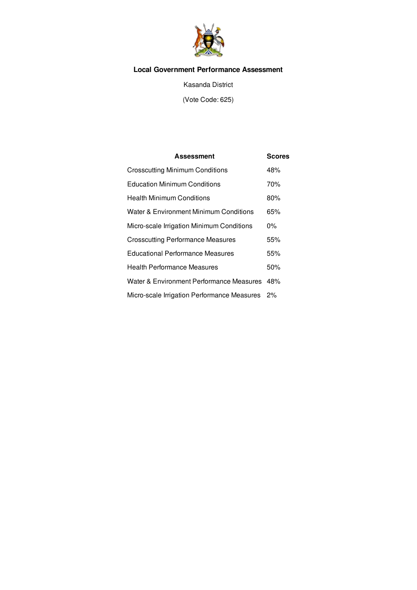

# **Local Government Performance Assessment**

Kasanda District

(Vote Code: 625)

| Assessment                                  | <b>Scores</b> |
|---------------------------------------------|---------------|
| <b>Crosscutting Minimum Conditions</b>      | 48%           |
| <b>Education Minimum Conditions</b>         | 70%           |
| <b>Health Minimum Conditions</b>            | 80%           |
| Water & Environment Minimum Conditions      | 65%           |
| Micro-scale Irrigation Minimum Conditions   | በ%            |
| <b>Crosscutting Performance Measures</b>    | 55%           |
| <b>Educational Performance Measures</b>     | 55%           |
| <b>Health Performance Measures</b>          | 50%           |
| Water & Environment Performance Measures    | 48%           |
| Micro-scale Irrigation Performance Measures | $2\%$         |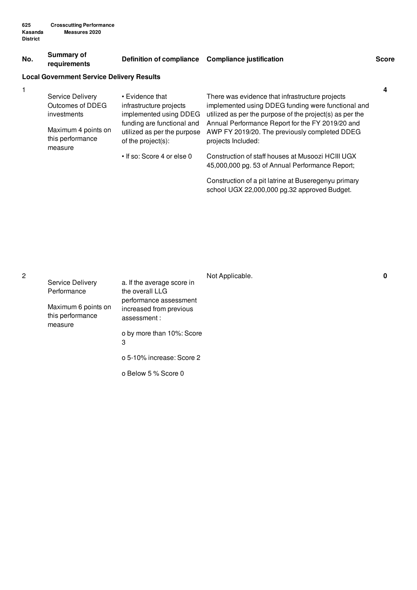#### **No. Summary of requirements Definition of compliance Compliance justification Score**

## **Local Government Service Delivery Results**

| Service Delivery            | • Evidence that                                   | There was evidence that infrastructure projects                                                      |
|-----------------------------|---------------------------------------------------|------------------------------------------------------------------------------------------------------|
| Outcomes of DDEG            | infrastructure projects                           | implemented using DDEG funding were functional and                                                   |
| investments                 | implemented using DDEG                            | utilized as per the purpose of the project(s) as per the                                             |
| Maximum 4 points on         | funding are functional and                        | Annual Performance Report for the FY 2019/20 and                                                     |
| this performance<br>measure | utilized as per the purpose<br>of the project(s): | AWP FY 2019/20. The previously completed DDEG<br>projects Included:                                  |
|                             | • If so: Score 4 or else 0                        | Construction of staff houses at Musoozi HCIII UGX<br>45,000,000 pg. 53 of Annual Performance Report; |
|                             |                                                   |                                                                                                      |

Construction of a pit latrine at Buseregenyu primary school UGX 22,000,000 pg.32 approved Budget.

|                                                    |                                                                                                                       | Not Applicable. | 0 |
|----------------------------------------------------|-----------------------------------------------------------------------------------------------------------------------|-----------------|---|
| Service Delivery                                   | a. If the average score in                                                                                            |                 |   |
| Performance                                        | the overall LLG<br>performance assessment<br>increased from previous<br>assessment:<br>o by more than 10%: Score<br>3 |                 |   |
| Maximum 6 points on<br>this performance<br>measure |                                                                                                                       |                 |   |
|                                                    |                                                                                                                       |                 |   |
|                                                    | o 5-10% increase: Score 2                                                                                             |                 |   |
|                                                    | o Below 5 % Score 0                                                                                                   |                 |   |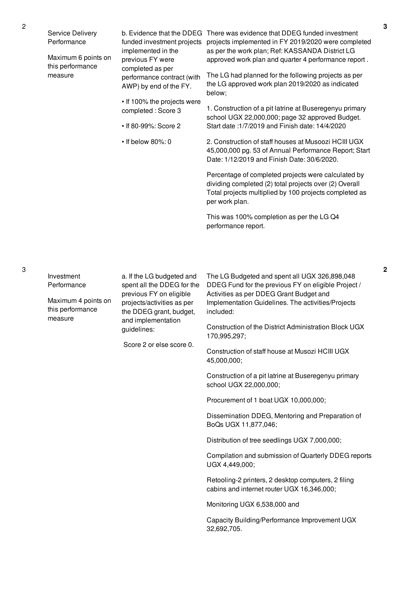| Service Delivery<br>Performance<br>Maximum 6 points on<br>this performance<br>measure | funded investment projects<br>implemented in the<br>previous FY were<br>completed as per<br>performance contract (with<br>AWP) by end of the FY.<br>• If 100% the projects were<br>completed: Score 3<br>• If 80-99%: Score 2<br>$\cdot$ If below 80%: 0 | b. Evidence that the DDEG There was evidence that DDEG funded investment<br>projects implemented in FY 2019/2020 were completed<br>as per the work plan; Ref: KASSANDA District LG<br>approved work plan and quarter 4 performance report.<br>The LG had planned for the following projects as per<br>the LG approved work plan 2019/2020 as indicated<br>below;<br>1. Construction of a pit latrine at Buseregenyu primary<br>school UGX 22,000,000; page 32 approved Budget.<br>Start date: 1/7/2019 and Finish date: 14/4/2020<br>2. Construction of staff houses at Musoozi HCIII UGX<br>45,000,000 pg. 53 of Annual Performance Report; Start<br>Date: 1/12/2019 and Finish Date: 30/6/2020.<br>Percentage of completed projects were calculated by<br>dividing completed (2) total projects over (2) Overall<br>Total projects multiplied by 100 projects completed as<br>per work plan.<br>This was 100% completion as per the LG Q4<br>performance report. |
|---------------------------------------------------------------------------------------|----------------------------------------------------------------------------------------------------------------------------------------------------------------------------------------------------------------------------------------------------------|--------------------------------------------------------------------------------------------------------------------------------------------------------------------------------------------------------------------------------------------------------------------------------------------------------------------------------------------------------------------------------------------------------------------------------------------------------------------------------------------------------------------------------------------------------------------------------------------------------------------------------------------------------------------------------------------------------------------------------------------------------------------------------------------------------------------------------------------------------------------------------------------------------------------------------------------------------------------|
| Investment<br>Performance<br>Maximum 4 points on<br>this performance<br>measure       | a. If the LG budgeted and<br>spent all the DDEG for the<br>previous FY on eligible<br>projects/activities as per<br>the DDEG grant, budget,<br>and implementation<br>guidelines:<br>Score 2 or else score 0.                                             | The LG Budgeted and spent all UGX 326,898,048<br>DDEG Fund for the previous FY on eligible Project /<br>Activities as per DDEG Grant Budget and<br>Implementation Guidelines. The activities/Projects<br>included:<br>Construction of the District Administration Block UGX<br>170,995,297;<br>Construction of staff house at Musozi HCIII UGX<br>45,000,000;<br>Construction of a pit latrine at Buseregenyu primary<br>school UGX 22,000,000;<br>Procurement of 1 boat UGX 10,000,000;<br>Dissemination DDEG, Mentoring and Preparation of<br>BoQs UGX 11,877,046;<br>Distribution of tree seedlings UGX 7,000,000;<br>Compilation and submission of Quarterly DDEG reports<br>UGX 4,449,000;<br>Retooling-2 printers, 2 desktop computers, 2 filing<br>cabins and internet router UGX 16,346,000;<br>Monitoring UGX 6,538,000 and                                                                                                                               |

Capacity Building/Performance Improvement UGX 32,692,705.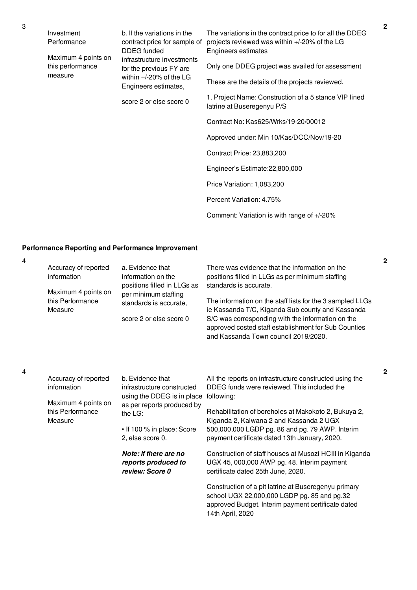| Investment<br>Performance                          | b. If the variations in the<br>contract price for sample of<br>DDEG funded                                  | The variations in the contract price to for all the DDEG<br>projects reviewed was within +/-20% of the LG<br>Engineers estimates |
|----------------------------------------------------|-------------------------------------------------------------------------------------------------------------|----------------------------------------------------------------------------------------------------------------------------------|
| Maximum 4 points on<br>this performance<br>measure | infrastructure investments<br>for the previous FY are<br>within $+/-20\%$ of the LG<br>Engineers estimates, | Only one DDEG project was availed for assessment<br>These are the details of the projects reviewed.                              |
|                                                    | score 2 or else score 0                                                                                     | 1. Project Name: Construction of a 5 stance VIP lined<br>latrine at Buseregenyu P/S                                              |
|                                                    |                                                                                                             | Contract No: Kas625/Wrks/19-20/00012                                                                                             |
|                                                    |                                                                                                             | Approved under: Min 10/Kas/DCC/Nov/19-20                                                                                         |
|                                                    |                                                                                                             | Contract Price: 23,883,200                                                                                                       |
|                                                    |                                                                                                             | Engineer's Estimate: 22,800,000                                                                                                  |
|                                                    |                                                                                                             | Price Variation: 1,083,200                                                                                                       |
|                                                    |                                                                                                             | Percent Variation: 4.75%                                                                                                         |
|                                                    |                                                                                                             |                                                                                                                                  |

Comment: Variation is with range of +/-20%

## **Performance Reporting and Performance Improvement**

4 Accuracy of reported information Maximum 4 points on this Performance Measure a. Evidence that information on the positions filled in LLGs as per minimum staffing standards is accurate, score 2 or else score 0 There was evidence that the information on the positions filled in LLGs as per minimum staffing standards is accurate. The information on the staff lists for the 3 sampled LLGs ie Kassanda T/C, Kiganda Sub county and Kassanda S/C was corresponding with the information on the approved costed staff establishment for Sub Counties and Kassanda Town council 2019/2020. 4 Accuracy of reported information Maximum 4 points on this Performance Measure b. Evidence that infrastructure constructed using the DDEG is in place following: as per reports produced by the LG: • If 100 % in place: Score 2, else score 0. *Note: if there are no reports produced to review: Score 0* All the reports on infrastructure constructed using the DDEG funds were reviewed. This included the Rehabilitation of boreholes at Makokoto 2, Bukuya 2, Kiganda 2, Kalwana 2 and Kassanda 2 UGX 500,000,000 LGDP pg. 86 and pg. 79 AWP. Interim payment certificate dated 13th January, 2020. Construction of staff houses at Musozi HCIII in Kiganda UGX 45, 000,000 AWP pg. 48. Interim payment certificate dated 25th June, 2020. Construction of a pit latrine at Buseregenyu primary school UGX 22,000,000 LGDP pg. 85 and pg.32 approved Budget. Interim payment certificate dated 14th April, 2020

**2**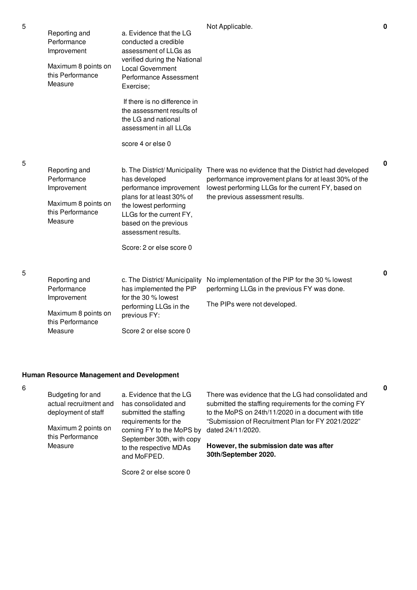| Reporting and<br>Performance<br>Improvement<br>Maximum 8 points on<br>this Performance<br>Measure | a. Evidence that the LG<br>conducted a credible<br>assessment of LLGs as<br>verified during the National<br><b>Local Government</b><br>Performance Assessment<br>Exercise;<br>If there is no difference in | Not Applicable.                                                                                                                                                                                                                         | $\mathbf 0$ |
|---------------------------------------------------------------------------------------------------|------------------------------------------------------------------------------------------------------------------------------------------------------------------------------------------------------------|-----------------------------------------------------------------------------------------------------------------------------------------------------------------------------------------------------------------------------------------|-------------|
|                                                                                                   | the assessment results of<br>the LG and national<br>assessment in all LLGs<br>score 4 or else 0                                                                                                            |                                                                                                                                                                                                                                         |             |
| Reporting and<br>Performance<br>Improvement<br>Maximum 8 points on<br>this Performance<br>Measure | has developed<br>performance improvement<br>plans for at least 30% of<br>the lowest performing<br>LLGs for the current FY,<br>based on the previous<br>assessment results.<br>Score: 2 or else score 0     | b. The District/ Municipality There was no evidence that the District had developed<br>performance improvement plans for at least 30% of the<br>lowest performing LLGs for the current FY, based on<br>the previous assessment results. | $\mathbf 0$ |
| Reporting and<br>Performance<br>Improvement<br>Maximum 8 points on<br>this Performance            | c. The District/ Municipality<br>has implemented the PIP<br>for the 30 % lowest<br>performing LLGs in the<br>previous FY:                                                                                  | No implementation of the PIP for the 30 % lowest<br>performing LLGs in the previous FY was done.<br>The PIPs were not developed.                                                                                                        | 0           |

## **Human Resource Management and Development**

Measure

6

**0**

Score 2 or else score 0

Score 2 or else score 0

5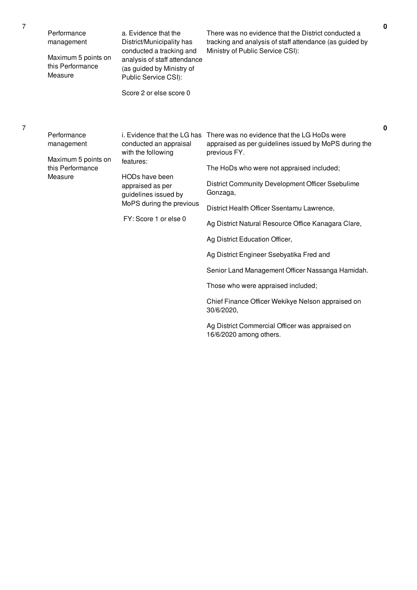| Performance<br>management<br>Maximum 5 points on<br>this Performance<br>Measure | a. Evidence that the<br>District/Municipality has<br>conducted a tracking and<br>analysis of staff attendance<br>(as guided by Ministry of<br>Public Service CSI):<br>Score 2 or else score 0               | There was no evidence that the District conducted a<br>tracking and analysis of staff attendance (as guided by<br>Ministry of Public Service CSI):                                                                                                                                                                                                                                                                                                                                                                                                                                | $\mathbf 0$ |
|---------------------------------------------------------------------------------|-------------------------------------------------------------------------------------------------------------------------------------------------------------------------------------------------------------|-----------------------------------------------------------------------------------------------------------------------------------------------------------------------------------------------------------------------------------------------------------------------------------------------------------------------------------------------------------------------------------------------------------------------------------------------------------------------------------------------------------------------------------------------------------------------------------|-------------|
| Performance<br>management<br>Maximum 5 points on<br>this Performance<br>Measure | i. Evidence that the LG has<br>conducted an appraisal<br>with the following<br>features:<br>HODs have been<br>appraised as per<br>guidelines issued by<br>MoPS during the previous<br>FY: Score 1 or else 0 | There was no evidence that the LG HoDs were<br>appraised as per guidelines issued by MoPS during the<br>previous FY.<br>The HoDs who were not appraised included;<br>District Community Development Officer Ssebulime<br>Gonzaga,<br>District Health Officer Ssentamu Lawrence,<br>Ag District Natural Resource Office Kanagara Clare,<br>Ag District Education Officer,<br>Ag District Engineer Ssebyatika Fred and<br>Senior Land Management Officer Nassanga Hamidah.<br>Those who were appraised included;<br>Chief Finance Officer Wekikye Nelson appraised on<br>30/6/2020, | 0           |

7

7

Ag District Commercial Officer was appraised on 16/6/2020 among others.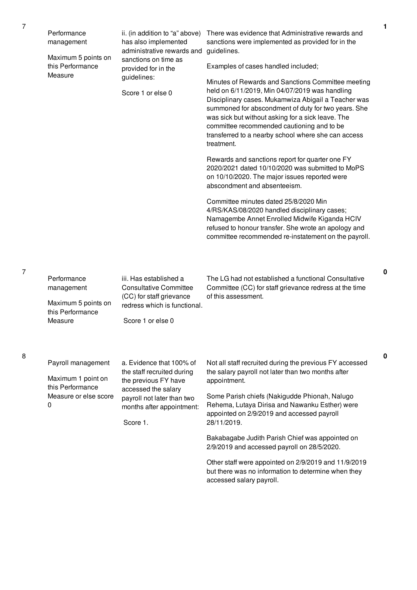| Performance<br>management<br>Maximum 5 points on<br>this Performance<br>Measure            | ii. (in addition to "a" above)<br>has also implemented<br>administrative rewards and<br>sanctions on time as<br>provided for in the<br>guidelines:<br>Score 1 or else 0      | There was evidence that Administrative rewards and<br>sanctions were implemented as provided for in the<br>guidelines.<br>Examples of cases handled included;<br>Minutes of Rewards and Sanctions Committee meeting<br>held on 6/11/2019, Min 04/07/2019 was handling<br>Disciplinary cases. Mukamwiza Abigail a Teacher was<br>summoned for abscondment of duty for two years. She<br>was sick but without asking for a sick leave. The<br>committee recommended cautioning and to be<br>transferred to a nearby school where she can access<br>treatment.<br>Rewards and sanctions report for quarter one FY<br>2020/2021 dated 10/10/2020 was submitted to MoPS<br>on 10/10/2020. The major issues reported were<br>abscondment and absenteeism.<br>Committee minutes dated 25/8/2020 Min<br>4/RS/KAS/08/2020 handled disciplinary cases;<br>Namagembe Annet Enrolled Midwife Kiganda HCIV<br>refused to honour transfer. She wrote an apology and<br>committee recommended re-instatement on the payroll. |
|--------------------------------------------------------------------------------------------|------------------------------------------------------------------------------------------------------------------------------------------------------------------------------|---------------------------------------------------------------------------------------------------------------------------------------------------------------------------------------------------------------------------------------------------------------------------------------------------------------------------------------------------------------------------------------------------------------------------------------------------------------------------------------------------------------------------------------------------------------------------------------------------------------------------------------------------------------------------------------------------------------------------------------------------------------------------------------------------------------------------------------------------------------------------------------------------------------------------------------------------------------------------------------------------------------|
| Performance<br>management<br>Maximum 5 points on<br>this Performance<br>Measure            | iii. Has established a<br><b>Consultative Committee</b><br>(CC) for staff grievance<br>redress which is functional.<br>Score 1 or else 0                                     | The LG had not established a functional Consultative<br>Committee (CC) for staff grievance redress at the time<br>of this assessment.                                                                                                                                                                                                                                                                                                                                                                                                                                                                                                                                                                                                                                                                                                                                                                                                                                                                         |
| Payroll management<br>Maximum 1 point on<br>this Performance<br>Measure or else score<br>0 | a. Evidence that 100% of<br>the staff recruited during<br>the previous FY have<br>accessed the salary<br>payroll not later than two<br>months after appointment:<br>Score 1. | Not all staff recruited during the previous FY accessed<br>the salary payroll not later than two months after<br>appointment.<br>Some Parish chiefs (Nakigudde Phionah, Nalugo<br>Rehema, Lutaya Dirisa and Nawanku Esther) were<br>appointed on 2/9/2019 and accessed payroll<br>28/11/2019.<br>Bakabagabe Judith Parish Chief was appointed on<br>2/9/2019 and accessed payroll on 28/5/2020.<br>Other staff were appointed on 2/9/2019 and 11/9/2019<br>but there was no information to determine when they<br>accessed salary payroll.                                                                                                                                                                                                                                                                                                                                                                                                                                                                    |

7

8

**0**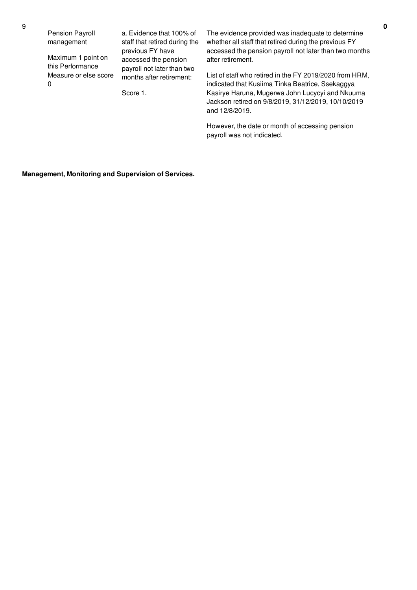Pension Payroll management

Maximum 1 point on this Performance Measure or else score  $\Omega$ 

a. Evidence that 100% of staff that retired during the previous FY have accessed the pension payroll not later than two months after retirement:

Score 1.

The evidence provided was inadequate to determine whether all staff that retired during the previous FY accessed the pension payroll not later than two months after retirement.

List of staff who retired in the FY 2019/2020 from HRM, indicated that Kusiima Tinka Beatrice, Ssekaggya Kasirye Haruna, Mugerwa John Lucycyi and Nkuuma Jackson retired on 9/8/2019, 31/12/2019, 10/10/2019 and 12/8/2019.

However, the date or month of accessing pension payroll was not indicated.

**Management, Monitoring and Supervision of Services.**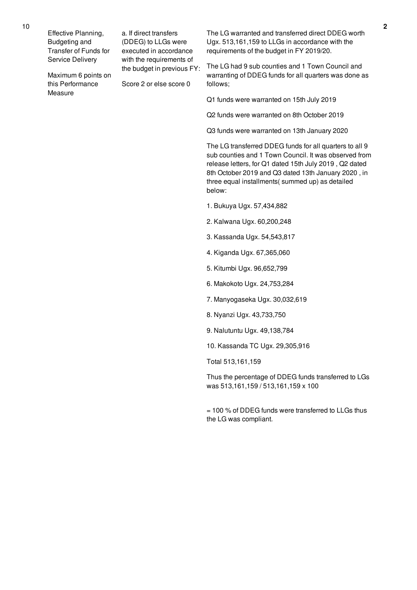Effective Planning, Budgeting and Transfer of Funds for Service Delivery

Maximum 6 points on this Performance Measure

a. If direct transfers (DDEG) to LLGs were executed in accordance with the requirements of the budget in previous FY:

Score 2 or else score 0

The LG warranted and transferred direct DDEG worth Ugx. 513,161,159 to LLGs in accordance with the requirements of the budget in FY 2019/20.

The LG had 9 sub counties and 1 Town Council and warranting of DDEG funds for all quarters was done as follows;

Q1 funds were warranted on 15th July 2019

Q2 funds were warranted on 8th October 2019

Q3 funds were warranted on 13th January 2020

The LG transferred DDEG funds for all quarters to all 9 sub counties and 1 Town Council. It was observed from release letters, for Q1 dated 15th July 2019 , Q2 dated 8th October 2019 and Q3 dated 13th January 2020 , in three equal installments( summed up) as detailed below:

- 1. Bukuya Ugx. 57,434,882
- 2. Kalwana Ugx. 60,200,248
- 3. Kassanda Ugx. 54,543,817
- 4. Kiganda Ugx. 67,365,060
- 5. Kitumbi Ugx. 96,652,799
- 6. Makokoto Ugx. 24,753,284
- 7. Manyogaseka Ugx. 30,032,619
- 8. Nyanzi Ugx. 43,733,750
- 9. Nalutuntu Ugx. 49,138,784
- 10. Kassanda TC Ugx. 29,305,916

Total 513,161,159

Thus the percentage of DDEG funds transferred to LGs was 513,161,159 / 513,161,159 x 100

 $= 100$  % of DDEG funds were transferred to LLGs thus the LG was compliant.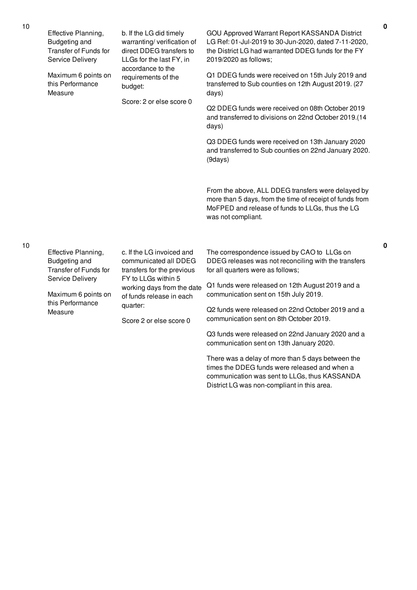|  | Effective Planning,<br>Budgeting and<br>Transfer of Funds for<br>Service Delivery                                                                   | b. If the LG did timely<br>warranting/verification of<br>direct DDEG transfers to<br>LLGs for the last FY, in<br>accordance to the<br>requirements of the<br>budget:<br>Score: 2 or else score 0 | GOU Approved Warrant Report KASSANDA District<br>LG Ref: 01-Jul-2019 to 30-Jun-2020, dated 7-11-2020,<br>the District LG had warranted DDEG funds for the FY<br>2019/2020 as follows;              |
|--|-----------------------------------------------------------------------------------------------------------------------------------------------------|--------------------------------------------------------------------------------------------------------------------------------------------------------------------------------------------------|----------------------------------------------------------------------------------------------------------------------------------------------------------------------------------------------------|
|  | Maximum 6 points on<br>this Performance<br>Measure                                                                                                  |                                                                                                                                                                                                  | Q1 DDEG funds were received on 15th July 2019 and<br>transferred to Sub counties on 12th August 2019. (27<br>days)                                                                                 |
|  |                                                                                                                                                     |                                                                                                                                                                                                  | Q2 DDEG funds were received on 08th October 2019<br>and transferred to divisions on 22nd October 2019.(14<br>days)                                                                                 |
|  |                                                                                                                                                     |                                                                                                                                                                                                  | Q3 DDEG funds were received on 13th January 2020<br>and transferred to Sub counties on 22nd January 2020.<br>(9days)                                                                               |
|  |                                                                                                                                                     |                                                                                                                                                                                                  | From the above, ALL DDEG transfers were delayed by<br>more than 5 days, from the time of receipt of funds from<br>MoFPED and release of funds to LLGs, thus the LG<br>was not compliant.           |
|  | Effective Planning,<br>Budgeting and<br>Transfer of Funds for<br>Service Delivery                                                                   | c. If the LG invoiced and<br>communicated all DDEG<br>transfers for the previous<br>FY to LLGs within 5                                                                                          | The correspondence issued by CAO to LLGs on<br>DDEG releases was not reconciling with the transfers<br>for all quarters were as follows;                                                           |
|  | working days from the date<br>Maximum 6 points on<br>of funds release in each<br>this Performance<br>quarter:<br>Measure<br>Score 2 or else score 0 | Q1 funds were released on 12th August 2019 and a<br>communication sent on 15th July 2019.                                                                                                        |                                                                                                                                                                                                    |
|  |                                                                                                                                                     | Q2 funds were released on 22nd October 2019 and a<br>communication sent on 8th October 2019.                                                                                                     |                                                                                                                                                                                                    |
|  |                                                                                                                                                     |                                                                                                                                                                                                  | Q3 funds were released on 22nd January 2020 and a<br>communication sent on 13th January 2020.                                                                                                      |
|  |                                                                                                                                                     |                                                                                                                                                                                                  | There was a delay of more than 5 days between the<br>times the DDEG funds were released and when a<br>communication was sent to LLGs, thus KASSANDA<br>District LG was non-compliant in this area. |

**0**

**0**

10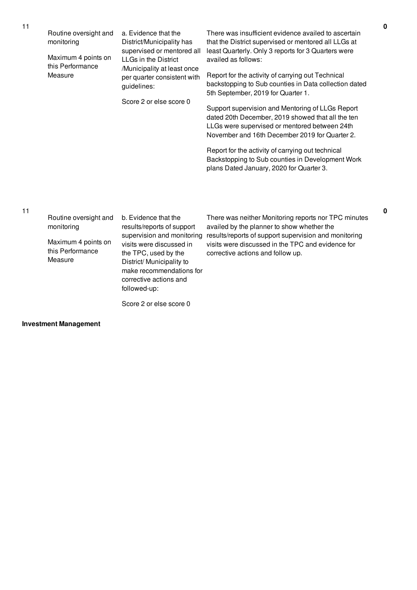| Routine oversight and<br>monitoring<br>Maximum 4 points on<br>this Performance<br>Measure | a. Evidence that the<br>District/Municipality has<br>supervised or mentored all<br>LLGs in the District<br>/Municipality at least once<br>per quarter consistent with<br>guidelines:<br>Score 2 or else score 0 | There was insufficient evidence availed to ascertain<br>that the District supervised or mentored all LLGs at<br>least Quarterly. Only 3 reports for 3 Quarters were<br>availed as follows:<br>Report for the activity of carrying out Technical<br>backstopping to Sub counties in Data collection dated<br>5th September, 2019 for Quarter 1.<br>Support supervision and Mentoring of LLGs Report<br>dated 20th December, 2019 showed that all the ten<br>LLGs were supervised or mentored between 24th<br>November and 16th December 2019 for Quarter 2.<br>Report for the activity of carrying out technical<br>Backstopping to Sub counties in Development Work<br>plans Dated January, 2020 for Quarter 3. |
|-------------------------------------------------------------------------------------------|-----------------------------------------------------------------------------------------------------------------------------------------------------------------------------------------------------------------|-----------------------------------------------------------------------------------------------------------------------------------------------------------------------------------------------------------------------------------------------------------------------------------------------------------------------------------------------------------------------------------------------------------------------------------------------------------------------------------------------------------------------------------------------------------------------------------------------------------------------------------------------------------------------------------------------------------------|
| Routine oversight and<br>monitoring<br>Maximum 4 points on                                | b. Evidence that the<br>results/reports of support<br>supervision and monitoring<br>visits were discussed in                                                                                                    | There was neither Monitoring reports nor TPC minutes<br>availed by the planner to show whether the<br>results/reports of support supervision and monitoring<br>visits were discussed in the TPC and evidence for                                                                                                                                                                                                                                                                                                                                                                                                                                                                                                |

corrective actions and follow up.

**0**

**0**

Maximum 4 points on this Performance Measure

visits were discussed in the TPC, used by the District/ Municipality to make recommendations for corrective actions and followed-up:

Score 2 or else score 0

## **Investment Management**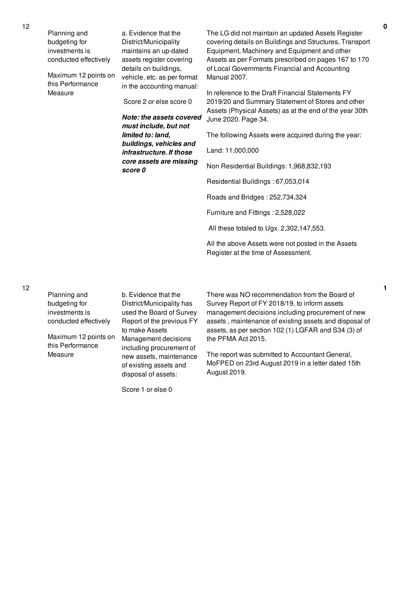| Planning and<br>budgeting for<br>investments is<br>conducted effectively | a. Evidence that the<br>District/Municipality<br>maintains an up-dated<br>assets register covering<br>details on buildings, | The LG did not maintain an updated Assets Register<br>covering details on Buildings and Structures, Transport<br>Equipment, Machinery and Equipment and other<br>Assets as per Formats prescribed on pages 167 to 170<br>of Local Governments Financial and Accounting |
|--------------------------------------------------------------------------|-----------------------------------------------------------------------------------------------------------------------------|------------------------------------------------------------------------------------------------------------------------------------------------------------------------------------------------------------------------------------------------------------------------|
| Maximum 12 points on<br>this Performance                                 | vehicle, etc. as per format<br>in the accounting manual:                                                                    | Manual 2007.                                                                                                                                                                                                                                                           |
| Measure                                                                  | Score 2 or else score 0                                                                                                     | In reference to the Draft Financial Statements FY<br>2019/20 and Summary Statement of Stores and other                                                                                                                                                                 |
|                                                                          | Note: the assets covered<br>must include, but not                                                                           | Assets (Physical Assets) as at the end of the year 30th<br>June 2020. Page 34.                                                                                                                                                                                         |
|                                                                          | limited to: land,<br>buildings, vehicles and<br>infrastructure. If those<br>core assets are missing<br>score 0              | The following Assets were acquired during the year:                                                                                                                                                                                                                    |
|                                                                          |                                                                                                                             | Land: 11,000,000                                                                                                                                                                                                                                                       |
|                                                                          |                                                                                                                             | Non Residential Buildings: 1,968,832,193                                                                                                                                                                                                                               |
|                                                                          |                                                                                                                             | Residential Buildings: 67,053,014                                                                                                                                                                                                                                      |
|                                                                          |                                                                                                                             | Roads and Bridges: 252,734,324                                                                                                                                                                                                                                         |
|                                                                          |                                                                                                                             | Furniture and Fittings: 2,528,022                                                                                                                                                                                                                                      |
|                                                                          |                                                                                                                             | All these totaled to Ugx. 2,302,147,553.                                                                                                                                                                                                                               |
|                                                                          |                                                                                                                             | All the above Assets were not posted in the Assets<br>Register at the time of Assessment.                                                                                                                                                                              |
|                                                                          |                                                                                                                             |                                                                                                                                                                                                                                                                        |

12

| Planning and                | b. Evidence that the                                                                                 | There w                              |
|-----------------------------|------------------------------------------------------------------------------------------------------|--------------------------------------|
| budgeting for               | District/Municipality has                                                                            | Survey I                             |
| investments is              | used the Board of Survey                                                                             | manage                               |
| conducted effectively       | Report of the previous FY                                                                            | assets,                              |
|                             | to make Assets                                                                                       | assets, a                            |
| Maximum 12 points on        | Management decisions                                                                                 | the PFM                              |
| this Performance<br>Measure | including procurement of<br>new assets, maintenance<br>of existing assets and<br>disposal of assets: | The rep<br><b>MoFPEI</b><br>August 2 |

Score 1 or else 0

as NO recommendation from the Board of Report of FY 2018/19, to inform assets ment decisions including procurement of new maintenance of existing assets and disposal of as per section 102 (1) LGFAR and S34 (3) of 1A Act 2015.

ort was submitted to Accountant General, D on 23rd August 2019 in a letter dated 15th 2019.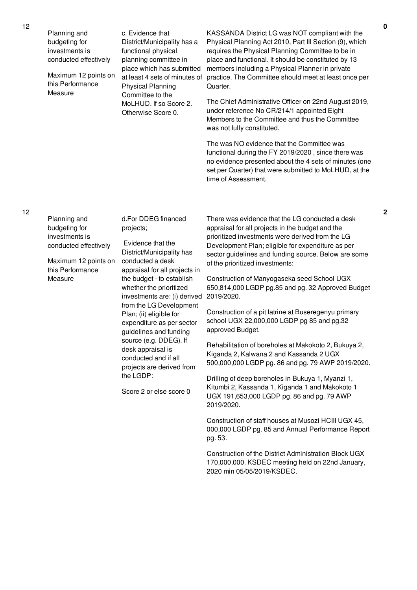| Planning and<br>budgeting for<br>investments is<br>conducted effectively<br>Maximum 12 points on<br>this Performance<br>Measure | c. Evidence that<br>District/Municipality has a<br>functional physical<br>planning committee in<br>place which has submitted<br>at least 4 sets of minutes of<br><b>Physical Planning</b><br>Committee to the<br>MoLHUD. If so Score 2.<br>Otherwise Score 0.                                                                                                                                                                                                                            | KASSANDA District LG was NOT compliant with the<br>Physical Planning Act 2010, Part III Section (9), which<br>requires the Physical Planning Committee to be in<br>place and functional. It should be constituted by 13<br>members including a Physical Planner in private<br>practice. The Committee should meet at least once per<br>Quarter.<br>The Chief Administrative Officer on 22nd August 2019,<br>under reference No CR/214/1 appointed Eight<br>Members to the Committee and thus the Committee<br>was not fully constituted.<br>The was NO evidence that the Committee was<br>functional during the FY 2019/2020, since there was<br>no evidence presented about the 4 sets of minutes (one<br>set per Quarter) that were submitted to MoLHUD, at the<br>time of Assessment.                                                                                                                                                                                                                |
|---------------------------------------------------------------------------------------------------------------------------------|------------------------------------------------------------------------------------------------------------------------------------------------------------------------------------------------------------------------------------------------------------------------------------------------------------------------------------------------------------------------------------------------------------------------------------------------------------------------------------------|---------------------------------------------------------------------------------------------------------------------------------------------------------------------------------------------------------------------------------------------------------------------------------------------------------------------------------------------------------------------------------------------------------------------------------------------------------------------------------------------------------------------------------------------------------------------------------------------------------------------------------------------------------------------------------------------------------------------------------------------------------------------------------------------------------------------------------------------------------------------------------------------------------------------------------------------------------------------------------------------------------|
| Planning and<br>budgeting for<br>investments is<br>conducted effectively<br>Maximum 12 points on<br>this Performance<br>Measure | d.For DDEG financed<br>projects;<br>Evidence that the<br>District/Municipality has<br>conducted a desk<br>appraisal for all projects in<br>the budget - to establish<br>whether the prioritized<br>investments are: (i) derived<br>from the LG Development<br>Plan; (ii) eligible for<br>expenditure as per sector<br>guidelines and funding<br>source (e.g. DDEG). If<br>desk appraisal is<br>conducted and if all<br>projects are derived from<br>the LGDP:<br>Score 2 or else score 0 | There was evidence that the LG conducted a desk<br>appraisal for all projects in the budget and the<br>prioritized investments were derived from the LG<br>Development Plan; eligible for expenditure as per<br>sector guidelines and funding source. Below are some<br>of the prioritized investments:<br>Construction of Manyogaseka seed School UGX<br>650,814,000 LGDP pg.85 and pg. 32 Approved Budget<br>2019/2020.<br>Construction of a pit latrine at Buseregenyu primary<br>school UGX 22,000,000 LGDP pg 85 and pg.32<br>approved Budget.<br>Rehabilitation of boreholes at Makokoto 2, Bukuya 2,<br>Kiganda 2, Kalwana 2 and Kassanda 2 UGX<br>500,000,000 LGDP pg. 86 and pg. 79 AWP 2019/2020.<br>Drilling of deep boreholes in Bukuya 1, Myanzi 1,<br>Kitumbi 2, Kassanda 1, Kiganda 1 and Makokoto 1<br>UGX 191,653,000 LGDP pg. 86 and pg. 79 AWP<br>2019/2020.<br>Construction of staff houses at Musozi HCIII UGX 45,<br>000,000 LGDP pg. 85 and Annual Performance Report<br>pg. 53. |

Construction of the District Administration Block UGX 170,000,000. KSDEC meeting held on 22nd January, 2020 min 05/05/2019/KSDEC.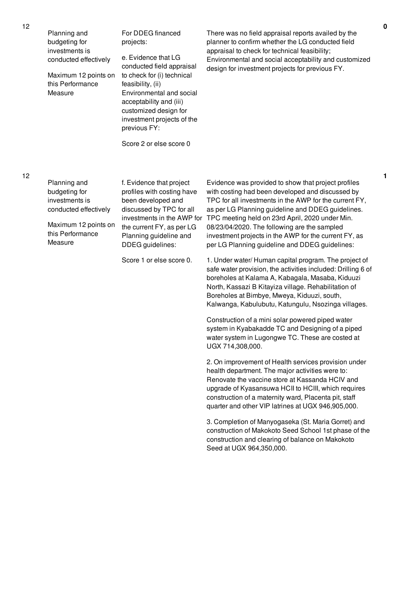| Planning and          | For DDEG financed          |
|-----------------------|----------------------------|
| budgeting for         | projects:                  |
| investments is        |                            |
| conducted effectively | e. Evidence that LG        |
|                       | conducted field appraisal  |
| Maximum 12 points on  | to check for (i) technical |
| this Performance      | feasibility, (ii)          |
| Measure               | Environmental and social   |
|                       | acceptability and (iii)    |

There was no field appraisal reports availed by the planner to confirm whether the LG conducted field appraisal to check for technical feasibility; Environmental and social acceptability and customized design for investment projects for previous FY.

12

12

| Planning and<br>budgeting for<br>investments is | f. Evidence that project<br>profiles with costing have<br>been developed and | Evidence was provided to show that project profiles<br>with costing had been developed and discussed by<br>TPC for all investments in the AWP for the current FY |                                                                                                                                                                                                            |
|-------------------------------------------------|------------------------------------------------------------------------------|------------------------------------------------------------------------------------------------------------------------------------------------------------------|------------------------------------------------------------------------------------------------------------------------------------------------------------------------------------------------------------|
|                                                 | conducted effectively                                                        | discussed by TPC for all                                                                                                                                         | as per LG Planning guideline and DDEG guidelines.                                                                                                                                                          |
|                                                 | Maximum 12 points on<br>this Performance<br>Measure                          | investments in the AWP for<br>the current FY, as per LG<br>Planning guideline and<br>DDEG guidelines:                                                            | TPC meeting held on 23rd April, 2020 under Min.<br>08/23/04/2020. The following are the sampled<br>investment projects in the AWP for the current FY, as<br>per LG Planning guideline and DDEG guidelines: |
|                                                 |                                                                              | Score 1 or else score 0.                                                                                                                                         | 1. Under water/Human capital program. The project of                                                                                                                                                       |

customized design for investment projects of the

Score 2 or else score 0

previous FY:

1. Under water/ Human capital program. The project of safe water provision, the activities included: Drilling 6 of boreholes at Kalama A, Kabagala, Masaba, Kiduuzi North, Kassazi B Kitayiza village. Rehabilitation of Boreholes at Bimbye, Mweya, Kiduuzi, south, Kalwanga, Kabulubutu, Katungulu, Nsozinga villages.

Construction of a mini solar powered piped water system in Kyabakadde TC and Designing of a piped water system in Lugongwe TC. These are costed at UGX 714,308,000.

2. On improvement of Health services provision under health department. The major activities were to: Renovate the vaccine store at Kassanda HCIV and upgrade of Kyasansuwa HCII to HCIII, which requires construction of a maternity ward, Placenta pit, staff quarter and other VIP latrines at UGX 946,905,000.

3. Completion of Manyogaseka (St. Maria Gorret) and construction of Makokoto Seed School 1st phase of the construction and clearing of balance on Makokoto Seed at UGX 964,350,000.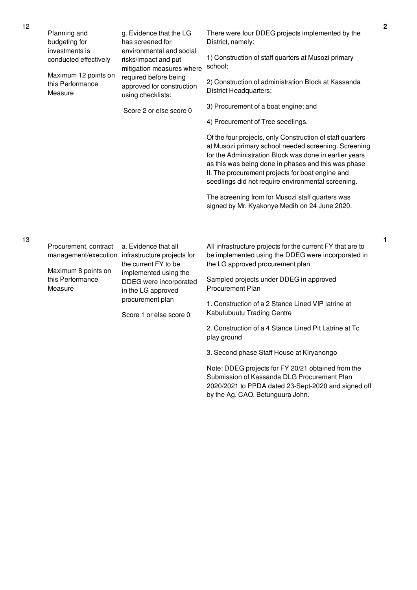|  | Planning and<br>budgeting for                       | g. Evidence that the LG<br>has screened for                                                                                                              | There were four DDEG projects implemented by the<br>District, namely:                                                                                                                                                                                                                                                                        | $\overline{\mathbf{2}}$ |
|--|-----------------------------------------------------|----------------------------------------------------------------------------------------------------------------------------------------------------------|----------------------------------------------------------------------------------------------------------------------------------------------------------------------------------------------------------------------------------------------------------------------------------------------------------------------------------------------|-------------------------|
|  | investments is<br>conducted effectively             | environmental and social<br>risks/impact and put<br>mitigation measures where<br>required before being<br>approved for construction<br>using checklists: | 1) Construction of staff quarters at Musozi primary<br>school;                                                                                                                                                                                                                                                                               |                         |
|  | Maximum 12 points on<br>this Performance<br>Measure |                                                                                                                                                          | 2) Construction of administration Block at Kassanda<br>District Headquarters;                                                                                                                                                                                                                                                                |                         |
|  |                                                     | Score 2 or else score 0                                                                                                                                  | 3) Procurement of a boat engine; and                                                                                                                                                                                                                                                                                                         |                         |
|  |                                                     |                                                                                                                                                          | 4) Procurement of Tree seedlings.                                                                                                                                                                                                                                                                                                            |                         |
|  |                                                     |                                                                                                                                                          | Of the four projects, only Construction of staff quarters<br>at Musozi primary school needed screening. Screening<br>for the Administration Block was done in earlier years<br>as this was being done in phases and this was phase<br>II. The procurement projects for boat engine and<br>seedlings did not require environmental screening. |                         |
|  |                                                     |                                                                                                                                                          | The screening from for Musozi staff quarters was<br>signed by Mr. Kyakonye Medih on 24 June 2020.                                                                                                                                                                                                                                            |                         |
|  |                                                     |                                                                                                                                                          |                                                                                                                                                                                                                                                                                                                                              |                         |
|  | Procurement, contract                               | a. Evidence that all<br>management/execution infrastructure projects for<br>the current FY to be                                                         | All infrastructure projects for the current FY that are to<br>be implemented using the DDEG were incorporated in<br>the LG approved procurement plan                                                                                                                                                                                         | 1                       |
|  | Maximum 8 points on<br>this Performance<br>Measure  | implemented using the<br>DDEG were incorporated<br>in the LG approved<br>procurement plan<br>Score 1 or else score 0                                     | Sampled projects under DDEG in approved<br>Procurement Plan                                                                                                                                                                                                                                                                                  |                         |
|  |                                                     |                                                                                                                                                          | 1. Construction of a 2 Stance Lined VIP latrine at<br>Kabulubuutu Trading Centre                                                                                                                                                                                                                                                             |                         |
|  |                                                     |                                                                                                                                                          | 2. Construction of a 4 Stance Lined Pit Latrine at Tc<br>play ground                                                                                                                                                                                                                                                                         |                         |
|  |                                                     |                                                                                                                                                          | 3. Second phase Staff House at Kiryanongo                                                                                                                                                                                                                                                                                                    |                         |
|  |                                                     |                                                                                                                                                          | Note: DDEG projects for FY 20/21 obtained from the<br>Submission of Kassanda DLG Procurement Plan                                                                                                                                                                                                                                            |                         |

2020/2021 to PPDA dated 23-Sept-2020 and signed off

by the Ag. CAO, Betunguura John.

12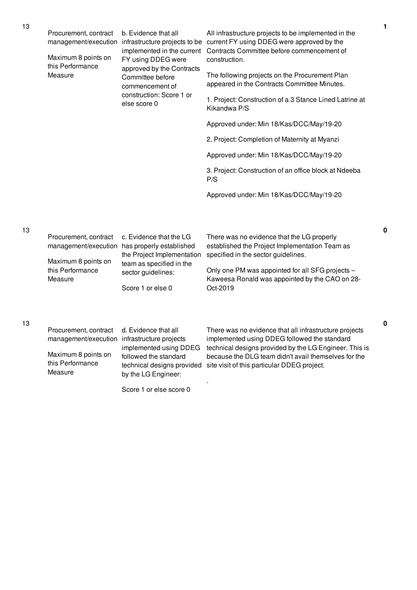| 13<br>Procurement, contract<br>management/execution<br>Maximum 8 points on | b. Evidence that all<br>implemented in the current<br>FY using DDEG were | All infrastructure projects to be implemented in the<br>infrastructure projects to be current FY using DDEG were approved by the<br>Contracts Committee before commencement of<br>construction. |                                                                                                                                                                  |           |
|----------------------------------------------------------------------------|--------------------------------------------------------------------------|-------------------------------------------------------------------------------------------------------------------------------------------------------------------------------------------------|------------------------------------------------------------------------------------------------------------------------------------------------------------------|-----------|
|                                                                            | this Performance<br>Measure                                              | approved by the Contracts<br>Committee before<br>commencement of                                                                                                                                | The following projects on the Procurement Plan<br>appeared in the Contracts Committee Minutes.                                                                   |           |
|                                                                            |                                                                          | construction: Score 1 or<br>else score 0                                                                                                                                                        | 1. Project: Construction of a 3 Stance Lined Latrine at<br>Kikandwa P/S                                                                                          |           |
|                                                                            |                                                                          |                                                                                                                                                                                                 | Approved under: Min 18/Kas/DCC/May/19-20                                                                                                                         |           |
|                                                                            |                                                                          |                                                                                                                                                                                                 | 2. Project: Completion of Maternity at Myanzi                                                                                                                    |           |
|                                                                            |                                                                          |                                                                                                                                                                                                 | Approved under: Min 18/Kas/DCC/May/19-20                                                                                                                         |           |
|                                                                            |                                                                          |                                                                                                                                                                                                 | 3. Project: Construction of an office block at Ndeeba<br>P/S                                                                                                     |           |
|                                                                            |                                                                          |                                                                                                                                                                                                 | Approved under: Min 18/Kas/DCC/May/19-20                                                                                                                         |           |
|                                                                            |                                                                          |                                                                                                                                                                                                 |                                                                                                                                                                  |           |
| 13                                                                         | Procurement, contract<br>management/execution                            | c. Evidence that the LG<br>has properly established<br>the Project Implementation                                                                                                               | There was no evidence that the LG properly<br>established the Project Implementation Team as<br>specified in the sector guidelines.                              | $\pmb{0}$ |
|                                                                            | Maximum 8 points on<br>this Performance<br>Measure                       | team as specified in the<br>sector guidelines:<br>Score 1 or else 0                                                                                                                             | Only one PM was appointed for all SFG projects -<br>Kaweesa Ronald was appointed by the CAO on 28-<br>Oct-2019                                                   |           |
| 13                                                                         | Procurement, contract<br>management/execution                            | d. Evidence that all<br>infrastructure projects<br>implemented using DDEG                                                                                                                       | There was no evidence that all infrastructure projects<br>implemented using DDEG followed the standard<br>technical designs provided by the LG Engineer. This is | $\pmb{0}$ |
|                                                                            | Maximum 8 points on<br>this Performance<br>Measure                       | followed the standard<br>technical designs provided<br>by the LG Engineer:                                                                                                                      | because the DLG team didn't avail themselves for the<br>site visit of this particular DDEG project.                                                              |           |

.

Score 1 or else score 0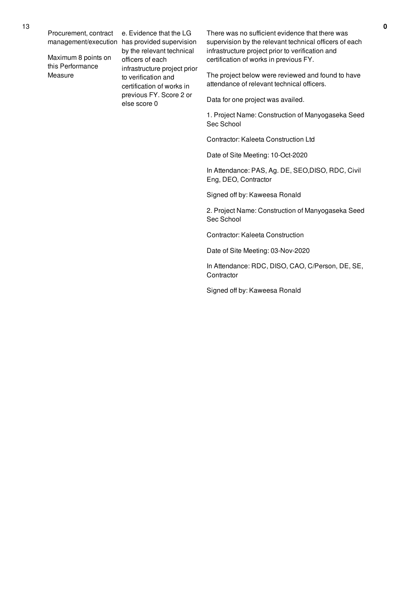Procurement, contract

Maximum 8 points on this Performance Measure

management/execution has provided supervision e. Evidence that the LG by the relevant technical officers of each infrastructure project prior to verification and certification of works in previous FY. Score 2 or else score 0

There was no sufficient evidence that there was supervision by the relevant technical officers of each infrastructure project prior to verification and certification of works in previous FY.

The project below were reviewed and found to have attendance of relevant technical officers.

Data for one project was availed.

1. Project Name: Construction of Manyogaseka Seed Sec School

Contractor: Kaleeta Construction Ltd

Date of Site Meeting: 10-Oct-2020

In Attendance: PAS, Ag. DE, SEO,DISO, RDC, Civil Eng, DEO, Contractor

Signed off by: Kaweesa Ronald

2. Project Name: Construction of Manyogaseka Seed Sec School

Contractor: Kaleeta Construction

Date of Site Meeting: 03-Nov-2020

In Attendance: RDC, DISO, CAO, C/Person, DE, SE, **Contractor** 

Signed off by: Kaweesa Ronald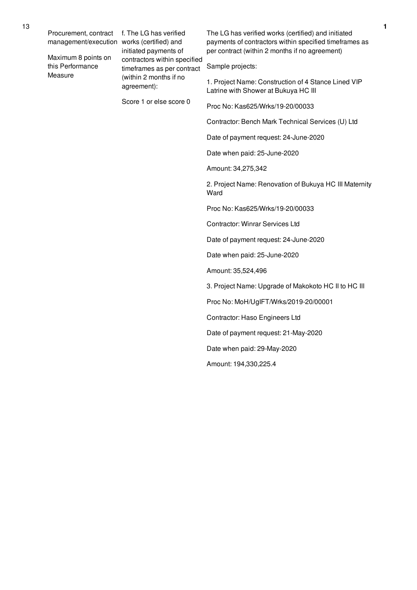Procurement, contract management/execution works (certified) and

Maximum 8 points on this Performance Measure

f. The LG has verified initiated payments of contractors within specified timeframes as per contract (within 2 months if no agreement):

Score 1 or else score 0

The LG has verified works (certified) and initiated payments of contractors within specified timeframes as per contract (within 2 months if no agreement)

Sample projects:

1. Project Name: Construction of 4 Stance Lined VIP Latrine with Shower at Bukuya HC III

Proc No: Kas625/Wrks/19-20/00033

Contractor: Bench Mark Technical Services (U) Ltd

Date of payment request: 24-June-2020

Date when paid: 25-June-2020

Amount: 34,275,342

2. Project Name: Renovation of Bukuya HC III Maternity Ward

Proc No: Kas625/Wrks/19-20/00033

Contractor: Winrar Services Ltd

Date of payment request: 24-June-2020

Date when paid: 25-June-2020

Amount: 35,524,496

3. Project Name: Upgrade of Makokoto HC II to HC III

Proc No: MoH/UgIFT/Wrks/2019-20/00001

Contractor: Haso Engineers Ltd

Date of payment request: 21-May-2020

Date when paid: 29-May-2020

Amount: 194,330,225.4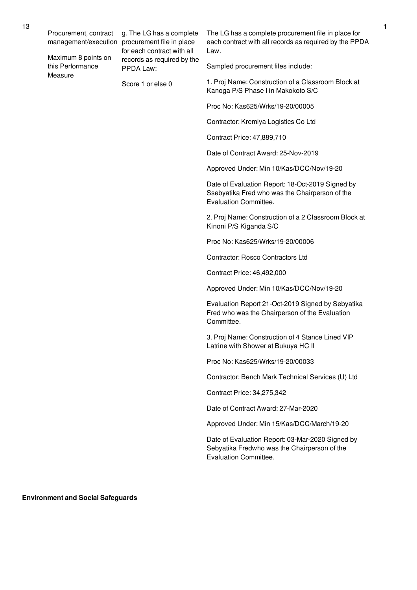Procurement, contract

Maximum 8 points on this Performance Measure

management/execution procurement file in place g. The LG has a complete for each contract with all records as required by the PPDA Law:

Score 1 or else 0

The LG has a complete procurement file in place for each contract with all records as required by the PPDA Law.

Sampled procurement files include:

1. Proj Name: Construction of a Classroom Block at Kanoga P/S Phase I in Makokoto S/C

Proc No: Kas625/Wrks/19-20/00005

Contractor: Kremiya Logistics Co Ltd

Contract Price: 47,889,710

Date of Contract Award: 25-Nov-2019

Approved Under: Min 10/Kas/DCC/Nov/19-20

Date of Evaluation Report: 18-Oct-2019 Signed by Ssebyatika Fred who was the Chairperson of the Evaluation Committee.

2. Proj Name: Construction of a 2 Classroom Block at Kinoni P/S Kiganda S/C

Proc No: Kas625/Wrks/19-20/00006

Contractor: Rosco Contractors Ltd

Contract Price: 46,492,000

Approved Under: Min 10/Kas/DCC/Nov/19-20

Evaluation Report 21-Oct-2019 Signed by Sebyatika Fred who was the Chairperson of the Evaluation Committee.

3. Proj Name: Construction of 4 Stance Lined VIP Latrine with Shower at Bukuya HC II

Proc No: Kas625/Wrks/19-20/00033

Contractor: Bench Mark Technical Services (U) Ltd

Contract Price: 34,275,342

Date of Contract Award: 27-Mar-2020

Approved Under: Min 15/Kas/DCC/March/19-20

Date of Evaluation Report: 03-Mar-2020 Signed by Sebyatika Fredwho was the Chairperson of the Evaluation Committee.

**Environment and Social Safeguards**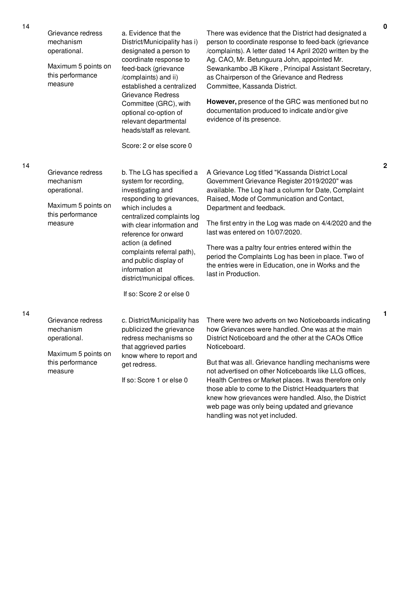| Grievance redress<br>mechanism<br>operational.<br>Maximum 5 points on<br>this performance<br>measure | a. Evidence that the<br>District/Municipality has i)<br>designated a person to<br>coordinate response to<br>feed-back (grievance<br>/complaints) and ii)<br>established a centralized<br><b>Grievance Redress</b><br>Committee (GRC), with<br>optional co-option of<br>relevant departmental<br>heads/staff as relevant.<br>Score: 2 or else score 0                  | There was evidence that the District had designated a<br>person to coordinate response to feed-back (grievance<br>/complaints). A letter dated 14 April 2020 written by the<br>Ag. CAO, Mr. Betunguura John, appointed Mr.<br>Sewankambo JB Kikere, Principal Assistant Secretary,<br>as Chairperson of the Grievance and Redress<br>Committee, Kassanda District.<br>However, presence of the GRC was mentioned but no<br>documentation produced to indicate and/or give<br>evidence of its presence.                          |
|------------------------------------------------------------------------------------------------------|-----------------------------------------------------------------------------------------------------------------------------------------------------------------------------------------------------------------------------------------------------------------------------------------------------------------------------------------------------------------------|---------------------------------------------------------------------------------------------------------------------------------------------------------------------------------------------------------------------------------------------------------------------------------------------------------------------------------------------------------------------------------------------------------------------------------------------------------------------------------------------------------------------------------|
| Grievance redress<br>mechanism<br>operational.<br>Maximum 5 points on<br>this performance<br>measure | b. The LG has specified a<br>system for recording,<br>investigating and<br>responding to grievances,<br>which includes a<br>centralized complaints log<br>with clear information and<br>reference for onward<br>action (a defined<br>complaints referral path),<br>and public display of<br>information at<br>district/municipal offices.<br>If so: Score 2 or else 0 | A Grievance Log titled "Kassanda District Local<br>Government Grievance Register 2019/2020" was<br>available. The Log had a column for Date, Complaint<br>Raised, Mode of Communication and Contact,<br>Department and feedback.<br>The first entry in the Log was made on 4/4/2020 and the<br>last was entered on 10/07/2020.<br>There was a paltry four entries entered within the<br>period the Complaints Log has been in place. Two of<br>the entries were in Education, one in Works and the<br>last in Production.       |
| Grievance redress<br>mechanism<br>operational.<br>Maximum 5 points on<br>this performance<br>measure | c. District/Municipality has<br>publicized the grievance<br>redress mechanisms so<br>that aggrieved parties<br>know where to report and<br>get redress.<br>If so: Score 1 or else 0                                                                                                                                                                                   | There were two adverts on two Noticeboards indicating<br>how Grievances were handled. One was at the main<br>District Noticeboard and the other at the CAOs Office<br>Noticeboard.<br>But that was all. Grievance handling mechanisms were<br>not advertised on other Noticeboards like LLG offices,<br>Health Centres or Market places. It was therefore only<br>those able to come to the District Headquarters that<br>knew how grievances were handled. Also, the District<br>web page was only being updated and grievance |

handling was not yet included.

14

14

**2**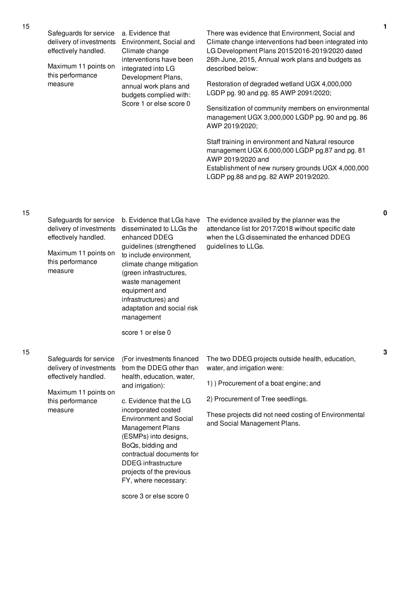| 15 | Safeguards for service<br>delivery of investments<br>effectively handled.<br>Maximum 11 points on<br>this performance<br>measure | a. Evidence that<br>Environment, Social and<br>Climate change<br>interventions have been<br>integrated into LG<br>Development Plans,<br>annual work plans and<br>budgets complied with:<br>Score 1 or else score 0                                                                                                                                                                                    | There was evidence that Environment, Social and<br>Climate change interventions had been integrated into<br>LG Development Plans 2015/2016-2019/2020 dated<br>26th June, 2015, Annual work plans and budgets as<br>described below:<br>Restoration of degraded wetland UGX 4,000,000<br>LGDP pg. 90 and pg. 85 AWP 2091/2020;<br>Sensitization of community members on environmental<br>management UGX 3,000,000 LGDP pg. 90 and pg. 86<br>AWP 2019/2020;<br>Staff training in environment and Natural resource<br>management UGX 6,000,000 LGDP pg.87 and pg. 81<br>AWP 2019/2020 and<br>Establishment of new nursery grounds UGX 4,000,000<br>LGDP pg.88 and pg. 82 AWP 2019/2020. |
|----|----------------------------------------------------------------------------------------------------------------------------------|-------------------------------------------------------------------------------------------------------------------------------------------------------------------------------------------------------------------------------------------------------------------------------------------------------------------------------------------------------------------------------------------------------|--------------------------------------------------------------------------------------------------------------------------------------------------------------------------------------------------------------------------------------------------------------------------------------------------------------------------------------------------------------------------------------------------------------------------------------------------------------------------------------------------------------------------------------------------------------------------------------------------------------------------------------------------------------------------------------|
| 15 | Safeguards for service<br>delivery of investments<br>effectively handled.<br>Maximum 11 points on<br>this performance<br>measure | b. Evidence that LGs have<br>disseminated to LLGs the<br>enhanced DDEG<br>guidelines (strengthened<br>to include environment,<br>climate change mitigation<br>(green infrastructures,<br>waste management<br>equipment and<br>infrastructures) and<br>adaptation and social risk<br>management<br>score 1 or else 0                                                                                   | The evidence availed by the planner was the<br>attendance list for 2017/2018 without specific date<br>when the LG disseminated the enhanced DDEG<br>guidelines to LLGs.                                                                                                                                                                                                                                                                                                                                                                                                                                                                                                              |
| 15 | Safeguards for service<br>delivery of investments<br>effectively handled.<br>Maximum 11 points on<br>this performance<br>measure | (For investments financed<br>from the DDEG other than<br>health, education, water,<br>and irrigation):<br>c. Evidence that the LG<br>incorporated costed<br><b>Environment and Social</b><br>Management Plans<br>(ESMPs) into designs,<br>BoQs, bidding and<br>contractual documents for<br><b>DDEG</b> infrastructure<br>projects of the previous<br>FY, where necessary:<br>score 3 or else score 0 | The two DDEG projects outside health, education,<br>water, and irrigation were:<br>1) Procurement of a boat engine; and<br>2) Procurement of Tree seedlings.<br>These projects did not need costing of Environmental<br>and Social Management Plans.                                                                                                                                                                                                                                                                                                                                                                                                                                 |
|    |                                                                                                                                  |                                                                                                                                                                                                                                                                                                                                                                                                       |                                                                                                                                                                                                                                                                                                                                                                                                                                                                                                                                                                                                                                                                                      |

**3**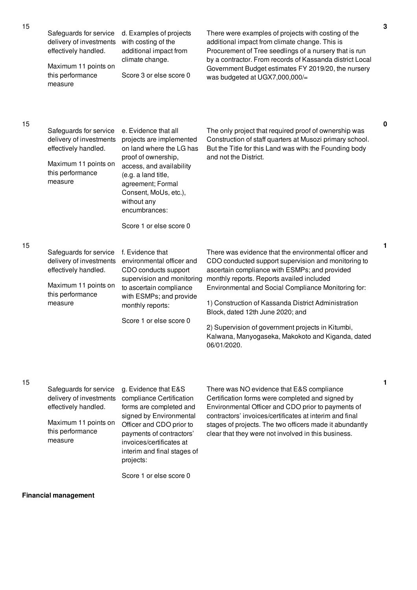| 15 | Safeguards for service<br>delivery of investments<br>effectively handled.<br>Maximum 11 points on<br>this performance<br>measure | d. Examples of projects<br>with costing of the<br>additional impact from<br>climate change.<br>Score 3 or else score 0                                                                                                               | There were examples of projects with costing of the<br>additional impact from climate change. This is<br>Procurement of Tree seedlings of a nursery that is run<br>by a contractor. From records of Kassanda district Local<br>Government Budget estimates FY 2019/20, the nursery<br>was budgeted at UGX7,000,000/=                                                                                                                                                                  | $\mathbf 3$ |
|----|----------------------------------------------------------------------------------------------------------------------------------|--------------------------------------------------------------------------------------------------------------------------------------------------------------------------------------------------------------------------------------|---------------------------------------------------------------------------------------------------------------------------------------------------------------------------------------------------------------------------------------------------------------------------------------------------------------------------------------------------------------------------------------------------------------------------------------------------------------------------------------|-------------|
| 15 | Safeguards for service<br>delivery of investments<br>effectively handled.<br>Maximum 11 points on<br>this performance<br>measure | e. Evidence that all<br>projects are implemented<br>on land where the LG has<br>proof of ownership,<br>access, and availability<br>(e.g. a land title,<br>agreement; Formal<br>Consent, MoUs, etc.),<br>without any<br>encumbrances: | The only project that required proof of ownership was<br>Construction of staff quarters at Musozi primary school.<br>But the Title for this Land was with the Founding body<br>and not the District.                                                                                                                                                                                                                                                                                  | 0           |
|    |                                                                                                                                  | Score 1 or else score 0                                                                                                                                                                                                              |                                                                                                                                                                                                                                                                                                                                                                                                                                                                                       |             |
| 15 | Safeguards for service<br>delivery of investments<br>effectively handled.<br>Maximum 11 points on<br>this performance<br>measure | f. Evidence that<br>environmental officer and<br>CDO conducts support<br>supervision and monitoring<br>to ascertain compliance<br>with ESMPs; and provide<br>monthly reports:<br>Score 1 or else score 0                             | There was evidence that the environmental officer and<br>CDO conducted support supervision and monitoring to<br>ascertain compliance with ESMPs; and provided<br>monthly reports. Reports availed included<br>Environmental and Social Compliance Monitoring for:<br>1) Construction of Kassanda District Administration<br>Block, dated 12th June 2020; and<br>2) Supervision of government projects in Kitumbi,<br>Kalwana, Manyogaseka, Makokoto and Kiganda, dated<br>06/01/2020. | 1           |
| 15 | Safeguards for service<br>delivery of investments<br>effectively handled.<br>Maximum 11 points on<br>this performance            | g. Evidence that E&S<br>compliance Certification<br>forms are completed and<br>signed by Environmental<br>Officer and CDO prior to<br>payments of contractors'                                                                       | There was NO evidence that E&S compliance<br>Certification forms were completed and signed by<br>Environmental Officer and CDO prior to payments of<br>contractors' invoices/certificates at interim and final<br>stages of projects. The two officers made it abundantly<br>clear that they were not involved in this business.                                                                                                                                                      | 1           |

measure

**Financial management**

invoices/certificates at interim and final stages of

Score 1 or else score 0

projects: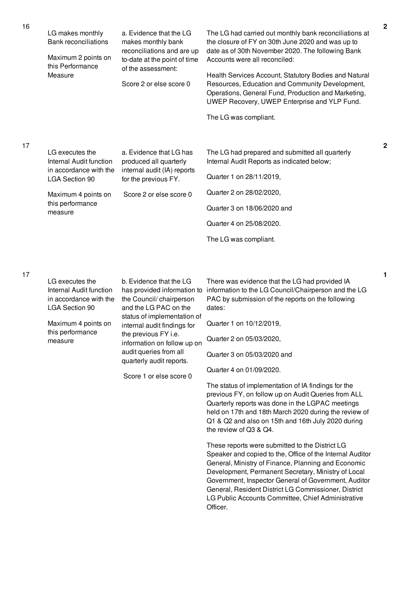| 16 | LG makes monthly<br><b>Bank reconciliations</b><br>Maximum 2 points on<br>this Performance<br>Measure                                               | a. Evidence that the LG<br>makes monthly bank<br>reconciliations and are up<br>to-date at the point of time<br>of the assessment:<br>Score 2 or else score 0                                                                                                                                                            | The LG had carried out monthly bank reconciliations at<br>the closure of FY on 30th June 2020 and was up to<br>date as of 30th November 2020. The following Bank<br>Accounts were all reconciled:<br>Health Services Account, Statutory Bodies and Natural<br>Resources, Education and Community Development,<br>Operations, General Fund, Production and Marketing,<br>UWEP Recovery, UWEP Enterprise and YLP Fund.<br>The LG was compliant.                                                                                                                                                       | $\mathbf 2$ |
|----|-----------------------------------------------------------------------------------------------------------------------------------------------------|-------------------------------------------------------------------------------------------------------------------------------------------------------------------------------------------------------------------------------------------------------------------------------------------------------------------------|-----------------------------------------------------------------------------------------------------------------------------------------------------------------------------------------------------------------------------------------------------------------------------------------------------------------------------------------------------------------------------------------------------------------------------------------------------------------------------------------------------------------------------------------------------------------------------------------------------|-------------|
| 17 | LG executes the<br>Internal Audit function<br>in accordance with the<br><b>LGA Section 90</b><br>Maximum 4 points on<br>this performance<br>measure | a. Evidence that LG has<br>produced all quarterly<br>internal audit (IA) reports<br>for the previous FY.<br>Score 2 or else score 0                                                                                                                                                                                     | The LG had prepared and submitted all quarterly<br>Internal Audit Reports as indicated below;<br>Quarter 1 on 28/11/2019,<br>Quarter 2 on 28/02/2020,<br>Quarter 3 on 18/06/2020 and<br>Quarter 4 on 25/08/2020.<br>The LG was compliant.                                                                                                                                                                                                                                                                                                                                                           | $\mathbf 2$ |
| 17 | LG executes the<br>Internal Audit function<br>in accordance with the<br><b>LGA Section 90</b><br>Maximum 4 points on<br>this performance<br>measure | b. Evidence that the LG<br>has provided information to<br>the Council/chairperson<br>and the LG PAC on the<br>status of implementation of<br>internal audit findings for<br>the previous FY <i>i.e.</i><br>information on follow up on<br>audit queries from all<br>quarterly audit reports.<br>Score 1 or else score 0 | There was evidence that the LG had provided IA<br>information to the LG Council/Chairperson and the LG<br>PAC by submission of the reports on the following<br>dates:<br>Quarter 1 on 10/12/2019,<br>Quarter 2 on 05/03/2020,<br>Quarter 3 on 05/03/2020 and<br>Quarter 4 on 01/09/2020.<br>The status of implementation of IA findings for the<br>previous FY, on follow up on Audit Queries from ALL<br>Quarterly reports was done in the LGPAC meetings<br>held on 17th and 18th March 2020 during the review of<br>Q1 & Q2 and also on 15th and 16th July 2020 during<br>the review of Q3 & Q4. | 1           |

Officer.

These reports were submitted to the District LG

Speaker and copied to the, Office of the Internal Auditor General, Ministry of Finance, Planning and Economic Development, Permanent Secretary, Ministry of Local Government, Inspector General of Government, Auditor General, Resident District LG Commissioner, District LG Public Accounts Committee, Chief Administrative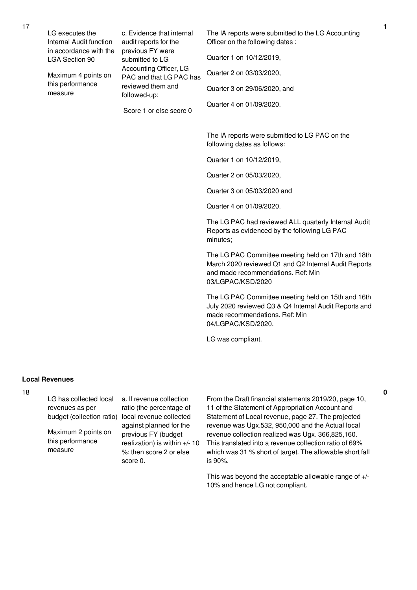| LG executes the<br>Internal Audit function | c. Evidence that internal<br>audit reports for the | The IA reports were submitted to the LG Accounting<br>Officer on the following dates : |
|--------------------------------------------|----------------------------------------------------|----------------------------------------------------------------------------------------|
| in accordance with the<br>LGA Section 90   | previous FY were<br>submitted to LG                | Quarter 1 on 10/12/2019,                                                               |
| Maximum 4 points on                        | Accounting Officer, LG<br>PAC and that LG PAC has  | Quarter 2 on 03/03/2020,                                                               |
| this performance<br>measure                | reviewed them and<br>followed-up:                  | Quarter 3 on 29/06/2020, and                                                           |
|                                            | Score 1 or else score 0                            | Quarter 4 on 01/09/2020.                                                               |
|                                            |                                                    | The IA reports were submitted to LG PAC on the<br>following dates as follows:          |

Quarter 1 on 10/12/2019,

Quarter 2 on 05/03/2020,

Quarter 3 on 05/03/2020 and

Quarter 4 on 01/09/2020.

The LG PAC had reviewed ALL quarterly Internal Audit Reports as evidenced by the following LG PAC minutes;

The LG PAC Committee meeting held on 17th and 18th March 2020 reviewed Q1 and Q2 Internal Audit Reports and made recommendations. Ref: Min 03/LGPAC/KSD/2020

The LG PAC Committee meeting held on 15th and 16th July 2020 reviewed Q3 & Q4 Internal Audit Reports and made recommendations. Ref: Min 04/LGPAC/KSD/2020.

LG was compliant.

## **Local Revenues**

18

LG has collected local revenues as per budget (collection ratio)

Maximum 2 points on this performance measure

a. If revenue collection ratio (the percentage of local revenue collected against planned for the previous FY (budget realization) is within +/- 10 %: then score 2 or else score 0.

From the Draft financial statements 2019/20, page 10, 11 of the Statement of Appropriation Account and Statement of Local revenue, page 27. The projected revenue was Ugx.532, 950,000 and the Actual local revenue collection realized was Ugx. 366,825,160. This translated into a revenue collection ratio of 69% which was 31 % short of target. The allowable short fall is 90%.

This was beyond the acceptable allowable range of +/- 10% and hence LG not compliant.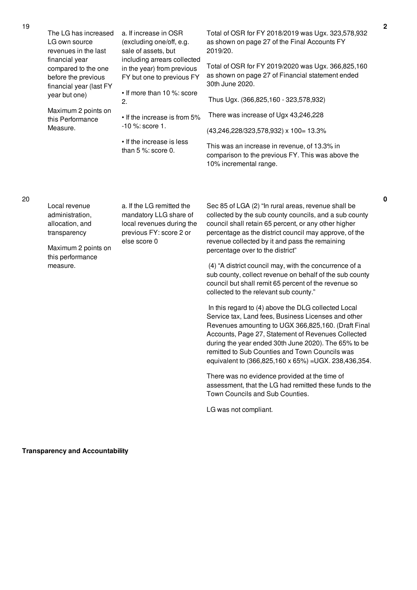| LG own source<br>revenues in the last | The LG has increased                                                                       | a. If increase in OSR<br>(excluding one/off, e.g.<br>sale of assets, but<br>including arrears collected<br>in the year) from previous<br>FY but one to previous FY | Total of OSR for FY 2018/2019 was Ugx. 323,578,932<br>as shown on page 27 of the Final Accounts FY<br>2019/20.                                                                                                                                                                                                                                                                             |
|---------------------------------------|--------------------------------------------------------------------------------------------|--------------------------------------------------------------------------------------------------------------------------------------------------------------------|--------------------------------------------------------------------------------------------------------------------------------------------------------------------------------------------------------------------------------------------------------------------------------------------------------------------------------------------------------------------------------------------|
|                                       | financial year<br>compared to the one<br>before the previous<br>financial year (last FY    |                                                                                                                                                                    | Total of OSR for FY 2019/2020 was Ugx. 366,825,160<br>as shown on page 27 of Financial statement ended<br>30th June 2020.                                                                                                                                                                                                                                                                  |
|                                       | year but one)                                                                              | • If more than 10 %: score<br>2.                                                                                                                                   | Thus Ugx. (366,825,160 - 323,578,932)                                                                                                                                                                                                                                                                                                                                                      |
|                                       | Maximum 2 points on<br>this Performance                                                    | • If the increase is from 5%                                                                                                                                       | There was increase of Ugx 43,246,228                                                                                                                                                                                                                                                                                                                                                       |
|                                       | Measure.                                                                                   | $-10$ %: score 1.                                                                                                                                                  | (43,246,228/323,578,932) x 100= 13.3%                                                                                                                                                                                                                                                                                                                                                      |
|                                       |                                                                                            | • If the increase is less<br>than $5\%$ : score 0.                                                                                                                 | This was an increase in revenue, of 13.3% in<br>comparison to the previous FY. This was above the<br>10% incremental range.                                                                                                                                                                                                                                                                |
|                                       |                                                                                            |                                                                                                                                                                    |                                                                                                                                                                                                                                                                                                                                                                                            |
|                                       | Local revenue<br>administration,<br>allocation, and<br>transparency<br>Maximum 2 points on | a. If the LG remitted the<br>mandatory LLG share of<br>local revenues during the<br>previous FY: score 2 or<br>else score 0                                        | Sec 85 of LGA (2) "In rural areas, revenue shall be<br>collected by the sub county councils, and a sub county<br>council shall retain 65 percent, or any other higher<br>percentage as the district council may approve, of the<br>revenue collected by it and pass the remaining<br>percentage over to the district"                                                                      |
|                                       | this performance<br>measure.                                                               |                                                                                                                                                                    | (4) "A district council may, with the concurrence of a<br>sub county, collect revenue on behalf of the sub county<br>council but shall remit 65 percent of the revenue so<br>collected to the relevant sub county."                                                                                                                                                                        |
|                                       |                                                                                            |                                                                                                                                                                    | In this regard to (4) above the DLG collected Local<br>Service tax, Land fees, Business Licenses and other<br>Revenues amounting to UGX 366,825,160. (Draft Final<br>Accounts, Page 27, Statement of Revenues Collected<br>during the year ended 30th June 2020). The 65% to be<br>remitted to Sub Counties and Town Councils was<br>equivalent to (366,825,160 x 65%) = UGX. 238,436,354. |
|                                       |                                                                                            |                                                                                                                                                                    | There was no evidence provided at the time of<br>assessment, that the LG had remitted these funds to the<br>Town Councils and Sub Counties.                                                                                                                                                                                                                                                |

LG was not compliant.

20

**Transparency and Accountability**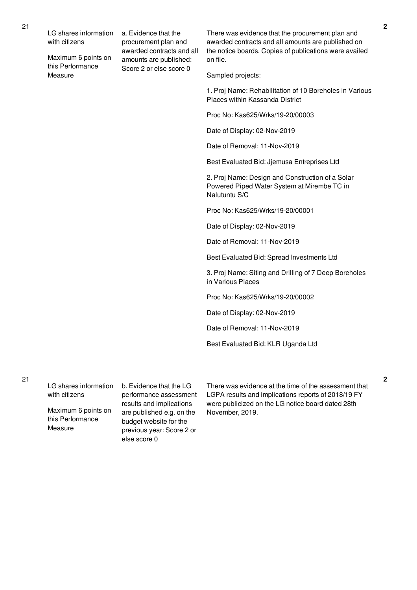LG shares information with citizens

Maximum 6 points on this Performance Measure

a. Evidence that the procurement plan and awarded contracts and all amounts are published: Score 2 or else score 0

There was evidence that the procurement plan and awarded contracts and all amounts are published on the notice boards. Copies of publications were availed on file.

Sampled projects:

1. Proj Name: Rehabilitation of 10 Boreholes in Various Places within Kassanda District

Proc No: Kas625/Wrks/19-20/00003

Date of Display: 02-Nov-2019

Date of Removal: 11-Nov-2019

Best Evaluated Bid: Jjemusa Entreprises Ltd

2. Proj Name: Design and Construction of a Solar Powered Piped Water System at Mirembe TC in Nalutuntu S/C

Proc No: Kas625/Wrks/19-20/00001

Date of Display: 02-Nov-2019

Date of Removal: 11-Nov-2019

Best Evaluated Bid: Spread Investments Ltd

3. Proj Name: Siting and Drilling of 7 Deep Boreholes in Various Places

Proc No: Kas625/Wrks/19-20/00002

Date of Display: 02-Nov-2019

Date of Removal: 11-Nov-2019

Best Evaluated Bid: KLR Uganda Ltd

21

LG shares information with citizens

Maximum 6 points on this Performance Measure

b. Evidence that the LG performance assessment results and implications are published e.g. on the budget website for the previous year: Score 2 or else score 0

There was evidence at the time of the assessment that LGPA results and implications reports of 2018/19 FY were publicized on the LG notice board dated 28th November, 2019.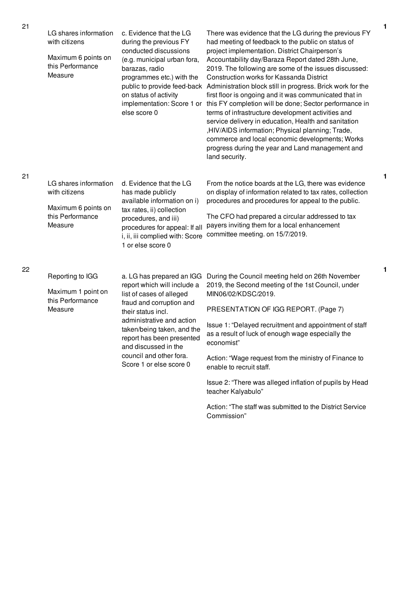| LG shares information<br>with citizens<br>Maximum 6 points on<br>this Performance<br>Measure | c. Evidence that the LG<br>during the previous FY<br>conducted discussions<br>(e.g. municipal urban fora,<br>barazas, radio<br>programmes etc.) with the<br>on status of activity<br>else score 0                                                                                                            | There was evidence that the LG during the previous FY<br>had meeting of feedback to the public on status of<br>project implementation. District Chairperson's<br>Accountability day/Baraza Report dated 28th June,<br>2019. The following are some of the issues discussed:<br>Construction works for Kassanda District<br>public to provide feed-back Administration block still in progress. Brick work for the<br>first floor is ongoing and it was communicated that in<br>implementation: Score 1 or this FY completion will be done; Sector performance in<br>terms of infrastructure development activities and<br>service delivery in education, Health and sanitation<br>,HIV/AIDS information; Physical planning; Trade,<br>commerce and local economic developments; Works<br>progress during the year and Land management and<br>land security. |
|----------------------------------------------------------------------------------------------|--------------------------------------------------------------------------------------------------------------------------------------------------------------------------------------------------------------------------------------------------------------------------------------------------------------|-------------------------------------------------------------------------------------------------------------------------------------------------------------------------------------------------------------------------------------------------------------------------------------------------------------------------------------------------------------------------------------------------------------------------------------------------------------------------------------------------------------------------------------------------------------------------------------------------------------------------------------------------------------------------------------------------------------------------------------------------------------------------------------------------------------------------------------------------------------|
| LG shares information<br>with citizens<br>Maximum 6 points on<br>this Performance<br>Measure | d. Evidence that the LG<br>has made publicly<br>available information on i)<br>tax rates, ii) collection<br>procedures, and iii)<br>procedures for appeal: If all<br>i, ii, iii complied with: Score<br>1 or else score 0                                                                                    | From the notice boards at the LG, there was evidence<br>on display of information related to tax rates, collection<br>procedures and procedures for appeal to the public.<br>The CFO had prepared a circular addressed to tax<br>payers inviting them for a local enhancement<br>committee meeting. on 15/7/2019.                                                                                                                                                                                                                                                                                                                                                                                                                                                                                                                                           |
| Reporting to IGG<br>Maximum 1 point on<br>this Performance<br>Measure                        | a. LG has prepared an IGG<br>report which will include a<br>list of cases of alleged<br>fraud and corruption and<br>their status incl.<br>administrative and action<br>taken/being taken, and the<br>report has been presented<br>and discussed in the<br>council and other fora.<br>Score 1 or else score 0 | During the Council meeting held on 26th November<br>2019, the Second meeting of the 1st Council, under<br>MIN06/02/KDSC/2019.<br>PRESENTATION OF IGG REPORT. (Page 7)<br>Issue 1: "Delayed recruitment and appointment of staff<br>as a result of luck of enough wage especially the<br>economist"<br>Action: "Wage request from the ministry of Finance to<br>enable to recruit staff.<br>Issue 2: "There was alleged inflation of pupils by Head<br>teacher Kalyabulo"                                                                                                                                                                                                                                                                                                                                                                                    |

Action: "The staff was submitted to the District Service Commission"

21

22

**1**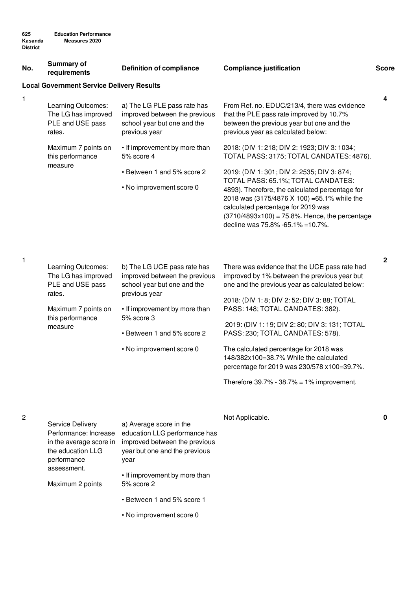| No.            | <b>Summary of</b><br>requirements                                                                                             | <b>Definition of compliance</b>                                                                                                                                                                                       | <b>Compliance justification</b>                                                                                                                                                                                                                                                                                                                                                                                                                                                                                 | <b>Score</b> |
|----------------|-------------------------------------------------------------------------------------------------------------------------------|-----------------------------------------------------------------------------------------------------------------------------------------------------------------------------------------------------------------------|-----------------------------------------------------------------------------------------------------------------------------------------------------------------------------------------------------------------------------------------------------------------------------------------------------------------------------------------------------------------------------------------------------------------------------------------------------------------------------------------------------------------|--------------|
|                | <b>Local Government Service Delivery Results</b>                                                                              |                                                                                                                                                                                                                       |                                                                                                                                                                                                                                                                                                                                                                                                                                                                                                                 |              |
| 1              | Learning Outcomes:<br>The LG has improved<br>PLE and USE pass<br>rates.                                                       | a) The LG PLE pass rate has<br>improved between the previous<br>school year but one and the<br>previous year                                                                                                          | From Ref. no. EDUC/213/4, there was evidence<br>that the PLE pass rate improved by 10.7%<br>between the previous year but one and the<br>previous year as calculated below:                                                                                                                                                                                                                                                                                                                                     | 4            |
|                | Maximum 7 points on<br>this performance                                                                                       | • If improvement by more than<br>5% score 4                                                                                                                                                                           | 2018: (DIV 1: 218; DIV 2: 1923; DIV 3: 1034;<br>TOTAL PASS: 3175; TOTAL CANDATES: 4876).                                                                                                                                                                                                                                                                                                                                                                                                                        |              |
|                | measure                                                                                                                       | • Between 1 and 5% score 2<br>• No improvement score 0                                                                                                                                                                | 2019: (DIV 1:301; DIV 2: 2535; DIV 3:874;<br>TOTAL PASS: 65.1%; TOTAL CANDATES:<br>4893). Therefore, the calculated percentage for<br>2018 was (3175/4876 X 100) = 65.1% while the<br>calculated percentage for 2019 was<br>$(3710/4893x100) = 75.8%$ . Hence, the percentage<br>decline was 75.8% -65.1% =10.7%.                                                                                                                                                                                               |              |
| 1              | Learning Outcomes:<br>The LG has improved<br>PLE and USE pass<br>rates.<br>Maximum 7 points on<br>this performance<br>measure | b) The LG UCE pass rate has<br>improved between the previous<br>school year but one and the<br>previous year<br>• If improvement by more than<br>5% score 3<br>• Between 1 and 5% score 2<br>• No improvement score 0 | There was evidence that the UCE pass rate had<br>improved by 1% between the previous year but<br>one and the previous year as calculated below:<br>2018: (DIV 1: 8; DIV 2: 52; DIV 3: 88; TOTAL<br>PASS: 148; TOTAL CANDATES: 382).<br>2019: (DIV 1: 19; DIV 2: 80; DIV 3: 131; TOTAL<br>PASS: 230; TOTAL CANDATES: 578).<br>The calculated percentage for 2018 was<br>148/382x100=38.7% While the calculated<br>percentage for 2019 was 230/578 x100=39.7%.<br>Therefore $39.7\%$ - $38.7\%$ = 1% improvement. | $\mathbf{2}$ |
| $\overline{c}$ | Service Delivery<br>Performance: Increase<br>in the average score in<br>the education LLG<br>performance                      | a) Average score in the<br>education LLG performance has<br>improved between the previous<br>year but one and the previous<br>year                                                                                    | Not Applicable.                                                                                                                                                                                                                                                                                                                                                                                                                                                                                                 | 0            |

Maximum 2 points

assessment.

• Between 1 and 5% score 1

5% score 2

• If improvement by more than

• No improvement score 0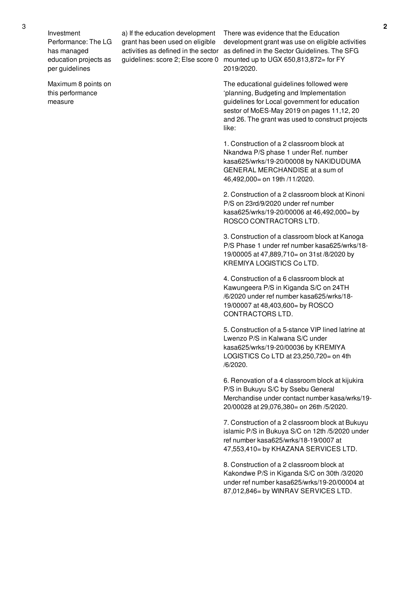Investment Performance: The LG has managed education projects as per guidelines

Maximum 8 points on this performance measure

a) If the education development grant has been used on eligible guidelines: score 2; Else score 0

activities as defined in the sector as defined in the Sector Guidelines. The SFG There was evidence that the Education development grant was use on eligible activities mounted up to UGX 650,813,872= for FY 2019/2020.

> The educational guidelines followed were 'planning, Budgeting and Implementation guidelines for Local government for education sestor of MoES-May 2019 on pages 11,12, 20 and 26. The grant was used to construct projects like:

1. Construction of a 2 classroom block at Nkandwa P/S phase 1 under Ref. number kasa625/wrks/19-20/00008 by NAKIDUDUMA GENERAL MERCHANDISE at a sum of 46,492,000= on 19th /11/2020.

2. Construction of a 2 classroom block at Kinoni P/S on 23rd/9/2020 under ref number kasa625/wrks/19-20/00006 at 46,492,000= by ROSCO CONTRACTORS LTD.

3. Construction of a classroom block at Kanoga P/S Phase 1 under ref number kasa625/wrks/18- 19/00005 at 47,889,710= on 31st /8/2020 by KREMIYA LOGISTICS Co LTD.

4. Construction of a 6 classroom block at Kawungeera P/S in Kiganda S/C on 24TH /6/2020 under ref number kasa625/wrks/18- 19/00007 at 48,403,600= by ROSCO CONTRACTORS LTD.

5. Construction of a 5-stance VIP lined latrine at Lwenzo P/S in Kalwana S/C under kasa625/wrks/19-20/00036 by KREMIYA LOGISTICS Co LTD at 23,250,720= on 4th /6/2020.

6. Renovation of a 4 classroom block at kijukira P/S in Bukuyu S/C by Ssebu General Merchandise under contact number kasa/wrks/19- 20/00028 at 29,076,380= on 26th /5/2020.

7. Construction of a 2 classroom block at Bukuyu islamic P/S in Bukuya S/C on 12th /5/2020 under ref number kasa625/wrks/18-19/0007 at 47,553,410= by KHAZANA SERVICES LTD.

8. Construction of a 2 classroom block at Kakondwe P/S in Kiganda S/C on 30th /3/2020 under ref number kasa625/wrks/19-20/00004 at 87,012,846= by WINRAV SERVICES LTD.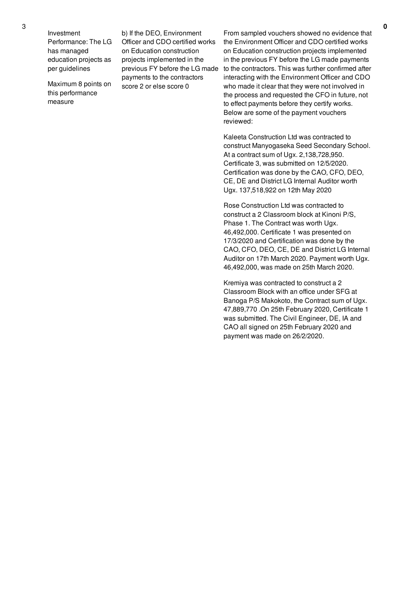Investment Performance: The LG has managed education projects as per guidelines

Maximum 8 points on this performance measure

b) If the DEO, Environment Officer and CDO certified works on Education construction projects implemented in the previous FY before the LG made payments to the contractors score 2 or else score 0

From sampled vouchers showed no evidence that the Environment Officer and CDO certified works on Education construction projects implemented in the previous FY before the LG made payments to the contractors. This was further confirmed after interacting with the Environment Officer and CDO who made it clear that they were not involved in the process and requested the CFO in future, not to effect payments before they certify works. Below are some of the payment vouchers reviewed:

Kaleeta Construction Ltd was contracted to construct Manyogaseka Seed Secondary School. At a contract sum of Ugx. 2,138,728,950. Certificate 3, was submitted on 12/5/2020. Certification was done by the CAO, CFO, DEO, CE, DE and District LG Internal Auditor worth Ugx. 137,518,922 on 12th May 2020

Rose Construction Ltd was contracted to construct a 2 Classroom block at Kinoni P/S, Phase 1. The Contract was worth Ugx. 46,492,000. Certificate 1 was presented on 17/3/2020 and Certification was done by the CAO, CFO, DEO, CE, DE and District LG Internal Auditor on 17th March 2020. Payment worth Ugx. 46,492,000, was made on 25th March 2020.

Kremiya was contracted to construct a 2 Classroom Block with an office under SFG at Banoga P/S Makokoto, the Contract sum of Ugx. 47,889,770 .On 25th February 2020, Certificate 1 was submitted. The Civil Engineer, DE, IA and CAO all signed on 25th February 2020 and payment was made on 26/2/2020.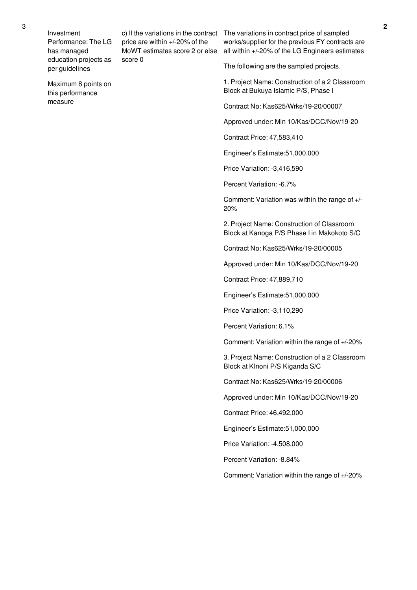Investment Performance: The LG has managed education projects as per guidelines

Maximum 8 points on this performance measure

price are within +/-20% of the MoWT estimates score 2 or else score 0

c) If the variations in the contract The variations in contract price of sampled works/supplier for the previous FY contracts are all within +/-20% of the LG Engineers estimates

The following are the sampled projects.

1. Project Name: Construction of a 2 Classroom Block at Bukuya Islamic P/S, Phase I

Contract No: Kas625/Wrks/19-20/00007

Approved under: Min 10/Kas/DCC/Nov/19-20

Contract Price: 47,583,410

Engineer's Estimate:51,000,000

Price Variation: -3,416,590

Percent Variation: -6.7%

Comment: Variation was within the range of +/- 20%

2. Project Name: Construction of Classroom Block at Kanoga P/S Phase I in Makokoto S/C

Contract No: Kas625/Wrks/19-20/00005

Approved under: Min 10/Kas/DCC/Nov/19-20

Contract Price: 47,889,710

Engineer's Estimate:51,000,000

Price Variation: -3,110,290

Percent Variation: 6.1%

Comment: Variation within the range of +/-20%

3. Project Name: Construction of a 2 Classroom Block at KInoni P/S Kiganda S/C

Contract No: Kas625/Wrks/19-20/00006

Approved under: Min 10/Kas/DCC/Nov/19-20

Contract Price: 46,492,000

Engineer's Estimate:51,000,000

Price Variation: -4,508,000

Percent Variation: -8.84%

Comment: Variation within the range of +/-20%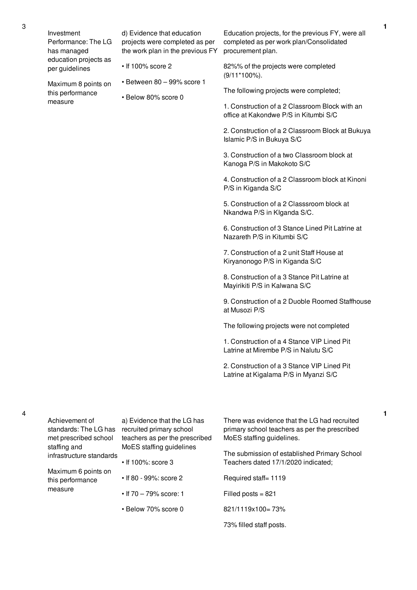3

Maximum 8 points on this performance measure

- d) Evidence that education projects were completed as per the work plan in the previous FY
- If 100% score 2
- Between 80 99% score 1
- Below 80% score 0

Education projects, for the previous FY, were all completed as per work plan/Consolidated procurement plan.

82%% of the projects were completed (9/11\*100%).

The following projects were completed;

1. Construction of a 2 Classroom Block with an office at Kakondwe P/S in Kitumbi S/C

2. Construction of a 2 Classroom Block at Bukuya Islamic P/S in Bukuya S/C

3. Construction of a two Classroom block at Kanoga P/S in Makokoto S/C

4. Construction of a 2 Classroom block at Kinoni P/S in Kiganda S/C

5. Construction of a 2 Classsroom block at Nkandwa P/S in KIganda S/C.

6. Construction of 3 Stance Lined Pit Latrine at Nazareth P/S in Kitumbi S/C

7. Construction of a 2 unit Staff House at Kiryanonogo P/S in Kiganda S/C

8. Construction of a 3 Stance Pit Latrine at Mayirikiti P/S in Kalwana S/C

9. Construction of a 2 Duoble Roomed Staffhouse at Musozi P/S

The following projects were not completed

1. Construction of a 4 Stance VIP Lined Pit Latrine at Mirembe P/S in Nalutu S/C

2. Construction of a 3 Stance VIP Lined Pit Latrine at Kigalama P/S in Myanzi S/C

| Achievement of<br>standards: The LG has<br>met prescribed school<br>staffing and<br>infrastructure standards | a) Evidence that the LG has<br>recruited primary school<br>teachers as per the prescribed<br>MoES staffing guidelines | There was evidence that the LG had recruited<br>primary school teachers as per the prescribed<br>MoES staffing guidelines.<br>The submission of established Primary School |
|--------------------------------------------------------------------------------------------------------------|-----------------------------------------------------------------------------------------------------------------------|----------------------------------------------------------------------------------------------------------------------------------------------------------------------------|
| Maximum 6 points on                                                                                          | $\cdot$ If 100%: score 3                                                                                              | Teachers dated 17/1/2020 indicated;                                                                                                                                        |
| this performance<br>measure                                                                                  | • If 80 - 99%: score 2                                                                                                | Required staff= 1119                                                                                                                                                       |
|                                                                                                              | • If $70 - 79\%$ score: 1                                                                                             | Filled posts $= 821$<br>821/1119x100=73%                                                                                                                                   |
|                                                                                                              | • Below 70% score 0                                                                                                   | 73% filled staff posts.                                                                                                                                                    |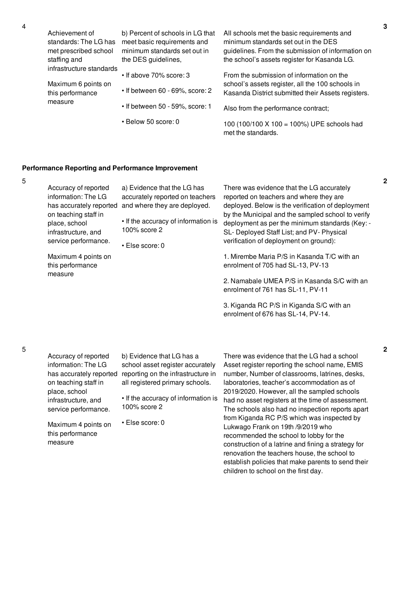|  | Achievement of<br>standards: The LG has<br>met prescribed school<br>staffing and | b) Percent of schools in LG that<br>meet basic requirements and<br>minimum standards set out in<br>the DES guidelines, | All schools met the basic requirements and<br>minimum standards set out in the DES<br>guidelines. From the submission of information on<br>the school's assets register for Kasanda LG. |
|--|----------------------------------------------------------------------------------|------------------------------------------------------------------------------------------------------------------------|-----------------------------------------------------------------------------------------------------------------------------------------------------------------------------------------|
|  | infrastructure standards<br>Maximum 6 points on<br>this performance<br>measure   | • If above 70% score: 3<br>• If between 60 - 69%, score: 2                                                             | From the submission of information on the<br>school's assets register, all the 100 schools in                                                                                           |
|  |                                                                                  | • If between 50 - 59%, score: 1                                                                                        | Kasanda District submitted their Assets registers.<br>Also from the performance contract;                                                                                               |
|  |                                                                                  | • Below 50 score: 0                                                                                                    | 100 (100/100 X 100 = 100%) UPE schools had<br>met the standards.                                                                                                                        |

## **Performance Reporting and Performance Improvement**

| ۰<br>٠<br>. .<br>e<br>×<br>۰, |  |
|-------------------------------|--|
|                               |  |
|                               |  |

4

| Accuracy of reported<br>information: The LG<br>has accurately reported<br>on teaching staff in<br>place, school<br>infrastructure, and<br>service performance.<br>Maximum 4 points on<br>this performance<br>measure | a) Evidence that the LG has<br>accurately reported on teachers<br>and where they are deployed.<br>• If the accuracy of information is<br>100% score 2<br>$\cdot$ Else score: 0 | There was evidence that the LG accurately<br>reported on teachers and where they are<br>deployed. Below is the verification of deployment<br>by the Municipal and the sampled school to verify<br>deployment as per the minimum standards (Key: -<br>SL-Deployed Staff List; and PV-Physical<br>verification of deployment on ground):<br>1. Mirembe Maria P/S in Kasanda T/C with an<br>enrolment of 705 had SL-13, PV-13<br>2. Namabale UMEA P/S in Kasanda S/C with an<br>enrolment of 761 has SL-11, PV-11<br>3. Kiganda RC P/S in Kiganda S/C with an<br>enrolment of 676 has SL-14, PV-14. |
|----------------------------------------------------------------------------------------------------------------------------------------------------------------------------------------------------------------------|--------------------------------------------------------------------------------------------------------------------------------------------------------------------------------|--------------------------------------------------------------------------------------------------------------------------------------------------------------------------------------------------------------------------------------------------------------------------------------------------------------------------------------------------------------------------------------------------------------------------------------------------------------------------------------------------------------------------------------------------------------------------------------------------|
|----------------------------------------------------------------------------------------------------------------------------------------------------------------------------------------------------------------------|--------------------------------------------------------------------------------------------------------------------------------------------------------------------------------|--------------------------------------------------------------------------------------------------------------------------------------------------------------------------------------------------------------------------------------------------------------------------------------------------------------------------------------------------------------------------------------------------------------------------------------------------------------------------------------------------------------------------------------------------------------------------------------------------|

| Accuracy of reported    |  |  |  |
|-------------------------|--|--|--|
| information: The LG     |  |  |  |
| has accurately reported |  |  |  |
| on teaching staff in    |  |  |  |
| place, school           |  |  |  |
| infrastructure, and     |  |  |  |
| service performance.    |  |  |  |
|                         |  |  |  |

b) Evidence that LG has a school asset register accurately reporting on the infrastructure in all registered primary schools.

• If the accuracy of information is 100% score 2

Maximum 4 points on this performance measure

• Else score: 0

There was evidence that the LG had a school Asset register reporting the school name, EMIS number, Number of classrooms, latrines, desks, laboratories, teacher's accommodation as of 2019/2020. However, all the sampled schools had no asset registers at the time of assessment. The schools also had no inspection reports apart from Kiganda RC P/S which was inspected by Lukwago Frank on 19th /9/2019 who recommended the school to lobby for the construction of a latrine and fining a strategy for renovation the teachers house, the school to establish policies that make parents to send their children to school on the first day.

**2**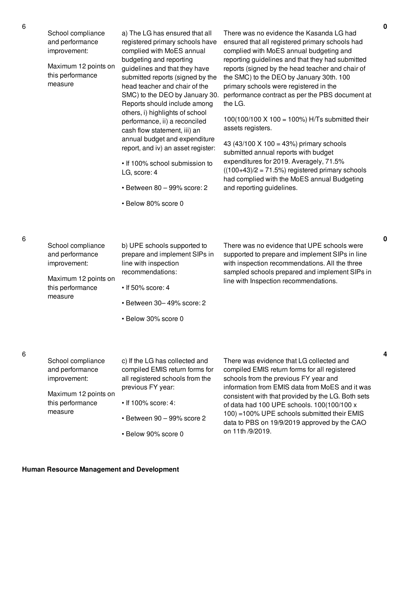| School compliance<br>and performance<br>improvement:<br>Maximum 12 points on<br>this performance<br>measure | a) The LG has ensured that all<br>registered primary schools have<br>complied with MoES annual<br>budgeting and reporting<br>guidelines and that they have<br>submitted reports (signed by the<br>head teacher and chair of the<br>SMC) to the DEO by January 30.<br>Reports should include among<br>others, i) highlights of school<br>performance, ii) a reconciled<br>cash flow statement, iii) an<br>annual budget and expenditure<br>report, and iv) an asset register:<br>. If 100% school submission to<br>LG, score: 4<br>$\cdot$ Between 80 - 99% score: 2<br>· Below 80% score 0 | There was no evidence the Kasanda LG had<br>ensured that all registered primary schools had<br>complied with MoES annual budgeting and<br>reporting guidelines and that they had submitted<br>reports (signed by the head teacher and chair of<br>the SMC) to the DEO by January 30th. 100<br>primary schools were registered in the<br>performance contract as per the PBS document at<br>the LG.<br>100(100/100 X 100 = 100%) H/Ts submitted their<br>assets registers.<br>43 (43/100 X 100 = 43%) primary schools<br>submitted annual reports with budget<br>expenditures for 2019. Averagely, 71.5%<br>$((100+43)/2 = 71.5\%)$ registered primary schools<br>had complied with the MoES annual Budgeting<br>and reporting guidelines. |
|-------------------------------------------------------------------------------------------------------------|--------------------------------------------------------------------------------------------------------------------------------------------------------------------------------------------------------------------------------------------------------------------------------------------------------------------------------------------------------------------------------------------------------------------------------------------------------------------------------------------------------------------------------------------------------------------------------------------|-------------------------------------------------------------------------------------------------------------------------------------------------------------------------------------------------------------------------------------------------------------------------------------------------------------------------------------------------------------------------------------------------------------------------------------------------------------------------------------------------------------------------------------------------------------------------------------------------------------------------------------------------------------------------------------------------------------------------------------------|
| School compliance<br>and performance<br>improvement:<br>Maximum 12 points on<br>this performance<br>measure | b) UPE schools supported to<br>prepare and implement SIPs in<br>line with inspection<br>recommendations:<br>$\cdot$ If 50% score: 4<br>· Between 30-49% score: 2<br>• Below 30% score 0                                                                                                                                                                                                                                                                                                                                                                                                    | There was no evidence that UPE schools were<br>supported to prepare and implement SIPs in line<br>with inspection recommendations. All the three<br>sampled schools prepared and implement SIPs in<br>line with Inspection recommendations.                                                                                                                                                                                                                                                                                                                                                                                                                                                                                               |
| School compliance<br>and performance<br>improvement:<br>Maximum 12 points on<br>this performance<br>measure | c) If the LG has collected and<br>compiled EMIS return forms for<br>all registered schools from the<br>previous FY year:<br>$\cdot$ If 100% score: 4:<br>· Between 90 - 99% score 2                                                                                                                                                                                                                                                                                                                                                                                                        | There was evidence that LG collected and<br>compiled EMIS return forms for all registered<br>schools from the previous FY year and<br>information from EMIS data from MoES and it was<br>consistent with that provided by the LG. Both sets<br>of data had 100 UPE schools. 100(100/100 x<br>100) = 100% UPE schools submitted their EMIS<br>data to PBS on 19/9/2019 approved by the CAO                                                                                                                                                                                                                                                                                                                                                 |

• Below 90% score 0

data to PBS on 19/9/2019 approved by the CAO on 11th /9/2019.

6

6

**0**

**4**

**Human Resource Management and Development**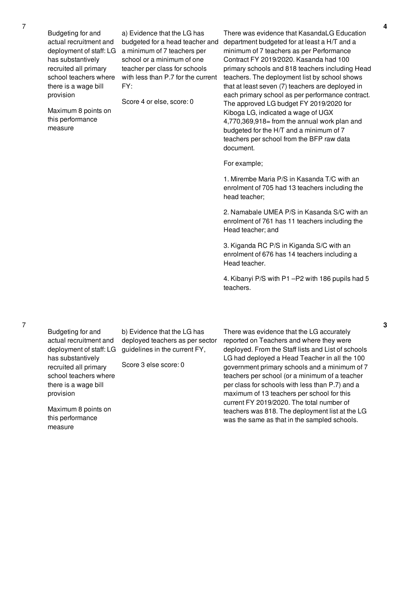Budgeting for and actual recruitment and has substantively recruited all primary school teachers where there is a wage bill provision

Maximum 8 points on this performance measure

deployment of staff: LG a minimum of 7 teachers per a) Evidence that the LG has budgeted for a head teacher and school or a minimum of one teacher per class for schools with less than P.7 for the current FY:

Score 4 or else, score: 0

There was evidence that KasandaLG Education department budgeted for at least a H/T and a minimum of 7 teachers as per Performance Contract FY 2019/2020. Kasanda had 100 primary schools and 818 teachers including Head teachers. The deployment list by school shows that at least seven (7) teachers are deployed in each primary school as per performance contract. The approved LG budget FY 2019/2020 for Kiboga LG, indicated a wage of UGX 4,770,369,918= from the annual work plan and budgeted for the H/T and a minimum of 7 teachers per school from the BFP raw data document.

For example;

1. Mirembe Maria P/S in Kasanda T/C with an enrolment of 705 had 13 teachers including the head teacher;

2. Namabale UMEA P/S in Kasanda S/C with an enrolment of 761 has 11 teachers including the Head teacher; and

3. Kiganda RC P/S in Kiganda S/C with an enrolment of 676 has 14 teachers including a Head teacher.

4. Kibanyi P/S with P1 –P2 with 186 pupils had 5 teachers.

Budgeting for and actual recruitment and deployment of staff: LG has substantively recruited all primary school teachers where there is a wage bill provision

7

b) Evidence that the LG has deployed teachers as per sector guidelines in the current FY,

Score 3 else score: 0

Maximum 8 points on this performance

measure

There was evidence that the LG accurately reported on Teachers and where they were deployed. From the Staff lists and List of schools LG had deployed a Head Teacher in all the 100 government primary schools and a minimum of 7 teachers per school (or a minimum of a teacher per class for schools with less than P.7) and a maximum of 13 teachers per school for this current FY 2019/2020. The total number of teachers was 818. The deployment list at the LG was the same as that in the sampled schools.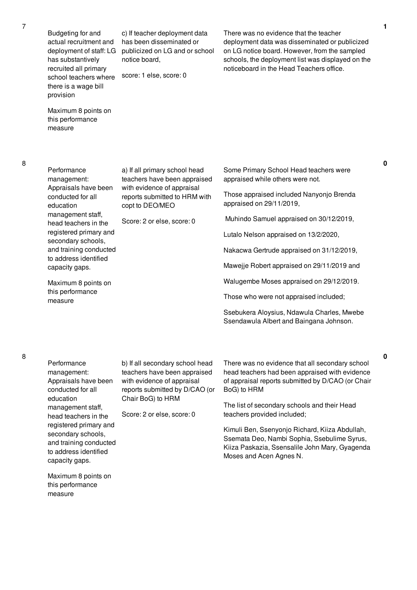Budgeting for and actual recruitment and deployment of staff: LG has substantively recruited all primary school teachers where there is a wage bill provision

c) If teacher deployment data has been disseminated or publicized on LG and or school notice board,

score: 1 else, score: 0

Maximum 8 points on this performance measure

Performance management: Appraisals have been conducted for all education management staff, head teachers in the registered primary and secondary schools, and training conducted to address identified capacity gaps.

Maximum 8 points on this performance measure

a) If all primary school head teachers have been appraised with evidence of appraisal reports submitted to HRM with copt to DEO/MEO

Score: 2 or else, score: 0

There was no evidence that the teacher deployment data was disseminated or publicized on LG notice board. However, from the sampled schools, the deployment list was displayed on the noticeboard in the Head Teachers office.

Some Primary School Head teachers were appraised while others were not.

Those appraised included Nanyonjo Brenda appraised on 29/11/2019,

Muhindo Samuel appraised on 30/12/2019,

Lutalo Nelson appraised on 13/2/2020,

Nakacwa Gertrude appraised on 31/12/2019,

Mawejje Robert appraised on 29/11/2019 and

Walugembe Moses appraised on 29/12/2019.

Those who were not appraised included;

Ssebukera Aloysius, Ndawula Charles, Mwebe Ssendawula Albert and Baingana Johnson.

Performance management: Appraisals have been conducted for all education management staff, head teachers in the registered primary and secondary schools, and training conducted to address identified capacity gaps.

b) If all secondary school head teachers have been appraised with evidence of appraisal reports submitted by D/CAO (or Chair BoG) to HRM

Score: 2 or else, score: 0

There was no evidence that all secondary school head teachers had been appraised with evidence of appraisal reports submitted by D/CAO (or Chair BoG) to HRM

The list of secondary schools and their Head teachers provided included;

Kimuli Ben, Ssenyonjo Richard, Kiiza Abdullah, Ssemata Deo, Nambi Sophia, Ssebulime Syrus, Kiiza Paskazia, Ssensalile John Mary, Gyagenda Moses and Acen Agnes N.

**0**

**0**

Maximum 8 points on this performance measure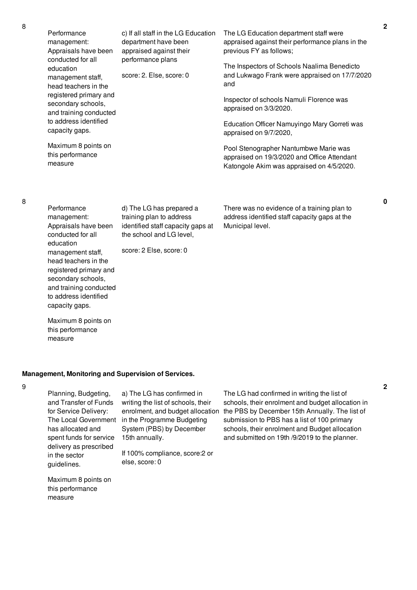| Performance<br>management:<br>Appraisals have been                          | c) If all staff in the LG Education<br>department have been<br>appraised against their                                | The LG Education department staff were<br>appraised against their performance plans in the<br>previous FY as follows;             |
|-----------------------------------------------------------------------------|-----------------------------------------------------------------------------------------------------------------------|-----------------------------------------------------------------------------------------------------------------------------------|
| conducted for all<br>education<br>management staff,<br>head teachers in the | performance plans<br>score: 2. Else, score: 0                                                                         | The Inspectors of Schools Naalima Benedicto<br>and Lukwago Frank were appraised on 17/7/2020<br>and                               |
| registered primary and<br>secondary schools,<br>and training conducted      |                                                                                                                       | Inspector of schools Namuli Florence was<br>appraised on 3/3/2020.                                                                |
| to address identified<br>capacity gaps.                                     |                                                                                                                       | Education Officer Namuyingo Mary Gorreti was<br>appraised on 9/7/2020,                                                            |
| Maximum 8 points on<br>this performance<br>measure                          |                                                                                                                       | Pool Stenographer Nantumbwe Marie was<br>appraised on 19/3/2020 and Office Attendant<br>Katongole Akim was appraised on 4/5/2020. |
| Performance<br>management:<br>Appraisals have been<br>conducted for all     | d) The LG has prepared a<br>training plan to address<br>identified staff capacity gaps at<br>the school and LG level, | There was no evidence of a training plan to<br>address identified staff capacity gaps at the<br>Municipal level.                  |

score: 2 Else, score: 0

### **Management, Monitoring and Supervision of Services.**

9

Planning, Budgeting, and Transfer of Funds for Service Delivery: has allocated and spent funds for service delivery as prescribed in the sector guidelines.

The Local Government in the Programme Budgeting a) The LG has confirmed in writing the list of schools, their enrolment, and budget allocation System (PBS) by December 15th annually.

> If 100% compliance, score:2 or else, score: 0

The LG had confirmed in writing the list of schools, their enrolment and budget allocation in the PBS by December 15th Annually. The list of submission to PBS has a list of 100 primary schools, their enrolment and Budget allocation and submitted on 19th /9/2019 to the planner.

Maximum 8 points on this performance measure

8

education

measure

management staff, head teachers in the registered primary and secondary schools, and training conducted to address identified capacity gaps.

Maximum 8 points on this performance

**0**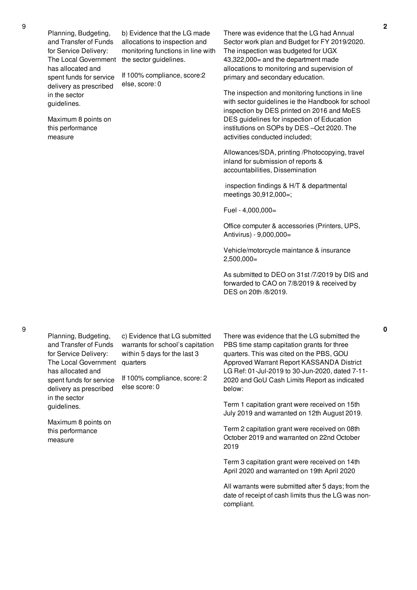Planning, Budgeting, and Transfer of Funds for Service Delivery: The Local Government has allocated and spent funds for service delivery as prescribed in the sector guidelines.

Maximum 8 points on this performance measure

b) Evidence that the LG made allocations to inspection and monitoring functions in line with the sector guidelines.

If 100% compliance, score:2 else, score: 0

There was evidence that the LG had Annual Sector work plan and Budget for FY 2019/2020. The inspection was budgeted for UGX 43,322,000= and the department made allocations to monitoring and supervision of primary and secondary education.

The inspection and monitoring functions in line with sector guidelines ie the Handbook for school inspection by DES printed on 2016 and MoES DES guidelines for inspection of Education institutions on SOPs by DES –Oct 2020. The activities conducted included;

Allowances/SDA, printing /Photocopying, travel inland for submission of reports & accountabilities, Dissemination

inspection findings & H/T & departmental meetings 30,912,000=;

Fuel - 4,000,000=

Office computer & accessories (Printers, UPS, Antivirus) - 9,000,000=

Vehicle/motorcycle maintance & insurance  $2,500,000=$ 

As submitted to DEO on 31st /7/2019 by DIS and forwarded to CAO on 7/8/2019 & received by DES on 20th /8/2019.

Planning, Budgeting, and Transfer of Funds for Service Delivery: The Local Government has allocated and spent funds for service delivery as prescribed in the sector guidelines.

c) Evidence that LG submitted warrants for school's capitation within 5 days for the last 3 quarters

If 100% compliance, score: 2 else score: 0

Maximum 8 points on this performance measure

There was evidence that the LG submitted the PBS time stamp capitation grants for three quarters. This was cited on the PBS, GOU Approved Warrant Report KASSANDA District LG Ref: 01-Jul-2019 to 30-Jun-2020, dated 7-11- 2020 and GoU Cash Limits Report as indicated below:

Term 1 capitation grant were received on 15th July 2019 and warranted on 12th August 2019.

Term 2 capitation grant were received on 08th October 2019 and warranted on 22nd October 2019

Term 3 capitation grant were received on 14th April 2020 and warranted on 19th April 2020

All warrants were submitted after 5 days; from the date of receipt of cash limits thus the LG was noncompliant.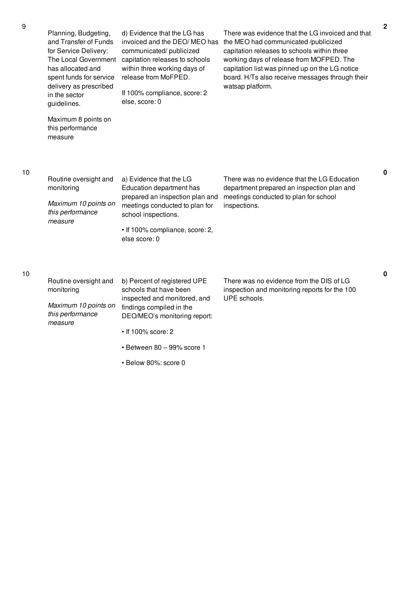| Planning, Budgeting,<br>and Transfer of Funds<br>for Service Delivery:<br>The Local Government<br>has allocated and<br>spent funds for service<br>delivery as prescribed<br>in the sector<br>guidelines. | d) Evidence that the LG has<br>invoiced and the DEO/MEO has<br>communicated/publicized<br>capitation releases to schools<br>within three working days of<br>release from MoFPED.<br>If 100% compliance, score: 2<br>else, score: 0 | There was evidence that the LG invoiced and that<br>the MEO had communicated /publicized<br>capitation releases to schools within three<br>working days of release from MOFPED. The<br>capitation list was pinned up on the LG notice<br>board. H/Ts also receive messages through their<br>watsap platform. |
|----------------------------------------------------------------------------------------------------------------------------------------------------------------------------------------------------------|------------------------------------------------------------------------------------------------------------------------------------------------------------------------------------------------------------------------------------|--------------------------------------------------------------------------------------------------------------------------------------------------------------------------------------------------------------------------------------------------------------------------------------------------------------|
| Maximum 8 points on<br>this performance<br>measure                                                                                                                                                       |                                                                                                                                                                                                                                    |                                                                                                                                                                                                                                                                                                              |
| Routine oversight and<br>monitoring<br>Maximum 10 points on                                                                                                                                              | a) Evidence that the LG<br>Education department has<br>prepared an inspection plan and<br>meetings conducted to plan for                                                                                                           | There was no evidence that the LG Education<br>department prepared an inspection plan and<br>meetings conducted to plan for school                                                                                                                                                                           |
| this performance<br>measure                                                                                                                                                                              | school inspections.                                                                                                                                                                                                                | inspections.                                                                                                                                                                                                                                                                                                 |
|                                                                                                                                                                                                          | • If 100% compliance, score: 2,<br>else score: 0                                                                                                                                                                                   |                                                                                                                                                                                                                                                                                                              |
| Routine oversight and<br>monitoring                                                                                                                                                                      | b) Percent of registered UPE<br>schools that have been<br>inspected and monitored, and                                                                                                                                             | There was no evidence from the DIS of LG<br>inspection and monitoring reports for the 100<br>UPE schools.                                                                                                                                                                                                    |
| Maximum 10 points on<br>this performance<br>measure                                                                                                                                                      | findings compiled in the<br>DEO/MEO's monitoring report:                                                                                                                                                                           |                                                                                                                                                                                                                                                                                                              |
|                                                                                                                                                                                                          | • If 100% score: 2                                                                                                                                                                                                                 |                                                                                                                                                                                                                                                                                                              |

- Between 80 99% score 1
- Below 80%: score 0

10

10

**0**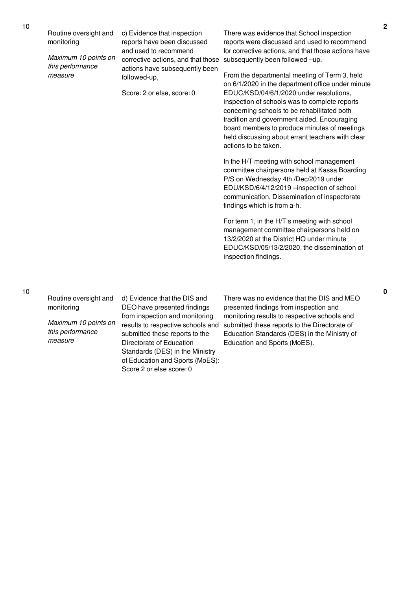| Routine oversight and<br>c) Evidence that inspection<br>reports have been discussed<br>monitoring<br>and used to recommend<br>Maximum 10 points on<br>corrective actions, and that those<br>this performance<br>actions have subsequently been<br>measure<br>followed-up,<br>Score: 2 or else, score: 0 | There was evidence that School inspection<br>reports were discussed and used to recommend<br>for corrective actions, and that those actions have<br>subsequently been followed -up.<br>From the departmental meeting of Term 3, held<br>on 6/1/2020 in the department office under minute<br>EDUC/KSD/04/6/1/2020 under resolutions,<br>inspection of schools was to complete reports<br>concerning schools to be rehabilitated both<br>tradition and government aided. Encouraging<br>board members to produce minutes of meetings<br>held discussing about errant teachers with clear<br>actions to be taken.<br>In the H/T meeting with school management<br>committee chairpersons held at Kassa Boarding<br>P/S on Wednesday 4th /Dec/2019 under<br>EDU/KSD/6/4/12/2019 -inspection of school<br>communication, Dissemination of inspectorate<br>findings which is from a-h.<br>For term 1, in the H/T's meeting with school<br>management committee chairpersons held on<br>13/2/2020 at the District HQ under minute<br>EDUC/KSD/05/13/2/2020, the dissemination of<br>inspection findings. |
|---------------------------------------------------------------------------------------------------------------------------------------------------------------------------------------------------------------------------------------------------------------------------------------------------------|----------------------------------------------------------------------------------------------------------------------------------------------------------------------------------------------------------------------------------------------------------------------------------------------------------------------------------------------------------------------------------------------------------------------------------------------------------------------------------------------------------------------------------------------------------------------------------------------------------------------------------------------------------------------------------------------------------------------------------------------------------------------------------------------------------------------------------------------------------------------------------------------------------------------------------------------------------------------------------------------------------------------------------------------------------------------------------------------------|
|---------------------------------------------------------------------------------------------------------------------------------------------------------------------------------------------------------------------------------------------------------------------------------------------------------|----------------------------------------------------------------------------------------------------------------------------------------------------------------------------------------------------------------------------------------------------------------------------------------------------------------------------------------------------------------------------------------------------------------------------------------------------------------------------------------------------------------------------------------------------------------------------------------------------------------------------------------------------------------------------------------------------------------------------------------------------------------------------------------------------------------------------------------------------------------------------------------------------------------------------------------------------------------------------------------------------------------------------------------------------------------------------------------------------|

Routine oversight and monitoring

*Maximum 10 points on this performance measure*

d) Evidence that the DIS and DEO have presented findings from inspection and monitoring submitted these reports to the Directorate of Education Standards (DES) in the Ministry of Education and Sports (MoES): Score 2 or else score: 0

results to respective schools and submitted these reports to the Directorate of There was no evidence that the DIS and MEO presented findings from inspection and monitoring results to respective schools and Education Standards (DES) in the Ministry of Education and Sports (MoES).

**2**

**0**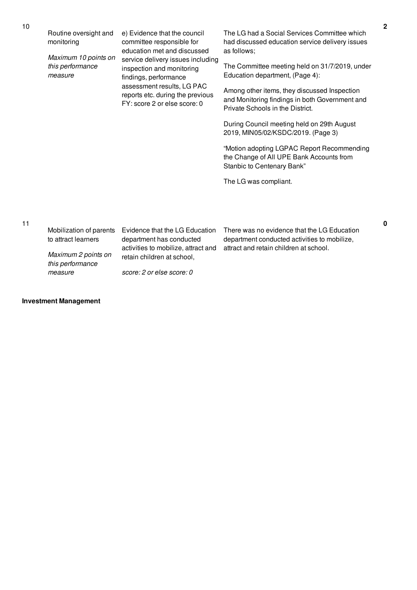Routine oversight and monitoring

*Maximum 10 points on this performance measure*

e) Evidence that the council committee responsible for education met and discussed service delivery issues including inspection and monitoring findings, performance assessment results, LG PAC reports etc. during the previous FY: score 2 or else score: 0

The LG had a Social Services Committee which had discussed education service delivery issues as follows;

The Committee meeting held on 31/7/2019, under Education department, (Page 4):

Among other items, they discussed Inspection and Monitoring findings in both Government and Private Schools in the District.

During Council meeting held on 29th August 2019, MIN05/02/KSDC/2019. (Page 3)

"Motion adopting LGPAC Report Recommending the Change of All UPE Bank Accounts from Stanbic to Centenary Bank"

The LG was compliant.

| Mobilization of parents                 | Evidence that the LG Education                                    | There was no evidence that the LG Education  |
|-----------------------------------------|-------------------------------------------------------------------|----------------------------------------------|
| to attract learners                     | department has conducted                                          | department conducted activities to mobilize. |
| Maximum 2 points on<br>this performance | activities to mobilize, attract and<br>retain children at school. | attract and retain children at school.       |

*score: 2 or else score: 0*

### **Investment Management**

*measure*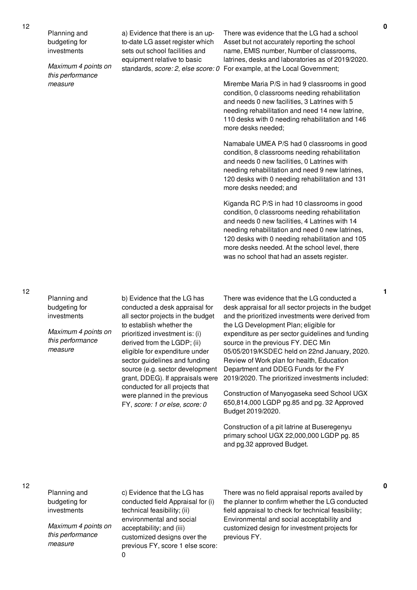Planning and budgeting for investments

*Maximum 4 points on this performance measure*

a) Evidence that there is an upto-date LG asset register which sets out school facilities and equipment relative to basic

standards, *score: 2, else score: 0* For example, at the Local Government; There was evidence that the LG had a school Asset but not accurately reporting the school name, EMIS number, Number of classrooms, latrines, desks and laboratories as of 2019/2020.

> Mirembe Maria P/S in had 9 classrooms in good condition, 0 classrooms needing rehabilitation and needs 0 new facilities, 3 Latrines with 5 needing rehabilitation and need 14 new latrine, 110 desks with 0 needing rehabilitation and 146 more desks needed;

> Namabale UMEA P/S had 0 classrooms in good condition, 8 classrooms needing rehabilitation and needs 0 new facilities, 0 Latrines with needing rehabilitation and need 9 new latrines, 120 desks with 0 needing rehabilitation and 131 more desks needed; and

> Kiganda RC P/S in had 10 classrooms in good condition, 0 classrooms needing rehabilitation and needs 0 new facilities, 4 Latrines with 14 needing rehabilitation and need 0 new latrines, 120 desks with 0 needing rehabilitation and 105 more desks needed. At the school level, there was no school that had an assets register.

12

Planning and budgeting for investments

*Maximum 4 points on this performance measure*

b) Evidence that the LG has conducted a desk appraisal for all sector projects in the budget to establish whether the prioritized investment is: (i) derived from the LGDP; (ii) eligible for expenditure under sector guidelines and funding source (e.g. sector development grant, DDEG). If appraisals were conducted for all projects that were planned in the previous FY, *score: 1 or else, score: 0*

There was evidence that the LG conducted a desk appraisal for all sector projects in the budget and the prioritized investments were derived from the LG Development Plan; eligible for expenditure as per sector guidelines and funding source in the previous FY. DEC Min 05/05/2019/KSDEC held on 22nd January, 2020. Review of Work plan for health, Education Department and DDEG Funds for the FY 2019/2020. The prioritized investments included:

Construction of Manyogaseka seed School UGX 650,814,000 LGDP pg.85 and pg. 32 Approved Budget 2019/2020.

Construction of a pit latrine at Buseregenyu primary school UGX 22,000,000 LGDP pg. 85 and pg.32 approved Budget.

12

Planning and budgeting for investments

*Maximum 4 points on this performance measure*

c) Evidence that the LG has conducted field Appraisal for (i) technical feasibility; (ii) environmental and social acceptability; and (iii) customized designs over the previous FY, score 1 else score: 0

There was no field appraisal reports availed by the planner to confirm whether the LG conducted field appraisal to check for technical feasibility; Environmental and social acceptability and customized design for investment projects for previous FY.

**1**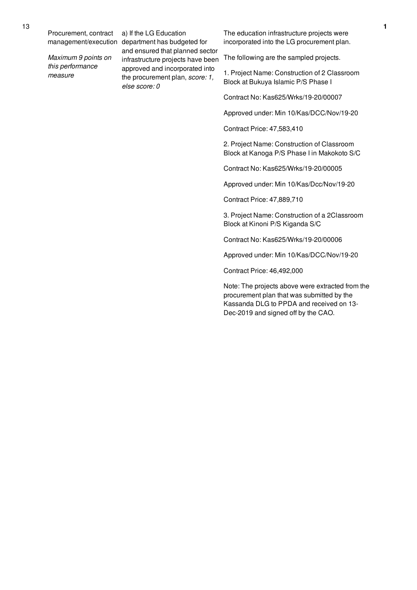*Maximum 9 points on this performance measure*

management/execution department has budgeted for a) If the LG Education and ensured that planned sector infrastructure projects have been approved and incorporated into the procurement plan, *score: 1, else score: 0*

The education infrastructure projects were incorporated into the LG procurement plan.

The following are the sampled projects.

1. Project Name: Construction of 2 Classroom Block at Bukuya Islamic P/S Phase I

Contract No: Kas625/Wrks/19-20/00007

Approved under: Min 10/Kas/DCC/Nov/19-20

Contract Price: 47,583,410

2. Project Name: Construction of Classroom Block at Kanoga P/S Phase I in Makokoto S/C

Contract No: Kas625/Wrks/19-20/00005

Approved under: Min 10/Kas/Dcc/Nov/19-20

Contract Price: 47,889,710

3. Project Name: Construction of a 2Classroom Block at Kinoni P/S Kiganda S/C

Contract No: Kas625/Wrks/19-20/00006

Approved under: Min 10/Kas/DCC/Nov/19-20

Contract Price: 46,492,000

Note: The projects above were extracted from the procurement plan that was submitted by the Kassanda DLG to PPDA and received on 13- Dec-2019 and signed off by the CAO.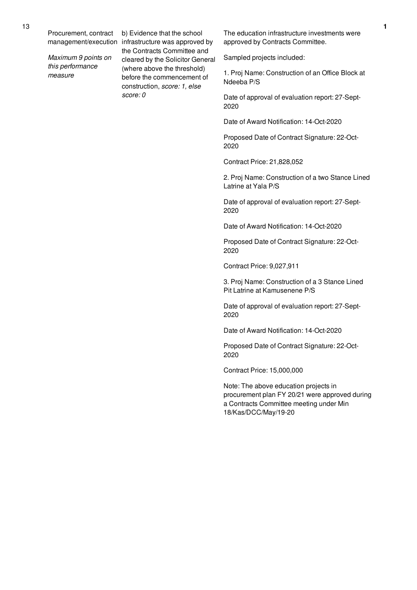*Maximum 9 points on this performance measure*

management/execution infrastructure was approved by b) Evidence that the school the Contracts Committee and cleared by the Solicitor General (where above the threshold) before the commencement of construction, *score: 1, else score: 0*

The education infrastructure investments were approved by Contracts Committee.

Sampled projects included:

1. Proj Name: Construction of an Office Block at Ndeeba P/S

Date of approval of evaluation report: 27-Sept-2020

Date of Award Notification: 14-Oct-2020

Proposed Date of Contract Signature: 22-Oct-2020

Contract Price: 21,828,052

2. Proj Name: Construction of a two Stance Lined Latrine at Yala P/S

Date of approval of evaluation report: 27-Sept-2020

Date of Award Notification: 14-Oct-2020

Proposed Date of Contract Signature: 22-Oct-2020

Contract Price: 9,027,911

3. Proj Name: Construction of a 3 Stance Lined Pit Latrine at Kamusenene P/S

Date of approval of evaluation report: 27-Sept-2020

Date of Award Notification: 14-Oct-2020

Proposed Date of Contract Signature: 22-Oct-2020

Contract Price: 15,000,000

Note: The above education projects in procurement plan FY 20/21 were approved during a Contracts Committee meeting under Min 18/Kas/DCC/May/19-20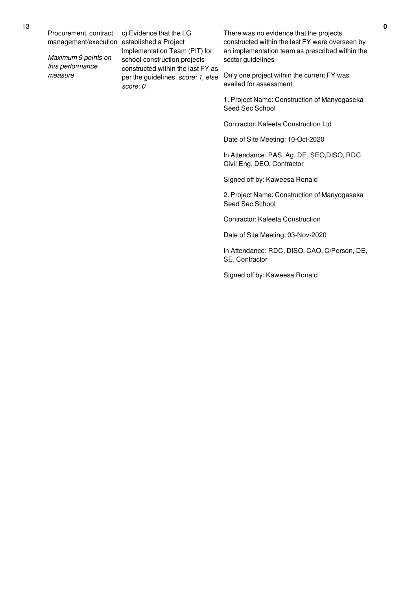*Maximum 9 points on this performance measure*

management/execution established a Project c) Evidence that the LG Implementation Team (PIT) for school construction projects constructed within the last FY as per the guidelines. *score: 1, else score: 0*

There was no evidence that the projects constructed within the last FY were overseen by an implementation team as prescribed within the sector guidelines

Only one project within the current FY was availed for assessment.

1. Project Name: Construction of Manyogaseka Seed Sec School

Contractor: Kaleeta Construction Ltd

Date of Site Meeting: 10-Oct-2020

In Attendance: PAS, Ag. DE, SEO,DISO, RDC, Civil Eng, DEO, Contractor

Signed off by: Kaweesa Ronald

2. Project Name: Construction of Manyogaseka Seed Sec School

Contractor: Kaleeta Construction

Date of Site Meeting: 03-Nov-2020

In Attendance: RDC, DISO, CAO, C/Person, DE, SE, Contractor

Signed off by: Kaweesa Ronald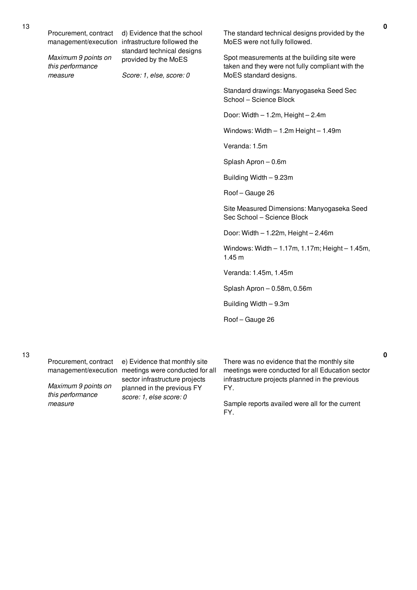*Maximum 9 points on this performance measure*

management/execution infrastructure followed the d) Evidence that the school standard technical designs provided by the MoES

*Score: 1, else, score: 0*

The standard technical designs provided by the MoES were not fully followed.

Spot measurements at the building site were taken and they were not fully compliant with the MoES standard designs.

Standard drawings: Manyogaseka Seed Sec School – Science Block

Door: Width – 1.2m, Height – 2.4m

Windows: Width – 1.2m Height – 1.49m

Veranda: 1.5m

Splash Apron – 0.6m

Building Width – 9.23m

Roof – Gauge 26

Site Measured Dimensions: Manyogaseka Seed Sec School – Science Block

Door: Width – 1.22m, Height – 2.46m

Windows: Width – 1.17m, 1.17m; Height – 1.45m, 1.45 m

Veranda: 1.45m, 1.45m

Splash Apron – 0.58m, 0.56m

Building Width – 9.3m

Roof – Gauge 26

Procurement, contract

*Maximum 9 points on this performance measure*

management/execution meetings were conducted for all e) Evidence that monthly site sector infrastructure projects planned in the previous FY *score: 1, else score: 0*

There was no evidence that the monthly site meetings were conducted for all Education sector infrastructure projects planned in the previous FY.

Sample reports availed were all for the current FY.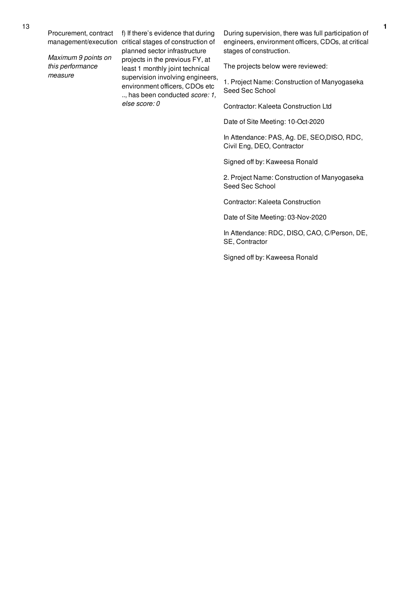*Maximum 9 points on this performance measure*

management/execution critical stages of construction of f) If there's evidence that during planned sector infrastructure projects in the previous FY, at least 1 monthly joint technical supervision involving engineers, environment officers, CDOs etc .., has been conducted *score: 1, else score: 0*

During supervision, there was full participation of engineers, environment officers, CDOs, at critical stages of construction.

The projects below were reviewed:

1. Project Name: Construction of Manyogaseka Seed Sec School

Contractor: Kaleeta Construction Ltd

Date of Site Meeting: 10-Oct-2020

In Attendance: PAS, Ag. DE, SEO,DISO, RDC, Civil Eng, DEO, Contractor

Signed off by: Kaweesa Ronald

2. Project Name: Construction of Manyogaseka Seed Sec School

Contractor: Kaleeta Construction

Date of Site Meeting: 03-Nov-2020

In Attendance: RDC, DISO, CAO, C/Person, DE, SE, Contractor

Signed off by: Kaweesa Ronald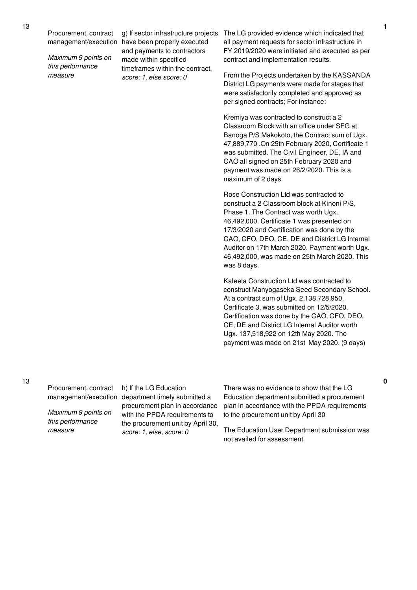*Maximum 9 points on this performance measure*

management/execution have been properly executed g) If sector infrastructure projects and payments to contractors made within specified timeframes within the contract, *score: 1, else score: 0*

The LG provided evidence which indicated that all payment requests for sector infrastructure in FY 2019/2020 were initiated and executed as per contract and implementation results.

From the Projects undertaken by the KASSANDA District LG payments were made for stages that were satisfactorily completed and approved as per signed contracts; For instance:

Kremiya was contracted to construct a 2 Classroom Block with an office under SFG at Banoga P/S Makokoto, the Contract sum of Ugx. 47,889,770 .On 25th February 2020, Certificate 1 was submitted. The Civil Engineer, DE, IA and CAO all signed on 25th February 2020 and payment was made on 26/2/2020. This is a maximum of 2 days.

Rose Construction Ltd was contracted to construct a 2 Classroom block at Kinoni P/S, Phase 1. The Contract was worth Ugx. 46,492,000. Certificate 1 was presented on 17/3/2020 and Certification was done by the CAO, CFO, DEO, CE, DE and District LG Internal Auditor on 17th March 2020. Payment worth Ugx. 46,492,000, was made on 25th March 2020. This was 8 days.

Kaleeta Construction Ltd was contracted to construct Manyogaseka Seed Secondary School. At a contract sum of Ugx. 2,138,728,950. Certificate 3, was submitted on 12/5/2020. Certification was done by the CAO, CFO, DEO, CE, DE and District LG Internal Auditor worth Ugx. 137,518,922 on 12th May 2020. The payment was made on 21st May 2020. (9 days)

Procurement, contract

*Maximum 9 points on this performance measure*

management/execution department timely submitted a h) If the LG Education procurement plan in accordance with the PPDA requirements to the procurement unit by April 30, *score: 1, else, score: 0*

There was no evidence to show that the LG Education department submitted a procurement plan in accordance with the PPDA requirements to the procurement unit by April 30

The Education User Department submission was not availed for assessment.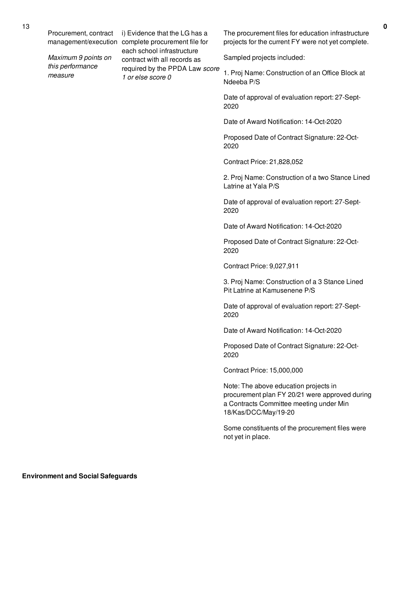*Maximum 9 points on this performance measure*

management/execution complete procurement file for i) Evidence that the LG has a each school infrastructure contract with all records as required by the PPDA Law *score 1 or else score 0*

The procurement files for education infrastructure projects for the current FY were not yet complete.

Sampled projects included:

1. Proj Name: Construction of an Office Block at Ndeeba P/S

Date of approval of evaluation report: 27-Sept-2020

Date of Award Notification: 14-Oct-2020

Proposed Date of Contract Signature: 22-Oct-2020

Contract Price: 21,828,052

2. Proj Name: Construction of a two Stance Lined Latrine at Yala P/S

Date of approval of evaluation report: 27-Sept-2020

Date of Award Notification: 14-Oct-2020

Proposed Date of Contract Signature: 22-Oct-2020

Contract Price: 9,027,911

3. Proj Name: Construction of a 3 Stance Lined Pit Latrine at Kamusenene P/S

Date of approval of evaluation report: 27-Sept-2020

Date of Award Notification: 14-Oct-2020

Proposed Date of Contract Signature: 22-Oct-2020

Contract Price: 15,000,000

Note: The above education projects in procurement plan FY 20/21 were approved during a Contracts Committee meeting under Min 18/Kas/DCC/May/19-20

Some constituents of the procurement files were not yet in place.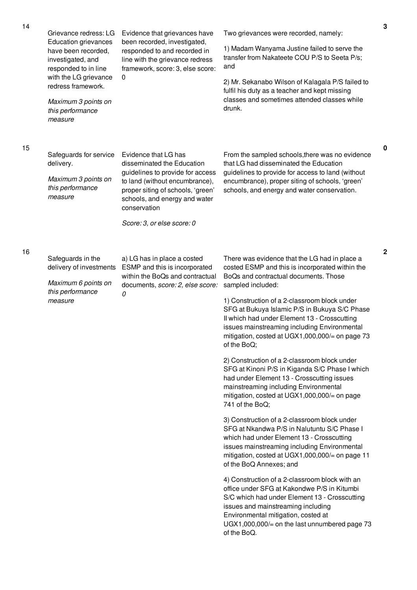| 14 | Grievance redress: LG<br><b>Education grievances</b><br>have been recorded,<br>investigated, and<br>responded to in line<br>with the LG grievance<br>redress framework.<br>Maximum 3 points on<br>this performance<br>measure | Evidence that grievances have<br>been recorded, investigated,<br>responded to and recorded in<br>line with the grievance redress<br>framework, score: 3, else score:<br>0                                                                    | Two grievances were recorded, namely:<br>1) Madam Wanyama Justine failed to serve the<br>transfer from Nakateete COU P/S to Seeta P/s;<br>and<br>2) Mr. Sekanabo Wilson of Kalagala P/S failed to<br>fulfil his duty as a teacher and kept missing<br>classes and sometimes attended classes while<br>drunk.                                                                                                                                                                                                                                                                                                                                                                                                                                                                                                                                                                                                                                                                                                                                                                                                                                                                                                                                                             | 3           |
|----|-------------------------------------------------------------------------------------------------------------------------------------------------------------------------------------------------------------------------------|----------------------------------------------------------------------------------------------------------------------------------------------------------------------------------------------------------------------------------------------|--------------------------------------------------------------------------------------------------------------------------------------------------------------------------------------------------------------------------------------------------------------------------------------------------------------------------------------------------------------------------------------------------------------------------------------------------------------------------------------------------------------------------------------------------------------------------------------------------------------------------------------------------------------------------------------------------------------------------------------------------------------------------------------------------------------------------------------------------------------------------------------------------------------------------------------------------------------------------------------------------------------------------------------------------------------------------------------------------------------------------------------------------------------------------------------------------------------------------------------------------------------------------|-------------|
| 15 | Safeguards for service<br>delivery.<br>Maximum 3 points on<br>this performance<br>measure                                                                                                                                     | Evidence that LG has<br>disseminated the Education<br>guidelines to provide for access<br>to land (without encumbrance),<br>proper siting of schools, 'green'<br>schools, and energy and water<br>conservation<br>Score: 3, or else score: 0 | From the sampled schools, there was no evidence<br>that LG had disseminated the Education<br>guidelines to provide for access to land (without<br>encumbrance), proper siting of schools, 'green'<br>schools, and energy and water conservation.                                                                                                                                                                                                                                                                                                                                                                                                                                                                                                                                                                                                                                                                                                                                                                                                                                                                                                                                                                                                                         | $\pmb{0}$   |
| 16 | Safeguards in the<br>delivery of investments<br>Maximum 6 points on<br>this performance<br>measure                                                                                                                            | a) LG has in place a costed<br>ESMP and this is incorporated<br>within the BoQs and contractual<br>documents, score: 2, else score:<br>0                                                                                                     | There was evidence that the LG had in place a<br>costed ESMP and this is incorporated within the<br>BoQs and contractual documents. Those<br>sampled included:<br>1) Construction of a 2-classroom block under<br>SFG at Bukuya Islamic P/S in Bukuya S/C Phase<br>Il which had under Element 13 - Crosscutting<br>issues mainstreaming including Environmental<br>mitigation, costed at UGX1,000,000/= on page 73<br>of the BoQ;<br>2) Construction of a 2-classroom block under<br>SFG at Kinoni P/S in Kiganda S/C Phase I which<br>had under Element 13 - Crosscutting issues<br>mainstreaming including Environmental<br>mitigation, costed at UGX1,000,000/= on page<br>741 of the BoQ:<br>3) Construction of a 2-classroom block under<br>SFG at Nkandwa P/S in Nalutuntu S/C Phase I<br>which had under Element 13 - Crosscutting<br>issues mainstreaming including Environmental<br>mitigation, costed at UGX1,000,000/= on page 11<br>of the BoQ Annexes; and<br>4) Construction of a 2-classroom block with an<br>office under SFG at Kakondwe P/S in Kitumbi<br>S/C which had under Element 13 - Crosscutting<br>issues and mainstreaming including<br>Environmental mitigation, costed at<br>$UGX1,000,000/=$ on the last unnumbered page 73<br>of the BoQ. | $\mathbf 2$ |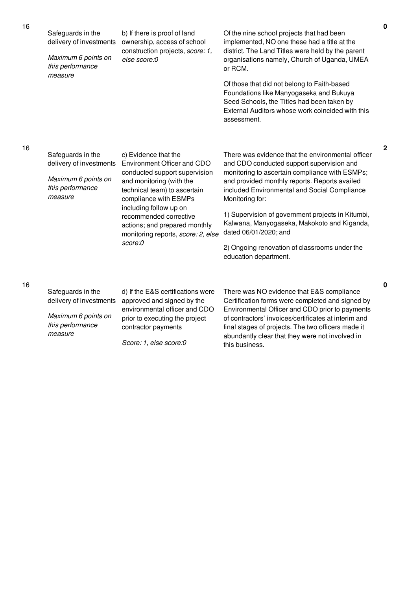Of the nine school projects that had been implemented, NO one these had a title at the district. The Land Titles were held by the parent organisations namely, Church of Uganda, UMEA or RCM.

Of those that did not belong to Faith-based Foundations like Manyogaseka and Bukuya Seed Schools, the Titles had been taken by External Auditors whose work coincided with this assessment.

### 16

16

| Safeguards in the<br>delivery of investments<br>Maximum 6 points on<br>this performance<br>measure | c) Evidence that the<br>Environment Officer and CDO<br>conducted support supervision<br>and monitoring (with the<br>technical team) to ascertain<br>compliance with ESMPs<br>including follow up on<br>recommended corrective<br>actions; and prepared monthly<br>monitoring reports, score: 2, else<br>score:0 | There was evidence that the environmental officer<br>and CDO conducted support supervision and<br>monitoring to ascertain compliance with ESMPs;<br>and provided monthly reports. Reports availed<br>included Environmental and Social Compliance<br>Monitoring for:<br>1) Supervision of government projects in Kitumbi,<br>Kalwana, Manyogaseka, Makokoto and Kiganda,<br>dated 06/01/2020; and<br>2) Ongoing renovation of classrooms under the<br>education department. |
|----------------------------------------------------------------------------------------------------|-----------------------------------------------------------------------------------------------------------------------------------------------------------------------------------------------------------------------------------------------------------------------------------------------------------------|-----------------------------------------------------------------------------------------------------------------------------------------------------------------------------------------------------------------------------------------------------------------------------------------------------------------------------------------------------------------------------------------------------------------------------------------------------------------------------|
| Safeguards in the<br>delivery of investments                                                       | d) If the E&S certifications were<br>approved and signed by the<br>environmental officer and CDO                                                                                                                                                                                                                | There was NO evidence that E&S compliance<br>Certification forms were completed and signed by<br>Environmental Officer and CDO prior to payments                                                                                                                                                                                                                                                                                                                            |

*Maximum 6 points on this performance measure*

prior to executing the project contractor payments

*Score: 1, else score:0*

of contractors' invoices/certificates at interim and final stages of projects. The two officers made it abundantly clear that they were not involved in this business.

16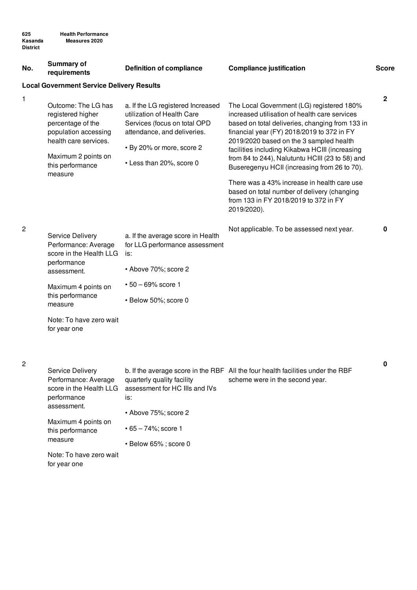| No.            | <b>Summary of</b><br>requirements                                                                                                                                                                  | <b>Definition of compliance</b>                                                                                                                                                         | <b>Compliance justification</b>                                                                                                                                                                                                                                                                                                                                                                                                                                                                                                                   | <b>Score</b> |
|----------------|----------------------------------------------------------------------------------------------------------------------------------------------------------------------------------------------------|-----------------------------------------------------------------------------------------------------------------------------------------------------------------------------------------|---------------------------------------------------------------------------------------------------------------------------------------------------------------------------------------------------------------------------------------------------------------------------------------------------------------------------------------------------------------------------------------------------------------------------------------------------------------------------------------------------------------------------------------------------|--------------|
|                | <b>Local Government Service Delivery Results</b>                                                                                                                                                   |                                                                                                                                                                                         |                                                                                                                                                                                                                                                                                                                                                                                                                                                                                                                                                   |              |
| 1              | Outcome: The LG has<br>registered higher<br>percentage of the<br>population accessing<br>health care services.<br>Maximum 2 points on<br>this performance<br>measure                               | a. If the LG registered Increased<br>utilization of Health Care<br>Services (focus on total OPD<br>attendance, and deliveries.<br>• By 20% or more, score 2<br>• Less than 20%, score 0 | The Local Government (LG) registered 180%<br>increased utilisation of health care services<br>based on total deliveries, changing from 133 in<br>financial year (FY) 2018/2019 to 372 in FY<br>2019/2020 based on the 3 sampled health<br>facilities including Kikabwa HCIII (increasing<br>from 84 to 244), Nalutuntu HCIII (23 to 58) and<br>Buseregenyu HCII (increasing from 26 to 70).<br>There was a 43% increase in health care use<br>based on total number of delivery (changing<br>from 133 in FY 2018/2019 to 372 in FY<br>2019/2020). | $\mathbf 2$  |
| $\overline{c}$ | <b>Service Delivery</b><br>Performance: Average<br>score in the Health LLG<br>performance<br>assessment.<br>Maximum 4 points on<br>this performance<br>measure                                     | a. If the average score in Health<br>for LLG performance assessment<br>is:<br>• Above 70%; score 2<br>$• 50 - 69\%$ score 1<br>· Below 50%; score 0                                     | Not applicable. To be assessed next year.                                                                                                                                                                                                                                                                                                                                                                                                                                                                                                         | 0            |
|                | Note: To have zero wait<br>for year one                                                                                                                                                            |                                                                                                                                                                                         |                                                                                                                                                                                                                                                                                                                                                                                                                                                                                                                                                   |              |
| 2              | Service Delivery<br>Performance: Average<br>score in the Health LLG<br>performance<br>assessment.<br>Maximum 4 points on<br>this performance<br>measure<br>Note: To have zero wait<br>for year one | quarterly quality facility<br>assessment for HC IIIs and IVs<br>is:<br>• Above 75%; score 2<br>$• 65 - 74\%$ ; score 1<br>• Below 65%; score 0                                          | b. If the average score in the RBF All the four health facilities under the RBF<br>scheme were in the second year.                                                                                                                                                                                                                                                                                                                                                                                                                                | 0            |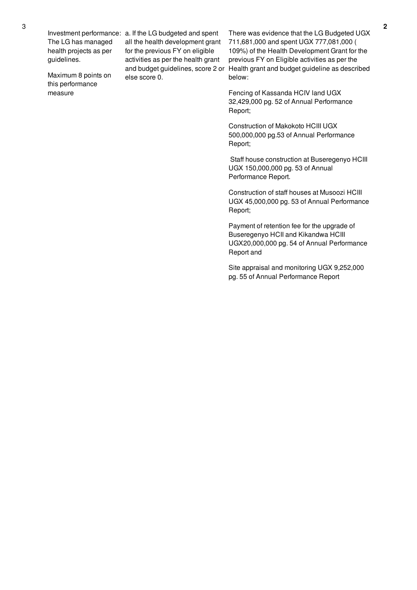The LG has managed health projects as per guidelines.

Maximum 8 points on this performance measure

Investment performance: a. If the LG budgeted and spent all the health development grant for the previous FY on eligible activities as per the health grant else score 0.

and budget guidelines, score 2 or Health grant and budget guideline as described There was evidence that the LG Budgeted UGX 711,681,000 and spent UGX 777,081,000 ( 109%) of the Health Development Grant for the previous FY on Eligible activities as per the below:

> Fencing of Kassanda HCIV land UGX 32,429,000 pg. 52 of Annual Performance Report;

Construction of Makokoto HCIII UGX 500,000,000 pg.53 of Annual Performance Report;

Staff house construction at Buseregenyo HCIII UGX 150,000,000 pg. 53 of Annual Performance Report.

Construction of staff houses at Musoozi HCIII UGX 45,000,000 pg. 53 of Annual Performance Report;

Payment of retention fee for the upgrade of Buseregenyo HCII and Kikandwa HCIII UGX20,000,000 pg. 54 of Annual Performance Report and

Site appraisal and monitoring UGX 9,252,000 pg. 55 of Annual Performance Report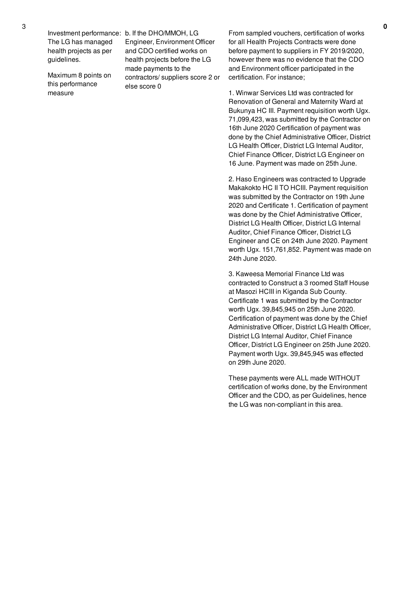The LG has managed health projects as per guidelines.

Maximum 8 points on this performance measure

Investment performance: b. If the DHO/MMOH, LG Engineer, Environment Officer and CDO certified works on health projects before the LG made payments to the contractors/ suppliers score 2 or else score 0

From sampled vouchers, certification of works for all Health Projects Contracts were done before payment to suppliers in FY 2019/2020, however there was no evidence that the CDO and Environment officer participated in the certification. For instance;

1. Winwar Services Ltd was contracted for Renovation of General and Maternity Ward at Bukunya HC III. Payment requisition worth Ugx. 71,099,423, was submitted by the Contractor on 16th June 2020 Certification of payment was done by the Chief Administrative Officer, District LG Health Officer, District LG Internal Auditor, Chief Finance Officer, District LG Engineer on 16 June. Payment was made on 25th June.

2. Haso Engineers was contracted to Upgrade Makakokto HC II TO HCIII. Payment requisition was submitted by the Contractor on 19th June 2020 and Certificate 1. Certification of payment was done by the Chief Administrative Officer, District LG Health Officer, District LG Internal Auditor, Chief Finance Officer, District LG Engineer and CE on 24th June 2020. Payment worth Ugx. 151,761,852. Payment was made on 24th June 2020.

3. Kaweesa Memorial Finance Ltd was contracted to Construct a 3 roomed Staff House at Masozi HCIII in Kiganda Sub County. Certificate 1 was submitted by the Contractor worth Ugx. 39,845,945 on 25th June 2020. Certification of payment was done by the Chief Administrative Officer, District LG Health Officer, District LG Internal Auditor, Chief Finance Officer, District LG Engineer on 25th June 2020. Payment worth Ugx. 39,845,945 was effected on 29th June 2020.

These payments were ALL made WITHOUT certification of works done, by the Environment Officer and the CDO, as per Guidelines, hence the LG was non-compliant in this area.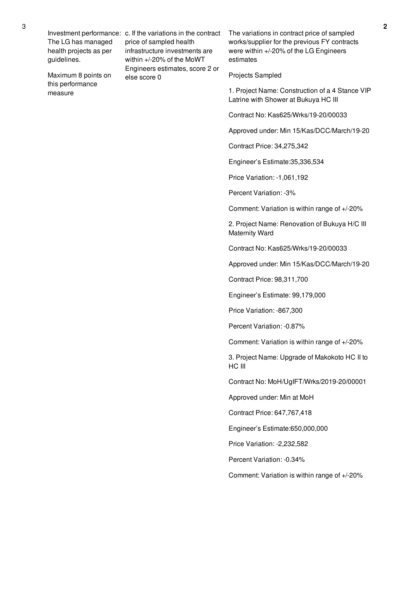The LG has managed health projects as per guidelines.

Maximum 8 points on this performance measure

Investment performance: c. If the variations in the contract price of sampled health infrastructure investments are within +/-20% of the MoWT Engineers estimates, score 2 or else score 0

The variations in contract price of sampled works/supplier for the previous FY contracts were within +/-20% of the LG Engineers estimates

### Projects Sampled

1. Project Name: Construction of a 4 Stance VIP Latrine with Shower at Bukuya HC III

Contract No: Kas625/Wrks/19-20/00033

Approved under: Min 15/Kas/DCC/March/19-20

Contract Price: 34,275,342

Engineer's Estimate:35,336,534

Price Variation: -1,061,192

Percent Variation: -3%

Comment: Variation is within range of +/-20%

2. Project Name: Renovation of Bukuya H/C III Maternity Ward

Contract No: Kas625/Wrks/19-20/00033

Approved under: Min 15/Kas/DCC/March/19-20

Contract Price: 98,311,700

Engineer's Estimate: 99,179,000

Price Variation: -867,300

Percent Variation: -0.87%

Comment: Variation is within range of +/-20%

3. Project Name: Upgrade of Makokoto HC II to HC III

Contract No: MoH/UgIFT/Wrks/2019-20/00001

Approved under: Min at MoH

Contract Price: 647,767,418

Engineer's Estimate:650,000,000

Price Variation: -2,232,582

Percent Variation: -0.34%

Comment: Variation is within range of +/-20%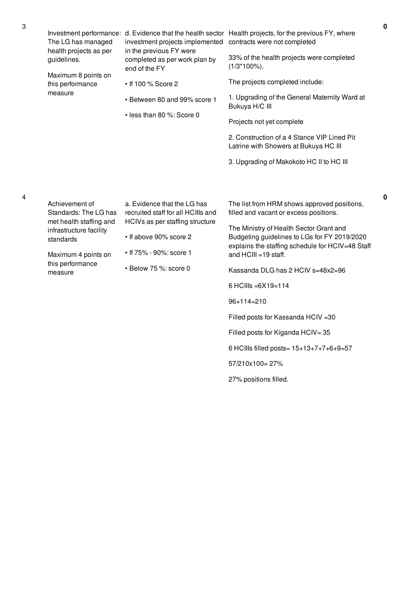| The LG has managed<br>health projects as per<br>guidelines.                                                                                                      | investment projects implemented contracts were not completed<br>in the previous FY were<br>completed as per work plan by<br>end of the FY                                          | Investment performance: d. Evidence that the health sector Health projects, for the previous FY, where<br>33% of the health projects were completed<br>$(1/3*100\%)$ .                                                                                                                                                      |
|------------------------------------------------------------------------------------------------------------------------------------------------------------------|------------------------------------------------------------------------------------------------------------------------------------------------------------------------------------|-----------------------------------------------------------------------------------------------------------------------------------------------------------------------------------------------------------------------------------------------------------------------------------------------------------------------------|
| Maximum 8 points on<br>this performance<br>measure                                                                                                               | • If 100 % Score 2<br>• Between 80 and 99% score 1                                                                                                                                 | The projects completed include:<br>1. Upgrading of the General Maternity Ward at<br>Bukuya H/C III                                                                                                                                                                                                                          |
|                                                                                                                                                                  | • less than 80 %: Score 0                                                                                                                                                          | Projects not yet complete                                                                                                                                                                                                                                                                                                   |
|                                                                                                                                                                  |                                                                                                                                                                                    | 2. Construction of a 4 Stance VIP Lined Pit<br>Latrine with Showers at Bukuya HC III                                                                                                                                                                                                                                        |
|                                                                                                                                                                  |                                                                                                                                                                                    | 3. Upgrading of Makokoto HC II to HC III                                                                                                                                                                                                                                                                                    |
| Achievement of<br>Standards: The LG has<br>met health staffing and<br>infrastructure facility<br>standards<br>Maximum 4 points on<br>this performance<br>measure | a. Evidence that the LG has<br>recruited staff for all HCIIIs and<br>HCIVs as per staffing structure<br>• If above 90% score 2<br>• If 75% - 90%: score 1<br>· Below 75 %: score 0 | The list from HRM shows approved positions,<br>filled and vacant or excess positions.<br>The Ministry of Health Sector Grant and<br>Budgeting guidelines to LGs for FY 2019/2020<br>explains the staffing schedule for HCIV=48 Staff<br>and HCIII = 19 staff.<br>Kassanda DLG has 2 HCIV s=48x2=96<br>6 HCIIIs = 6X19 = 114 |
|                                                                                                                                                                  |                                                                                                                                                                                    | $96+114=210$<br>Filled posts for Kassanda HCIV = 30                                                                                                                                                                                                                                                                         |
|                                                                                                                                                                  |                                                                                                                                                                                    | Filled posts for Kiganda HCIV=35<br>6 HCIIIs filled posts= $15+13+7+7+6+9=57$                                                                                                                                                                                                                                               |
|                                                                                                                                                                  |                                                                                                                                                                                    | 57/210x100=27%                                                                                                                                                                                                                                                                                                              |
|                                                                                                                                                                  |                                                                                                                                                                                    | 27% positions filled.                                                                                                                                                                                                                                                                                                       |

**0**

3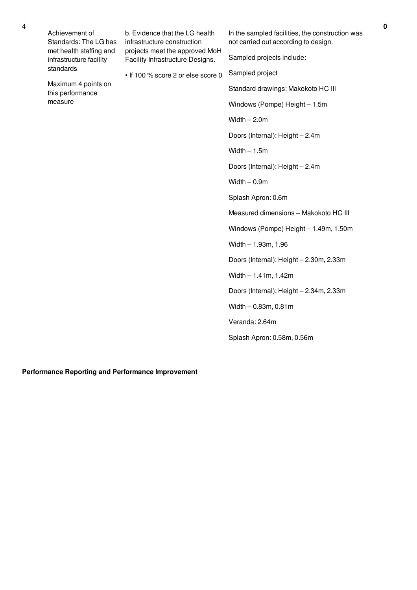| Achievement of<br>Standards: The LG has            | b. Evidence that the LG health<br>infrastructure construction                                            | In the sampled facilities, the construction was<br>not carried out according to design. |
|----------------------------------------------------|----------------------------------------------------------------------------------------------------------|-----------------------------------------------------------------------------------------|
| met health staffing and<br>infrastructure facility | projects meet the approved MoH<br>Facility Infrastructure Designs.<br>• If 100 % score 2 or else score 0 | Sampled projects include:                                                               |
| standards                                          |                                                                                                          | Sampled project                                                                         |
| Maximum 4 points on<br>this performance            |                                                                                                          | Standard drawings: Makokoto HC III                                                      |
| measure                                            |                                                                                                          | Windows (Pompe) Height - 1.5m                                                           |
|                                                    |                                                                                                          | $Width - 2.0m$                                                                          |
|                                                    |                                                                                                          | Doors (Internal): Height - 2.4m                                                         |
|                                                    |                                                                                                          | $Width - 1.5m$                                                                          |
|                                                    |                                                                                                          | Doors (Internal): Height - 2.4m                                                         |
|                                                    |                                                                                                          | Width $-0.9m$                                                                           |
|                                                    |                                                                                                          | Splash Apron: 0.6m                                                                      |
|                                                    |                                                                                                          | Measured dimensions - Makokoto HC III                                                   |
|                                                    |                                                                                                          | Windows (Pompe) Height - 1.49m, 1.50m                                                   |
|                                                    |                                                                                                          | Width $- 1.93m$ , 1.96                                                                  |
|                                                    |                                                                                                          | Doors (Internal): Height - 2.30m, 2.33m                                                 |
|                                                    |                                                                                                          | Width $-1.41m$ , 1.42m                                                                  |
|                                                    |                                                                                                          | Doors (Internal): Height - 2.34m, 2.33m                                                 |
|                                                    |                                                                                                          | Width - 0.83m, 0.81m                                                                    |
|                                                    |                                                                                                          | Veranda: 2.64m                                                                          |
|                                                    |                                                                                                          | Splash Apron: 0.58m, 0.56m                                                              |
|                                                    |                                                                                                          |                                                                                         |

## **Performance Reporting and Performance Improvement**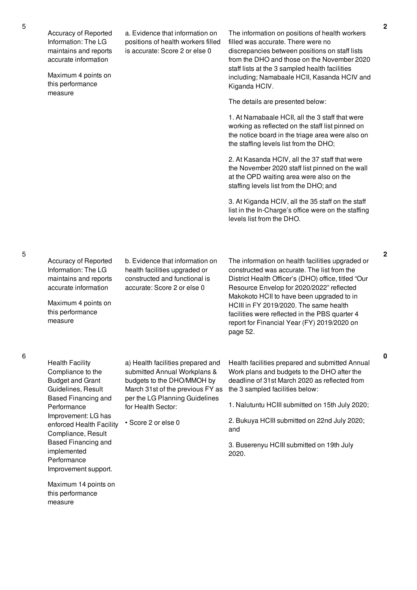Accuracy of Reported Information: The LG maintains and reports accurate information

Maximum 4 points on this performance measure

a. Evidence that information on positions of health workers filled is accurate: Score 2 or else 0

The information on positions of health workers filled was accurate. There were no discrepancies between positions on staff lists from the DHO and those on the November 2020 staff lists at the 3 sampled health facilities including; Namabaale HCII, Kasanda HCIV and Kiganda HCIV.

The details are presented below:

1. At Namabaale HCII, all the 3 staff that were working as reflected on the staff list pinned on the notice board in the triage area were also on the staffing levels list from the DHO;

2. At Kasanda HCIV, all the 37 staff that were the November 2020 staff list pinned on the wall at the OPD waiting area were also on the staffing levels list from the DHO; and

3. At Kiganda HCIV, all the 35 staff on the staff list in the In-Charge's office were on the staffing levels list from the DHO.

Accuracy of Reported Information: The LG maintains and reports accurate information Maximum 4 points on this performance measure b. Evidence that information on health facilities upgraded or constructed and functional is accurate: Score 2 or else 0 The information on health facilities upgraded or constructed was accurate. The list from the District Health Officer's (DHO) office, titled "Our Resource Envelop for 2020/2022" reflected Makokoto HCII to have been upgraded to in HCIII in FY 2019/2020. The same health facilities were reflected in the PBS quarter 4 report for Financial Year (FY) 2019/2020 on page 52. a) Health facilities prepared and submitted Annual Workplans & budgets to the DHO/MMOH by March 31st of the previous FY as per the LG Planning Guidelines for Health Sector: • Score 2 or else 0 Health facilities prepared and submitted Annual Work plans and budgets to the DHO after the deadline of 31st March 2020 as reflected from the 3 sampled facilities below: 1. Nalutuntu HCIII submitted on 15th July 2020; 2. Bukuya HCIII submitted on 22nd July 2020; and

> 3. Buserenyu HCIII submitted on 19th July 2020.

**2**

**0**

Health Facility Compliance to the Budget and Grant Guidelines, Result Based Financing and Performance Improvement: LG has enforced Health Facility Compliance, Result Based Financing and implemented **Performance** Improvement support.

Maximum 14 points on this performance measure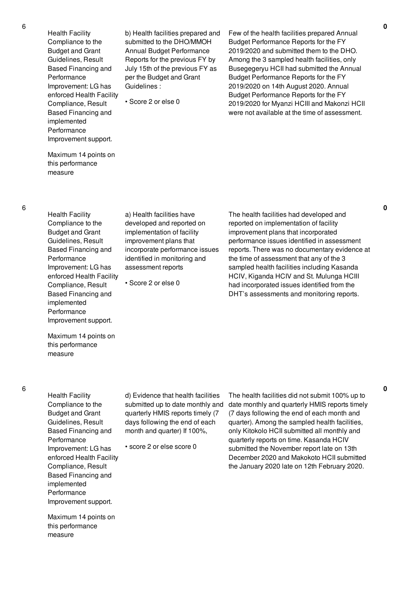Health Facility Compliance to the Budget and Grant Guidelines, Result Based Financing and Performance Improvement: LG has enforced Health Facility Compliance, Result Based Financing and implemented Performance Improvement support.

Maximum 14 points on this performance measure

6

Health Facility Compliance to the Budget and Grant Guidelines, Result Based Financing and Performance Improvement: LG has enforced Health Facility Compliance, Result Based Financing and implemented Performance Improvement support.

developed and reported on incorporate performance issues identified in monitoring and

b) Health facilities prepared and submitted to the DHO/MMOH Annual Budget Performance Reports for the previous FY by July 15th of the previous FY as per the Budget and Grant

Guidelines :

• Score 2 or else 0

Budget Performance Reports for the FY 2019/2020 on 14th August 2020. Annual Budget Performance Reports for the FY 2019/2020 for Myanzi HCIII and Makonzi HCII were not available at the time of assessment.

Few of the health facilities prepared Annual Budget Performance Reports for the FY 2019/2020 and submitted them to the DHO. Among the 3 sampled health facilities, only Busegegeryu HCII had submitted the Annual

implementation of facility improvement plans that assessment reports • Score 2 or else 0

a) Health facilities have

The health facilities had developed and reported on implementation of facility improvement plans that incorporated performance issues identified in assessment reports. There was no documentary evidence at the time of assessment that any of the 3 sampled health facilities including Kasanda HCIV, Kiganda HCIV and St. Mulunga HCIII had incorporated issues identified from the DHT's assessments and monitoring reports.

Maximum 14 points on this performance measure

6

Health Facility Compliance to the Budget and Grant Guidelines, Result Based Financing and Performance Improvement: LG has enforced Health Facility Compliance, Result Based Financing and implemented Performance Improvement support.

d) Evidence that health facilities submitted up to date monthly and quarterly HMIS reports timely (7 days following the end of each month and quarter) If 100%,

• score 2 or else score 0

The health facilities did not submit 100% up to date monthly and quarterly HMIS reports timely (7 days following the end of each month and quarter). Among the sampled health facilities, only Kitokolo HCII submitted all monthly and quarterly reports on time. Kasanda HCIV submitted the November report late on 13th December 2020 and Makokoto HCII submitted the January 2020 late on 12th February 2020.

**0**

**0**

Maximum 14 points on this performance measure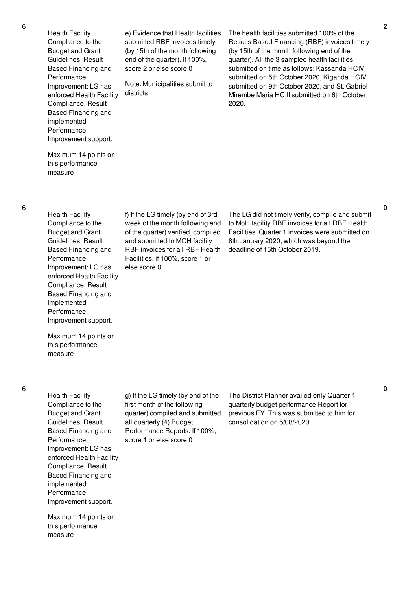Health Facility Compliance to the Budget and Grant Guidelines, Result Based Financing and Performance Improvement: LG has enforced Health Facility Compliance, Result Based Financing and implemented Performance Improvement support.

Maximum 14 points on this performance measure

6

Health Facility Compliance to the Budget and Grant Guidelines, Result Based Financing and Performance Improvement: LG has enforced Health Facility Compliance, Result Based Financing and implemented Performance Improvement support.

Maximum 14 points on this performance measure

6

Health Facility Compliance to the Budget and Grant Guidelines, Result Based Financing and Performance Improvement: LG has enforced Health Facility Compliance, Result Based Financing and implemented Performance Improvement support.

Maximum 14 points on this performance measure

f) If the LG timely (by end of 3rd week of the month following end of the quarter) verified, compiled and submitted to MOH facility RBF invoices for all RBF Health Facilities, if 100%, score 1 or else score 0

e) Evidence that Health facilities submitted RBF invoices timely (by 15th of the month following end of the quarter). If 100%, score 2 or else score 0

Note: Municipalities submit to

districts

The LG did not timely verify, compile and submit to MoH facility RBF invoices for all RBF Health Facilities. Quarter 1 invoices were submitted on 8th January 2020, which was beyond the deadline of 15th October 2019.

The health facilities submitted 100% of the Results Based Financing (RBF) invoices timely (by 15th of the month following end of the quarter). All the 3 sampled health facilities submitted on time as follows; Kassanda HCIV submitted on 5th October 2020, Kiganda HCIV submitted on 9th October 2020, and St. Gabriel Mirembe Maria HCIII submitted on 6th October

2020.

g) If the LG timely (by end of the first month of the following quarter) compiled and submitted all quarterly (4) Budget Performance Reports. If 100%, score 1 or else score 0

The District Planner availed only Quarter 4 quarterly budget performance Report for previous FY. This was submitted to him for consolidation on 5/08/2020.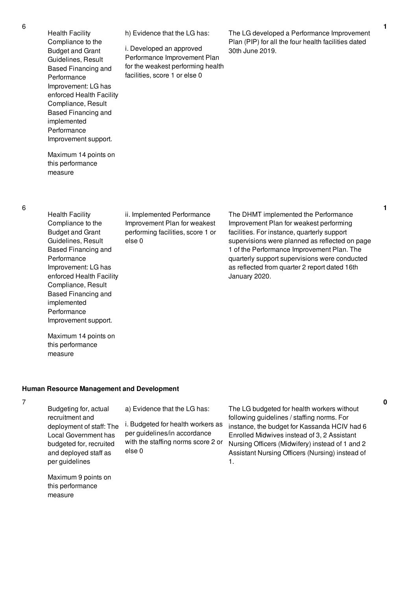Health Facility Compliance to the Budget and Grant Guidelines, Result Based Financing and Performance Improvement: LG has enforced Health Facility Compliance, Result Based Financing and implemented Performance Improvement support. Maximum 14 points on this performance measure h) Evidence that the LG has: i. Developed an approved Performance Improvement Plan for the weakest performing health facilities, score 1 or else 0 The LG developed a Performance Improvement Plan (PIP) for all the four health facilities dated 30th June 2019. Health Facility Compliance to the Budget and Grant Guidelines, Result Based Financing and Performance Improvement: LG has ii. Implemented Performance Improvement Plan for weakest performing facilities, score 1 or else 0 The DHMT implemented the Performance Improvement Plan for weakest performing facilities. For instance, quarterly support supervisions were planned as reflected on page 1 of the Performance Improvement Plan. The quarterly support supervisions were conducted as reflected from quarter 2 report dated 16th

### **Human Resource Management and Development**

### 7

Budgeting for, actual recruitment and deployment of staff: The Local Government has budgeted for, recruited and deployed staff as per guidelines

enforced Health Facility Compliance, Result Based Financing and

Improvement support.

Maximum 14 points on this performance

implemented Performance

measure

a) Evidence that the LG has:

i. Budgeted for health workers as per guidelines/in accordance with the staffing norms score 2 or else 0

Maximum 9 points on this performance measure

The LG budgeted for health workers without following guidelines / staffing norms. For instance, the budget for Kassanda HCIV had 6 Enrolled Midwives instead of 3, 2 Assistant Nursing Officers (Midwifery) instead of 1 and 2 Assistant Nursing Officers (Nursing) instead of 1.

January 2020.

**1**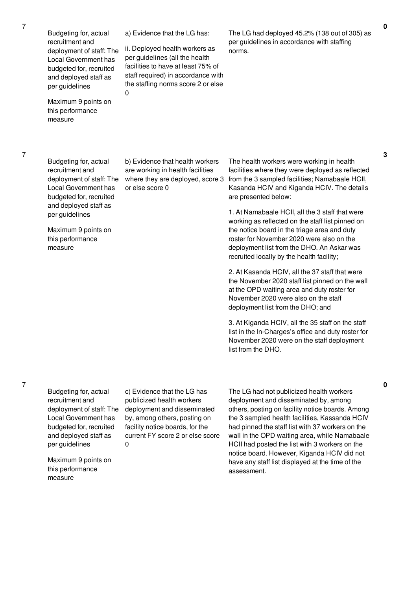Budgeting for, actual recruitment and deployment of staff: The Local Government has budgeted for, recruited and deployed staff as per guidelines Maximum 9 points on this performance measure a) Evidence that the LG has: ii. Deployed health workers as per guidelines (all the health facilities to have at least 75% of staff required) in accordance with the staffing norms score 2 or else  $\Omega$ The LG had deployed 45.2% (138 out of 305) as per guidelines in accordance with staffing norms. Budgeting for, actual recruitment and deployment of staff: The Local Government has budgeted for, recruited and deployed staff as per guidelines Maximum 9 points on this performance measure b) Evidence that health workers are working in health facilities where they are deployed, score 3 or else score 0 The health workers were working in health facilities where they were deployed as reflected from the 3 sampled facilities; Namabaale HCII, Kasanda HCIV and Kiganda HCIV. The details are presented below: 1. At Namabaale HCII, all the 3 staff that were working as reflected on the staff list pinned on the notice board in the triage area and duty roster for November 2020 were also on the deployment list from the DHO. An Askar was recruited locally by the health facility; 2. At Kasanda HCIV, all the 37 staff that were the November 2020 staff list pinned on the wall at the OPD waiting area and duty roster for November 2020 were also on the staff deployment list from the DHO; and 3. At Kiganda HCIV, all the 35 staff on the staff list in the In-Charges's office and duty roster for November 2020 were on the staff deployment list from the DHO.

7

Budgeting for, actual recruitment and deployment of staff: The Local Government has budgeted for, recruited and deployed staff as per guidelines

Maximum 9 points on this performance measure

c) Evidence that the LG has publicized health workers deployment and disseminated by, among others, posting on facility notice boards, for the current FY score 2 or else score  $\Omega$ 

The LG had not publicized health workers deployment and disseminated by, among others, posting on facility notice boards. Among the 3 sampled health facilities, Kassanda HCIV had pinned the staff list with 37 workers on the wall in the OPD waiting area, while Namabaale HCII had posted the list with 3 workers on the notice board. However, Kiganda HCIV did not have any staff list displayed at the time of the assessment.

**3**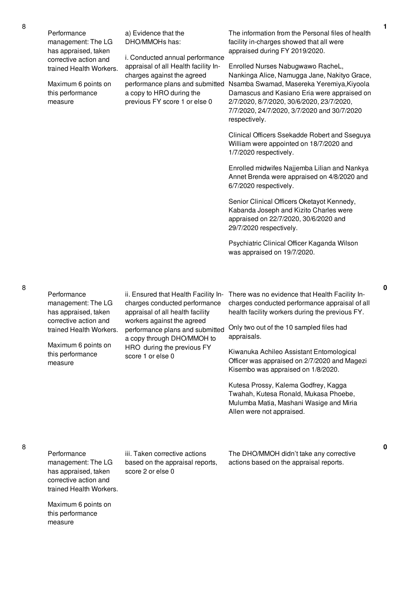Performance management: The LG has appraised, taken corrective action and trained Health Workers.

Maximum 6 points on this performance measure

a) Evidence that the DHO/MMOHs has:

i. Conducted annual performance appraisal of all Health facility Incharges against the agreed performance plans and submitted a copy to HRO during the previous FY score 1 or else 0

The information from the Personal files of health facility in-charges showed that all were appraised during FY 2019/2020.

Enrolled Nurses Nabugwawo RacheL, Nankinga Alice, Namugga Jane, Nakityo Grace, Nsamba Swamad, Masereka Yeremiya,Kiyoola Damascus and Kasiano Eria were appraised on 2/7/2020, 8/7/2020, 30/6/2020, 23/7/2020, 7/7/2020, 24/7/2020, 3/7/2020 and 30/7/2020 respectively.

Clinical Officers Ssekadde Robert and Sseguya William were appointed on 18/7/2020 and 1/7/2020 respectively.

Enrolled midwifes Najjemba Lilian and Nankya Annet Brenda were appraised on 4/8/2020 and 6/7/2020 respectively.

Senior Clinical Officers Oketayot Kennedy, Kabanda Joseph and Kizito Charles were appraised on 22/7/2020, 30/6/2020 and 29/7/2020 respectively.

Psychiatric Clinical Officer Kaganda Wilson was appraised on 19/7/2020.

8

Maximum 6 points on this performance

measure

| Performance<br>management: The LG<br>has appraised, taken<br>corrective action and                            | ii. Ensured that Health Facility In-<br>charges conducted performance<br>appraisal of all health facility<br>workers against the agreed<br>performance plans and submitted<br>a copy through DHO/MMOH to<br>HRO during the previous FY<br>score 1 or else 0 | There was no evidence that Health Facility In-<br>charges conducted performance appraisal of all<br>health facility workers during the previous FY.   |
|---------------------------------------------------------------------------------------------------------------|-------------------------------------------------------------------------------------------------------------------------------------------------------------------------------------------------------------------------------------------------------------|-------------------------------------------------------------------------------------------------------------------------------------------------------|
| trained Health Workers.                                                                                       |                                                                                                                                                                                                                                                             | Only two out of the 10 sampled files had<br>appraisals.                                                                                               |
| Maximum 6 points on<br>this performance<br>measure                                                            |                                                                                                                                                                                                                                                             | Kiwanuka Achileo Assistant Entomological<br>Officer was appraised on 2/7/2020 and Magezi<br>Kisembo was appraised on 1/8/2020.                        |
|                                                                                                               |                                                                                                                                                                                                                                                             | Kutesa Prossy, Kalema Godfrey, Kagga<br>Twahah, Kutesa Ronald, Mukasa Phoebe,<br>Mulumba Matia, Mashani Wasige and Miria<br>Allen were not appraised. |
| Performance<br>management: The LG<br>has appraised, taken<br>corrective action and<br>trained Health Workers. | iii. Taken corrective actions<br>based on the appraisal reports,<br>score 2 or else 0                                                                                                                                                                       | The DHO/MMOH didn't take any corrective<br>actions based on the appraisal reports.                                                                    |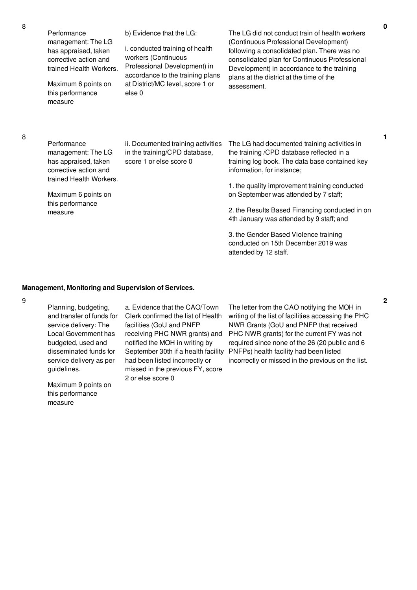| Performance<br>management: The LG<br>has appraised, taken<br>corrective action and<br>trained Health Workers.<br>Maximum 6 points on<br>this performance<br>measure | b) Evidence that the LG:<br>i. conducted training of health<br>workers (Continuous<br>Professional Development) in<br>accordance to the training plans<br>at District/MC level, score 1 or<br>else 0 | The LG did not conduct train of health workers<br>(Continuous Professional Development)<br>following a consolidated plan. There was no<br>consolidated plan for Continuous Professional<br>Development) in accordance to the training<br>plans at the district at the time of the<br>assessment.                                                                                                                                                  |
|---------------------------------------------------------------------------------------------------------------------------------------------------------------------|------------------------------------------------------------------------------------------------------------------------------------------------------------------------------------------------------|---------------------------------------------------------------------------------------------------------------------------------------------------------------------------------------------------------------------------------------------------------------------------------------------------------------------------------------------------------------------------------------------------------------------------------------------------|
| Performance<br>management: The LG<br>has appraised, taken<br>corrective action and<br>trained Health Workers.<br>Maximum 6 points on<br>this performance<br>measure | ii. Documented training activities<br>in the training/CPD database,<br>score 1 or else score 0                                                                                                       | The LG had documented training activities in<br>the training /CPD database reflected in a<br>training log book. The data base contained key<br>information, for instance;<br>1. the quality improvement training conducted<br>on September was attended by 7 staff;<br>2. the Results Based Financing conducted in on<br>4th January was attended by 9 staff; and<br>3. the Gender Based Violence training<br>conducted on 15th December 2019 was |

### **Management, Monitoring and Supervision of Services.**

9

8

8

Planning, budgeting, and transfer of funds for service delivery: The Local Government has budgeted, used and disseminated funds for service delivery as per guidelines.

Maximum 9 points on this performance measure

a. Evidence that the CAO/Town Clerk confirmed the list of Health facilities (GoU and PNFP receiving PHC NWR grants) and notified the MOH in writing by September 30th if a health facility had been listed incorrectly or missed in the previous FY, score 2 or else score 0

The letter from the CAO notifying the MOH in writing of the list of facilities accessing the PHC NWR Grants (GoU and PNFP that received PHC NWR grants) for the current FY was not required since none of the 26 (20 public and 6 PNFPs) health facility had been listed incorrectly or missed in the previous on the list.

attended by 12 staff.

**2**

**0**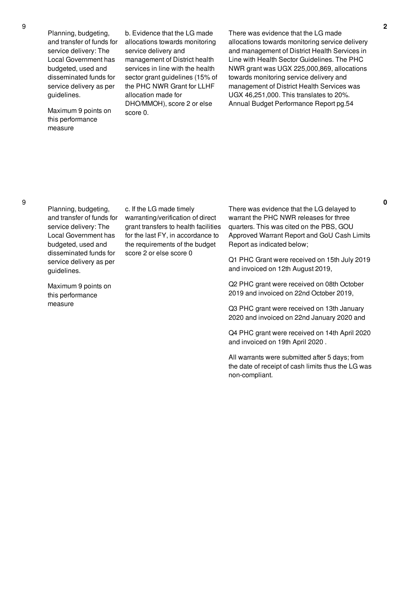Planning, budgeting, and transfer of funds for service delivery: The Local Government has budgeted, used and disseminated funds for service delivery as per guidelines.

Maximum 9 points on this performance measure

b. Evidence that the LG made allocations towards monitoring service delivery and management of District health services in line with the health sector grant guidelines (15% of the PHC NWR Grant for LLHF allocation made for DHO/MMOH), score 2 or else score 0.

There was evidence that the LG made allocations towards monitoring service delivery and management of District Health Services in Line with Health Sector Guidelines. The PHC NWR grant was UGX 225,000,869, allocations towards monitoring service delivery and management of District Health Services was UGX 46,251,000. This translates to 20%. Annual Budget Performance Report pg.54

Planning, budgeting, and transfer of funds for service delivery: The Local Government has budgeted, used and disseminated funds for service delivery as per guidelines.

Maximum 9 points on this performance measure

c. If the LG made timely warranting/verification of direct grant transfers to health facilities for the last FY, in accordance to the requirements of the budget score 2 or else score 0

There was evidence that the LG delayed to warrant the PHC NWR releases for three quarters. This was cited on the PBS, GOU Approved Warrant Report and GoU Cash Limits Report as indicated below;

Q1 PHC Grant were received on 15th July 2019 and invoiced on 12th August 2019,

Q2 PHC grant were received on 08th October 2019 and invoiced on 22nd October 2019,

Q3 PHC grant were received on 13th January 2020 and invoiced on 22nd January 2020 and

Q4 PHC grant were received on 14th April 2020 and invoiced on 19th April 2020 .

All warrants were submitted after 5 days; from the date of receipt of cash limits thus the LG was non-compliant.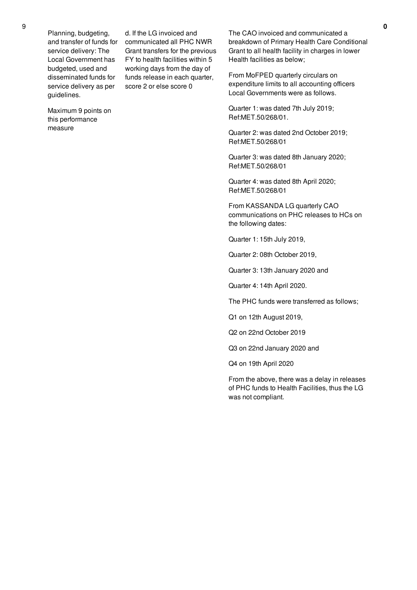Planning, budgeting, and transfer of funds for service delivery: The Local Government has budgeted, used and disseminated funds for service delivery as per guidelines.

d. If the LG invoiced and communicated all PHC NWR Grant transfers for the previous FY to health facilities within 5 working days from the day of funds release in each quarter, score 2 or else score 0

Maximum 9 points on this performance measure

The CAO invoiced and communicated a breakdown of Primary Health Care Conditional Grant to all health facility in charges in lower Health facilities as below;

From MoFPED quarterly circulars on expenditure limits to all accounting officers Local Governments were as follows.

Quarter 1: was dated 7th July 2019; Ref:MET.50/268/01.

Quarter 2: was dated 2nd October 2019; Ref:MET.50/268/01

Quarter 3: was dated 8th January 2020; Ref:MET.50/268/01

Quarter 4: was dated 8th April 2020; Ref:MET.50/268/01

From KASSANDA LG quarterly CAO communications on PHC releases to HCs on the following dates:

Quarter 1: 15th July 2019,

Quarter 2: 08th October 2019,

Quarter 3: 13th January 2020 and

Quarter 4: 14th April 2020.

The PHC funds were transferred as follows;

Q1 on 12th August 2019,

Q2 on 22nd October 2019

Q3 on 22nd January 2020 and

Q4 on 19th April 2020

From the above, there was a delay in releases of PHC funds to Health Facilities, thus the LG was not compliant.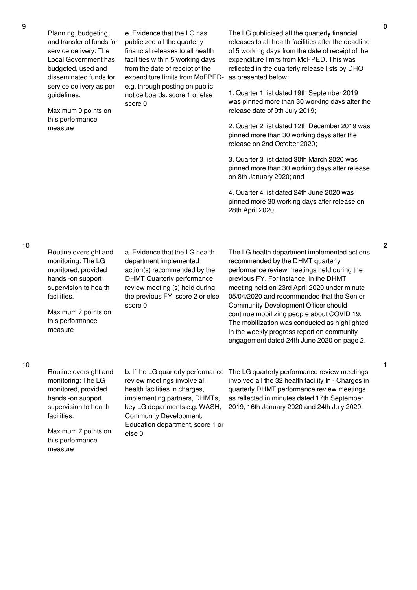Planning, budgeting, and transfer of funds for service delivery: The Local Government has budgeted, used and disseminated funds for service delivery as per guidelines.

Maximum 9 points on this performance measure

e. Evidence that the LG has publicized all the quarterly financial releases to all health facilities within 5 working days from the date of receipt of the expenditure limits from MoFPEDe.g. through posting on public notice boards: score 1 or else score 0

The LG publicised all the quarterly financial releases to all health facilities after the deadline of 5 working days from the date of receipt of the expenditure limits from MoFPED. This was reflected in the quarterly release lists by DHO as presented below:

1. Quarter 1 list dated 19th September 2019 was pinned more than 30 working days after the release date of 9th July 2019;

2. Quarter 2 list dated 12th December 2019 was pinned more than 30 working days after the release on 2nd October 2020;

3. Quarter 3 list dated 30th March 2020 was pinned more than 30 working days after release on 8th January 2020; and

4. Quarter 4 list dated 24th June 2020 was pinned more 30 working days after release on 28th April 2020.

Routine oversight and monitoring: The LG monitored, provided hands -on support supervision to health facilities.

Maximum 7 points on this performance measure

a. Evidence that the LG health department implemented action(s) recommended by the DHMT Quarterly performance review meeting (s) held during the previous FY, score 2 or else score 0

The LG health department implemented actions recommended by the DHMT quarterly performance review meetings held during the previous FY. For instance, in the DHMT meeting held on 23rd April 2020 under minute 05/04/2020 and recommended that the Senior Community Development Officer should continue mobilizing people about COVID 19. The mobilization was conducted as highlighted in the weekly progress report on community engagement dated 24th June 2020 on page 2.

Routine oversight and monitoring: The LG monitored, provided hands -on support supervision to health facilities. Maximum 7 points on this performance measure b. If the LG quarterly performance The LG quarterly performance review meetings review meetings involve all health facilities in charges, implementing partners, DHMTs, key LG departments e.g. WASH, Community Development, Education department, score 1 or else 0 involved all the 32 health facility In - Charges in quarterly DHMT performance review meetings as reflected in minutes dated 17th September 2019, 16th January 2020 and 24th July 2020.

**2**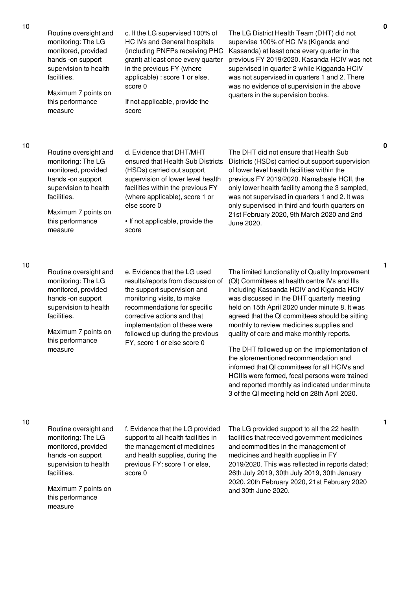| 10 | Routine oversight and<br>monitoring: The LG<br>monitored, provided<br>hands -on support<br>supervision to health<br>facilities.<br>Maximum 7 points on<br>this performance<br>measure | c. If the LG supervised 100% of<br>HC IVs and General hospitals<br>(including PNFPs receiving PHC<br>grant) at least once every quarter<br>in the previous FY (where<br>applicable) : score 1 or else,<br>score 0<br>If not applicable, provide the<br>score                                     | The LG District Health Team (DHT) did not<br>supervise 100% of HC IVs (Kiganda and<br>Kassanda) at least once every quarter in the<br>previous FY 2019/2020. Kasanda HCIV was not<br>supervised in quarter 2 while Kigganda HCIV<br>was not supervised in quarters 1 and 2. There<br>was no evidence of supervision in the above<br>quarters in the supervision books.                                                                                                                                                                                                                                                                                                                  |
|----|---------------------------------------------------------------------------------------------------------------------------------------------------------------------------------------|--------------------------------------------------------------------------------------------------------------------------------------------------------------------------------------------------------------------------------------------------------------------------------------------------|-----------------------------------------------------------------------------------------------------------------------------------------------------------------------------------------------------------------------------------------------------------------------------------------------------------------------------------------------------------------------------------------------------------------------------------------------------------------------------------------------------------------------------------------------------------------------------------------------------------------------------------------------------------------------------------------|
| 10 | Routine oversight and<br>monitoring: The LG<br>monitored, provided<br>hands -on support<br>supervision to health<br>facilities.<br>Maximum 7 points on<br>this performance<br>measure | d. Evidence that DHT/MHT<br>ensured that Health Sub Districts<br>(HSDs) carried out support<br>supervision of lower level health<br>facilities within the previous FY<br>(where applicable), score 1 or<br>else score 0<br>• If not applicable, provide the<br>score                             | The DHT did not ensure that Health Sub<br>Districts (HSDs) carried out support supervision<br>of lower level health facilities within the<br>previous FY 2019/2020. Namabaale HCII, the<br>only lower health facility among the 3 sampled,<br>was not supervised in quarters 1 and 2. It was<br>only supervised in third and fourth quarters on<br>21st February 2020, 9th March 2020 and 2nd<br>June 2020.                                                                                                                                                                                                                                                                             |
| 10 | Routine oversight and<br>monitoring: The LG<br>monitored, provided<br>hands -on support<br>supervision to health<br>facilities.<br>Maximum 7 points on<br>this performance<br>measure | e. Evidence that the LG used<br>results/reports from discussion of<br>the support supervision and<br>monitoring visits, to make<br>recommendations for specific<br>corrective actions and that<br>implementation of these were<br>followed up during the previous<br>FY, score 1 or else score 0 | The limited functionality of Quality Improvement<br>(QI) Committees at health centre IVs and IIIs<br>including Kassanda HCIV and Kiganda HCIV<br>was discussed in the DHT quarterly meeting<br>held on 15th April 2020 under minute 8. It was<br>agreed that the QI committees should be sitting<br>monthly to review medicines supplies and<br>quality of care and make monthly reports.<br>The DHT followed up on the implementation of<br>the aforementioned recommendation and<br>informed that QI committees for all HCIVs and<br>HCIIIs were formed, focal persons were trained<br>and reported monthly as indicated under minute<br>3 of the QI meeting held on 28th April 2020. |
| 10 | Routine oversight and<br>monitoring: The LG<br>monitored, provided<br>hands -on support<br>supervision to health<br>facilities.<br>Maximum 7 points on<br>this performance            | f. Evidence that the LG provided<br>support to all health facilities in<br>the management of medicines<br>and health supplies, during the<br>previous FY: score 1 or else,<br>score 0                                                                                                            | The LG provided support to all the 22 health<br>facilities that received government medicines<br>and commodities in the management of<br>medicines and health supplies in FY<br>2019/2020. This was reflected in reports dated;<br>26th July 2019, 30th July 2019, 30th January<br>2020, 20th February 2020, 21st February 2020<br>and 30th June 2020.                                                                                                                                                                                                                                                                                                                                  |

measure

**0**

**0**

**1**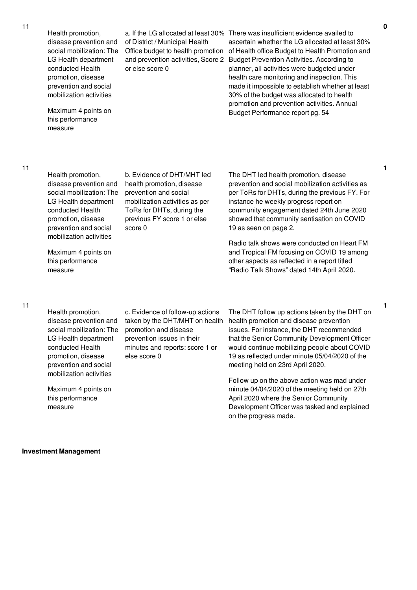Health promotion, disease prevention and social mobilization: The LG Health department conducted Health promotion, disease prevention and social mobilization activities

Maximum 4 points on this performance measure

of District / Municipal Health Office budget to health promotion and prevention activities, Score 2 or else score 0

a. If the LG allocated at least 30% There was insufficient evidence availed to ascertain whether the LG allocated at least 30% of Health office Budget to Health Promotion and Budget Prevention Activities. According to planner, all activities were budgeted under health care monitoring and inspection. This made it impossible to establish whether at least 30% of the budget was allocated to health promotion and prevention activities. Annual Budget Performance report pg. 54

11

Health promotion, disease prevention and social mobilization: The LG Health department conducted Health promotion, disease prevention and social mobilization activities

Maximum 4 points on this performance measure

b. Evidence of DHT/MHT led health promotion, disease prevention and social mobilization activities as per ToRs for DHTs, during the previous FY score 1 or else score 0

The DHT led health promotion, disease prevention and social mobilization activities as per ToRs for DHTs, during the previous FY. For instance he weekly progress report on community engagement dated 24th June 2020 showed that community sentisation on COVID 19 as seen on page 2.

Radio talk shows were conducted on Heart FM and Tropical FM focusing on COVID 19 among other aspects as reflected in a report titled "Radio Talk Shows" dated 14th April 2020.

Health promotion, disease prevention and social mobilization: The LG Health department conducted Health promotion, disease prevention and social mobilization activities

Maximum 4 points on this performance measure

c. Evidence of follow-up actions taken by the DHT/MHT on health promotion and disease prevention issues in their minutes and reports: score 1 or else score 0

The DHT follow up actions taken by the DHT on health promotion and disease prevention issues. For instance, the DHT recommended that the Senior Community Development Officer would continue mobilizing people about COVID 19 as reflected under minute 05/04/2020 of the meeting held on 23rd April 2020.

Follow up on the above action was mad under minute 04/04/2020 of the meeting held on 27th April 2020 where the Senior Community Development Officer was tasked and explained on the progress made.

### **Investment Management**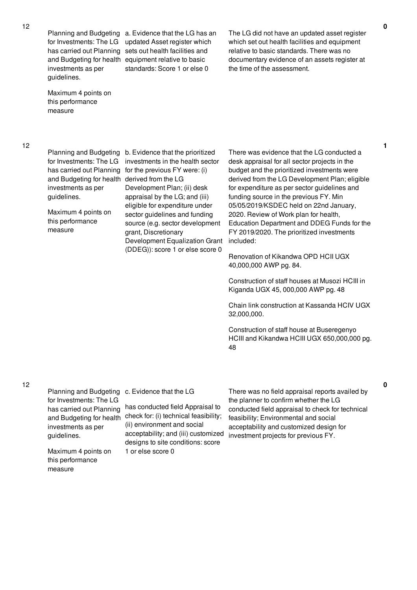investments as per guidelines.

Maximum 4 points on this performance measure

Planning and Budgeting a. Evidence that the LG has an for Investments: The LG updated Asset register which has carried out Planning sets out health facilities and and Budgeting for health equipment relative to basic standards: Score 1 or else 0

The LG did not have an updated asset register which set out health facilities and equipment relative to basic standards. There was no documentary evidence of an assets register at the time of the assessment.

12

Planning and Budgeting b. Evidence that the prioritized for Investments: The LG investments in the health sector has carried out Planning for the previous FY were: (i) and Budgeting for health derived from the LG investments as per guidelines. Maximum 4 points on this performance measure Development Plan; (ii) desk appraisal by the LG; and (iii) eligible for expenditure under sector guidelines and funding source (e.g. sector development grant, Discretionary Development Equalization Grant (DDEG)): score 1 or else score 0

There was evidence that the LG conducted a desk appraisal for all sector projects in the budget and the prioritized investments were derived from the LG Development Plan; eligible for expenditure as per sector guidelines and funding source in the previous FY. Min 05/05/2019/KSDEC held on 22nd January, 2020. Review of Work plan for health, Education Department and DDEG Funds for the FY 2019/2020. The prioritized investments included:

Renovation of Kikandwa OPD HCII UGX 40,000,000 AWP pg. 84.

Construction of staff houses at Musozi HCIII in Kiganda UGX 45, 000,000 AWP pg. 48

Chain link construction at Kassanda HCIV UGX 32,000,000.

Construction of staff house at Buseregenyo HCIII and Kikandwa HCIII UGX 650,000,000 pg. 48

12

measure

Planning and Budgeting c. Evidence that the LG for Investments: The LG has carried out Planning and Budgeting for health check for: (i) technical feasibility; investments as per guidelines. Maximum 4 points on this performance has conducted field Appraisal to (ii) environment and social acceptability; and (iii) customized designs to site conditions: score 1 or else score 0 There was no field appraisal reports availed by the planner to confirm whether the LG conducted field appraisal to check for technical feasibility; Environmental and social acceptability and customized design for investment projects for previous FY.

**1**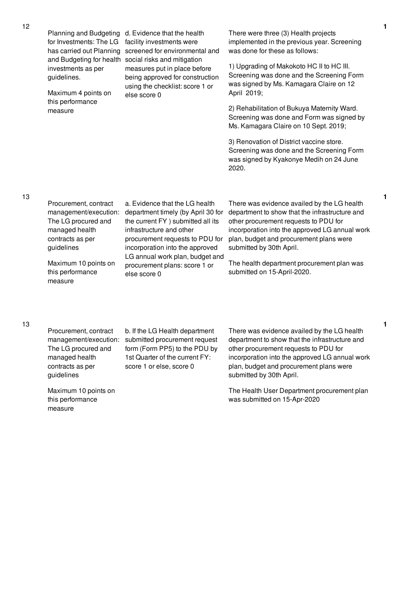|  | <b>Planning and Budgeting</b><br>for Investments: The LG<br>has carried out Planning<br>investments as per<br>guidelines.<br>Maximum 4 points on<br>this performance<br>measure | d. Evidence that the health<br>facility investments were<br>screened for environmental and<br>and Budgeting for health social risks and mitigation<br>measures put in place before<br>being approved for construction<br>using the checklist: score 1 or<br>else score 0                         | There were three (3) Health projects<br>implemented in the previous year. Screening<br>was done for these as follows:                                                                                                                                           |
|--|---------------------------------------------------------------------------------------------------------------------------------------------------------------------------------|--------------------------------------------------------------------------------------------------------------------------------------------------------------------------------------------------------------------------------------------------------------------------------------------------|-----------------------------------------------------------------------------------------------------------------------------------------------------------------------------------------------------------------------------------------------------------------|
|  |                                                                                                                                                                                 |                                                                                                                                                                                                                                                                                                  | 1) Upgrading of Makokoto HC II to HC III.<br>Screening was done and the Screening Form<br>was signed by Ms. Kamagara Claire on 12<br>April 2019;                                                                                                                |
|  |                                                                                                                                                                                 |                                                                                                                                                                                                                                                                                                  | 2) Rehabilitation of Bukuya Maternity Ward.<br>Screening was done and Form was signed by<br>Ms. Kamagara Claire on 10 Sept. 2019;                                                                                                                               |
|  |                                                                                                                                                                                 |                                                                                                                                                                                                                                                                                                  | 3) Renovation of District vaccine store.<br>Screening was done and the Screening Form<br>was signed by Kyakonye Medih on 24 June<br>2020.                                                                                                                       |
|  | Procurement, contract<br>management/execution:<br>The LG procured and<br>managed health<br>contracts as per<br>guidelines                                                       | a. Evidence that the LG health<br>department timely (by April 30 for<br>the current FY ) submitted all its<br>infrastructure and other<br>procurement requests to PDU for<br>incorporation into the approved<br>LG annual work plan, budget and<br>procurement plans: score 1 or<br>else score 0 | There was evidence availed by the LG health<br>department to show that the infrastructure and<br>other procurement requests to PDU for<br>incorporation into the approved LG annual work<br>plan, budget and procurement plans were<br>submitted by 30th April. |
|  | Maximum 10 points on<br>this performance<br>measure                                                                                                                             |                                                                                                                                                                                                                                                                                                  | The health department procurement plan was<br>submitted on 15-April-2020.                                                                                                                                                                                       |
|  |                                                                                                                                                                                 | $D$ roqurament contract $\rightarrow$ If the IC Health department                                                                                                                                                                                                                                | There wee ovidence availed by the $\Gamma$ boolth                                                                                                                                                                                                               |

Procurement, contract The LG procured and managed health contracts as per guidelines

12

13

13

Maximum 10 points on this performance measure

management/execution: submitted procurement request b. If the LG Health department form (Form PP5) to the PDU by 1st Quarter of the current FY: score 1 or else, score 0

There was evidence availed by the LG health department to show that the infrastructure and other procurement requests to PDU for incorporation into the approved LG annual work plan, budget and procurement plans were submitted by 30th April.

**1**

**1**

**1**

The Health User Department procurement plan was submitted on 15-Apr-2020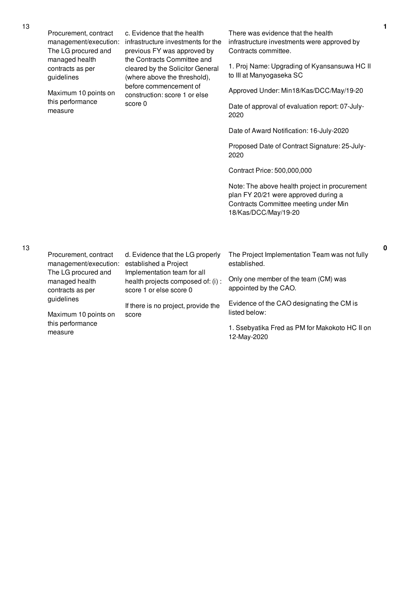| Procurement, contract<br>management/execution:<br>The LG procured and<br>managed health<br>contracts as per<br>guidelines | c. Evidence that the health<br>infrastructure investments for the<br>previous FY was approved by<br>the Contracts Committee and<br>cleared by the Solicitor General<br>(where above the threshold),<br>before commencement of<br>construction: score 1 or else<br>score 0 | There was evidence that the health<br>infrastructure investments were approved by<br>Contracts committee.<br>1. Proj Name: Upgrading of Kyansansuwa HC II<br>to III at Manyogaseka SC |
|---------------------------------------------------------------------------------------------------------------------------|---------------------------------------------------------------------------------------------------------------------------------------------------------------------------------------------------------------------------------------------------------------------------|---------------------------------------------------------------------------------------------------------------------------------------------------------------------------------------|
| Maximum 10 points on<br>this performance<br>measure                                                                       |                                                                                                                                                                                                                                                                           | Approved Under: Min18/Kas/DCC/May/19-20                                                                                                                                               |
|                                                                                                                           |                                                                                                                                                                                                                                                                           | Date of approval of evaluation report: 07-July-<br>2020                                                                                                                               |
|                                                                                                                           |                                                                                                                                                                                                                                                                           | Date of Award Notification: 16-July-2020                                                                                                                                              |
|                                                                                                                           |                                                                                                                                                                                                                                                                           | Proposed Date of Contract Signature: 25-July-<br>2020                                                                                                                                 |
|                                                                                                                           |                                                                                                                                                                                                                                                                           | Contract Price: 500,000,000                                                                                                                                                           |
|                                                                                                                           |                                                                                                                                                                                                                                                                           | Note: The above health project in procurement<br>plan FY 20/21 were approved during a<br>Contracts Committee meeting under Min<br>18/Kas/DCC/May/19-20                                |
|                                                                                                                           |                                                                                                                                                                                                                                                                           |                                                                                                                                                                                       |
| Procurement, contract<br>management/execution:<br>The LG procured and<br>managed health<br>contracts as per               | d. Evidence that the LG properly<br>established a Project<br>Implementation team for all<br>health projects composed of: (i) :<br>score 1 or else score 0<br>If there is no project, provide the<br>score                                                                 | The Project Implementation Team was not fully<br>established.                                                                                                                         |
|                                                                                                                           |                                                                                                                                                                                                                                                                           | Only one member of the team (CM) was<br>appointed by the CAO.                                                                                                                         |
| guidelines<br>Maximum 10 points on<br>this performance<br>measure                                                         |                                                                                                                                                                                                                                                                           | Evidence of the CAO designating the CM is<br>listed below:                                                                                                                            |
|                                                                                                                           |                                                                                                                                                                                                                                                                           | 1. Ssebyatika Fred as PM for Makokoto HC II on<br>12-May-2020                                                                                                                         |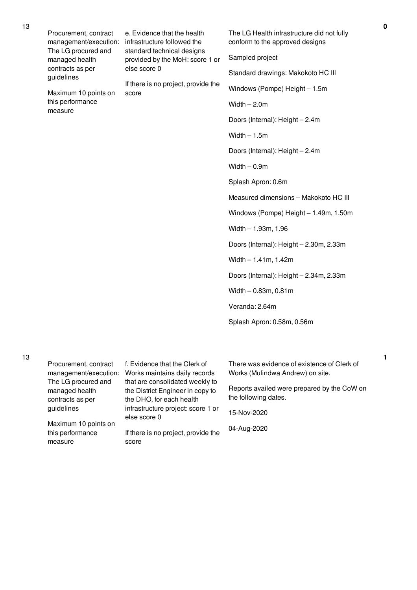| Procurement, contract<br>management/execution:<br>The LG procured and<br>managed health<br>contracts as per<br>guidelines<br>Maximum 10 points on<br>this performance<br>measure | e. Evidence that the health<br>infrastructure followed the<br>standard technical designs<br>provided by the MoH: score 1 or<br>else score 0<br>If there is no project, provide the<br>score | The LG Health infrastructure did not fully<br>conform to the approved designs<br>Sampled project<br>Standard drawings: Makokoto HC III<br>Windows (Pompe) Height - 1.5m<br>Width $-2.0m$<br>Doors (Internal): Height - 2.4m<br>Width $-1.5m$<br>Doors (Internal): Height - 2.4m<br>Width $-0.9m$<br>Splash Apron: 0.6m<br>Measured dimensions - Makokoto HC III |  |
|----------------------------------------------------------------------------------------------------------------------------------------------------------------------------------|---------------------------------------------------------------------------------------------------------------------------------------------------------------------------------------------|-----------------------------------------------------------------------------------------------------------------------------------------------------------------------------------------------------------------------------------------------------------------------------------------------------------------------------------------------------------------|--|
| Procurement, contract                                                                                                                                                            | f. Evidence that the Clerk of                                                                                                                                                               | Windows (Pompe) Height - 1.49m, 1.50m<br>Width $- 1.93m$ , 1.96<br>Doors (Internal): Height - 2.30m, 2.33m<br>Width $- 1.41$ m, 1.42m<br>Doors (Internal): Height - 2.34m, 2.33m<br>Width $-0.83m$ , 0.81m<br>Veranda: 2.64m<br>Splash Apron: 0.58m, 0.56m<br>There was evidence of existence of Clerk of                                                       |  |
| management/execution:                                                                                                                                                            | Works maintains daily records                                                                                                                                                               | Works (Mulindwa Andrew) on site.                                                                                                                                                                                                                                                                                                                                |  |

that are consolidated weekly to the District Engineer in copy to the DHO, for each health infrastructure project: score 1 or

If there is no project, provide the

else score 0

score

Reports availed were prepared by the CoW on the following dates.

15-Nov-2020

04-Aug-2020

13

The LG procured and managed health contracts as per guidelines

Maximum 10 points on this performance

measure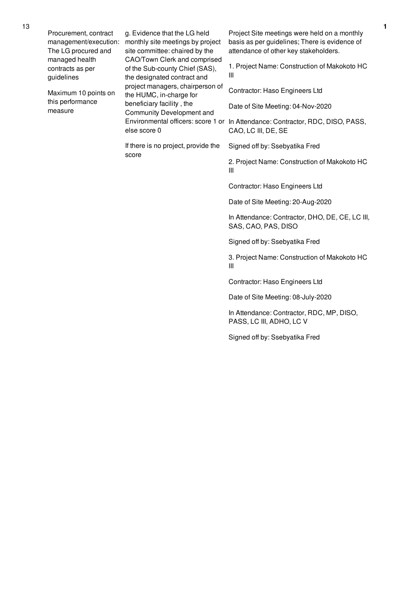Procurement, contract The LG procured and managed health contracts as per guidelines

Maximum 10 points on this performance measure

management/execution: monthly site meetings by project g. Evidence that the LG held site committee: chaired by the CAO/Town Clerk and comprised of the Sub-county Chief (SAS), the designated contract and project managers, chairperson of the HUMC, in-charge for beneficiary facility , the Community Development and else score 0

> If there is no project, provide the score

Project Site meetings were held on a monthly basis as per guidelines; There is evidence of attendance of other key stakeholders.

1. Project Name: Construction of Makokoto HC III

Contractor: Haso Engineers Ltd

Date of Site Meeting: 04-Nov-2020

Environmental officers: score 1 or In Attendance: Contractor, RDC, DISO, PASS, CAO, LC III, DE, SE

Signed off by: Ssebyatika Fred

2. Project Name: Construction of Makokoto HC III

Contractor: Haso Engineers Ltd

Date of Site Meeting: 20-Aug-2020

In Attendance: Contractor, DHO, DE, CE, LC III, SAS, CAO, PAS, DISO

Signed off by: Ssebyatika Fred

3. Project Name: Construction of Makokoto HC III

Contractor: Haso Engineers Ltd

Date of Site Meeting: 08-July-2020

In Attendance: Contractor, RDC, MP, DISO, PASS, LC III, ADHO, LC V

Signed off by: Ssebyatika Fred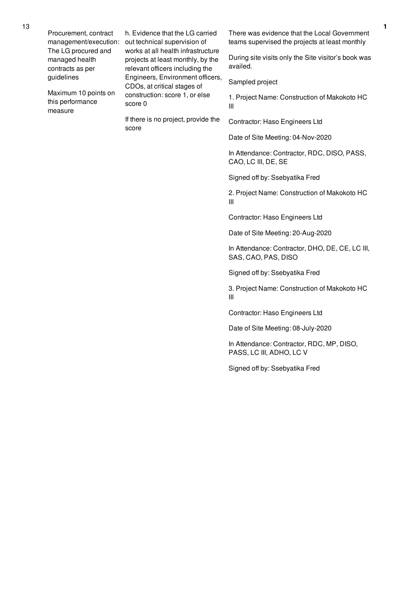Procurement, contract The LG procured and managed health contracts as per guidelines

Maximum 10 points on this performance measure

management/execution: out technical supervision of h. Evidence that the LG carried works at all health infrastructure projects at least monthly, by the relevant officers including the Engineers, Environment officers, CDOs, at critical stages of construction: score 1, or else score 0

> If there is no project, provide the score

There was evidence that the Local Government teams supervised the projects at least monthly

During site visits only the Site visitor's book was availed.

Sampled project

1. Project Name: Construction of Makokoto HC III

Contractor: Haso Engineers Ltd

Date of Site Meeting: 04-Nov-2020

In Attendance: Contractor, RDC, DISO, PASS, CAO, LC III, DE, SE

Signed off by: Ssebyatika Fred

2. Project Name: Construction of Makokoto HC III

Contractor: Haso Engineers Ltd

Date of Site Meeting: 20-Aug-2020

In Attendance: Contractor, DHO, DE, CE, LC III, SAS, CAO, PAS, DISO

Signed off by: Ssebyatika Fred

3. Project Name: Construction of Makokoto HC III

Contractor: Haso Engineers Ltd

Date of Site Meeting: 08-July-2020

In Attendance: Contractor, RDC, MP, DISO, PASS, LC III, ADHO, LC V

Signed off by: Ssebyatika Fred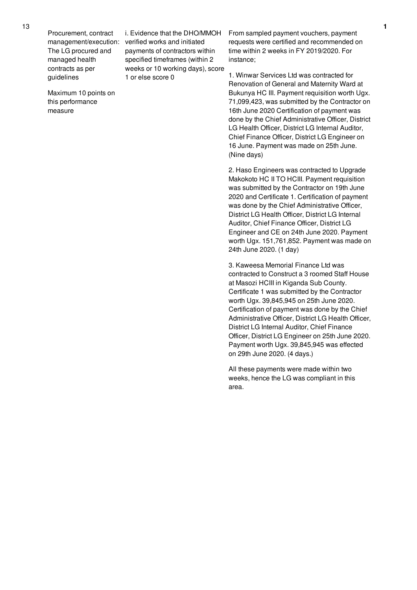Procurement, contract The LG procured and managed health contracts as per guidelines

management/execution: verified works and initiated i. Evidence that the DHO/MMOH payments of contractors within specified timeframes (within 2 weeks or 10 working days), score 1 or else score 0

Maximum 10 points on this performance measure

From sampled payment vouchers, payment requests were certified and recommended on time within 2 weeks in FY 2019/2020. For instance;

1. Winwar Services Ltd was contracted for Renovation of General and Maternity Ward at Bukunya HC III. Payment requisition worth Ugx. 71,099,423, was submitted by the Contractor on 16th June 2020 Certification of payment was done by the Chief Administrative Officer, District LG Health Officer, District LG Internal Auditor, Chief Finance Officer, District LG Engineer on 16 June. Payment was made on 25th June. (Nine days)

2. Haso Engineers was contracted to Upgrade Makokoto HC II TO HCIII. Payment requisition was submitted by the Contractor on 19th June 2020 and Certificate 1. Certification of payment was done by the Chief Administrative Officer, District LG Health Officer, District LG Internal Auditor, Chief Finance Officer, District LG Engineer and CE on 24th June 2020. Payment worth Ugx. 151,761,852. Payment was made on 24th June 2020. (1 day)

3. Kaweesa Memorial Finance Ltd was contracted to Construct a 3 roomed Staff House at Masozi HCIII in Kiganda Sub County. Certificate 1 was submitted by the Contractor worth Ugx. 39,845,945 on 25th June 2020. Certification of payment was done by the Chief Administrative Officer, District LG Health Officer, District LG Internal Auditor, Chief Finance Officer, District LG Engineer on 25th June 2020. Payment worth Ugx. 39,845,945 was effected on 29th June 2020. (4 days.)

All these payments were made within two weeks, hence the LG was compliant in this area.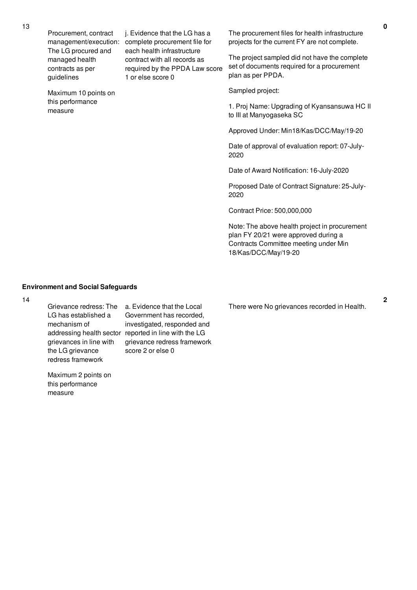Procurement, contract management/execution: complete procurement file for The LG procured and managed health contracts as per guidelines Maximum 10 points on this performance measure j. Evidence that the LG has a each health infrastructure contract with all records as required by the PPDA Law score 1 or else score 0 plan as per PPDA. Sampled project: 2020

> Proposed Date of Contract Signature: 25-July-2020

Contract Price: 500,000,000

Note: The above health project in procurement plan FY 20/21 were approved during a Contracts Committee meeting under Min 18/Kas/DCC/May/19-20

## **Environment and Social Safeguards**

#### 14

LG has established a mechanism of grievances in line with the LG grievance redress framework

Maximum 2 points on this performance measure

Grievance redress: The a. Evidence that the Local addressing health sector reported in line with the LG Government has recorded, investigated, responded and grievance redress framework score 2 or else 0

The procurement files for health infrastructure projects for the current FY are not complete.

The project sampled did not have the complete set of documents required for a procurement

1. Proj Name: Upgrading of Kyansansuwa HC II to III at Manyogaseka SC

Approved Under: Min18/Kas/DCC/May/19-20

Date of approval of evaluation report: 07-July-

Date of Award Notification: 16-July-2020

There were No grievances recorded in Health.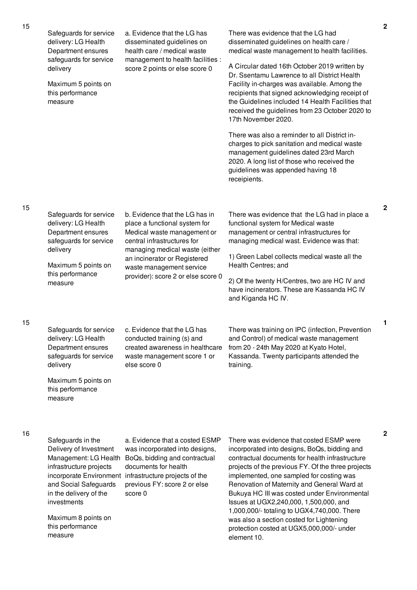| 15 | Safeguards for service<br>delivery: LG Health<br>Department ensures<br>safeguards for service                                                                                                                           | a. Evidence that the LG has<br>disseminated guidelines on<br>health care / medical waste                                                                                                                                       | There was evidence that the LG had<br>disseminated guidelines on health care /<br>medical waste management to health facilities.                                                                                                                                                                                                                                                                                                                                                                                                              |  |
|----|-------------------------------------------------------------------------------------------------------------------------------------------------------------------------------------------------------------------------|--------------------------------------------------------------------------------------------------------------------------------------------------------------------------------------------------------------------------------|-----------------------------------------------------------------------------------------------------------------------------------------------------------------------------------------------------------------------------------------------------------------------------------------------------------------------------------------------------------------------------------------------------------------------------------------------------------------------------------------------------------------------------------------------|--|
|    | delivery<br>Maximum 5 points on<br>this performance<br>measure                                                                                                                                                          | management to health facilities :<br>score 2 points or else score 0                                                                                                                                                            | A Circular dated 16th October 2019 written by<br>Dr. Ssentamu Lawrence to all District Health<br>Facility in-charges was available. Among the<br>recipients that signed acknowledging receipt of<br>the Guidelines included 14 Health Facilities that<br>received the guidelines from 23 October 2020 to<br>17th November 2020.                                                                                                                                                                                                               |  |
|    |                                                                                                                                                                                                                         |                                                                                                                                                                                                                                | There was also a reminder to all District in-<br>charges to pick sanitation and medical waste<br>management guidelines dated 23rd March<br>2020. A long list of those who received the<br>guidelines was appended having 18<br>receipients.                                                                                                                                                                                                                                                                                                   |  |
| 15 | Safeguards for service<br>delivery: LG Health<br>Department ensures<br>safeguards for service                                                                                                                           | b. Evidence that the LG has in<br>place a functional system for<br>Medical waste management or<br>central infrastructures for                                                                                                  | There was evidence that the LG had in place a<br>functional system for Medical waste<br>management or central infrastructures for<br>managing medical wast. Evidence was that:                                                                                                                                                                                                                                                                                                                                                                |  |
|    | delivery<br>Maximum 5 points on                                                                                                                                                                                         | managing medical waste (either<br>an incinerator or Registered<br>waste management service                                                                                                                                     | 1) Green Label collects medical waste all the<br>Health Centres; and                                                                                                                                                                                                                                                                                                                                                                                                                                                                          |  |
|    | this performance<br>measure                                                                                                                                                                                             | provider): score 2 or else score 0                                                                                                                                                                                             | 2) Of the twenty H/Centres, two are HC IV and<br>have incinerators. These are Kassanda HC IV<br>and Kiganda HC IV.                                                                                                                                                                                                                                                                                                                                                                                                                            |  |
| 15 | Safeguards for service<br>delivery: LG Health<br>Department ensures<br>safeguards for service<br>delivery                                                                                                               | c. Evidence that the LG has<br>conducted training (s) and<br>created awareness in healthcare<br>waste management score 1 or<br>else score 0                                                                                    | There was training on IPC (infection, Prevention<br>and Control) of medical waste management<br>from 20 - 24th May 2020 at Kyato Hotel,<br>Kassanda. Twenty participants attended the<br>training.                                                                                                                                                                                                                                                                                                                                            |  |
|    | Maximum 5 points on<br>this performance<br>measure                                                                                                                                                                      |                                                                                                                                                                                                                                |                                                                                                                                                                                                                                                                                                                                                                                                                                                                                                                                               |  |
| 16 | Safeguards in the<br>Delivery of Investment<br>Management: LG Health<br>infrastructure projects<br>and Social Safeguards<br>in the delivery of the<br>investments<br>Maximum 8 points on<br>this performance<br>measure | a. Evidence that a costed ESMP<br>was incorporated into designs,<br>BoQs, bidding and contractual<br>documents for health<br>incorporate Environment infrastructure projects of the<br>previous FY: score 2 or else<br>score 0 | There was evidence that costed ESMP were<br>incorporated into designs, BoQs, bidding and<br>contractual documents for health infrastructure<br>projects of the previous FY. Of the three projects<br>implemented, one sampled for costing was<br>Renovation of Maternity and General Ward at<br>Bukuya HC III was costed under Environmental<br>Issues at UGX2,240,000, 1,500,000, and<br>1,000,000/- totaling to UGX4,740,000. There<br>was also a section costed for Lightening<br>protection costed at UGX5,000,000/- under<br>element 10. |  |
|    |                                                                                                                                                                                                                         |                                                                                                                                                                                                                                |                                                                                                                                                                                                                                                                                                                                                                                                                                                                                                                                               |  |

**2**

**1**

**2**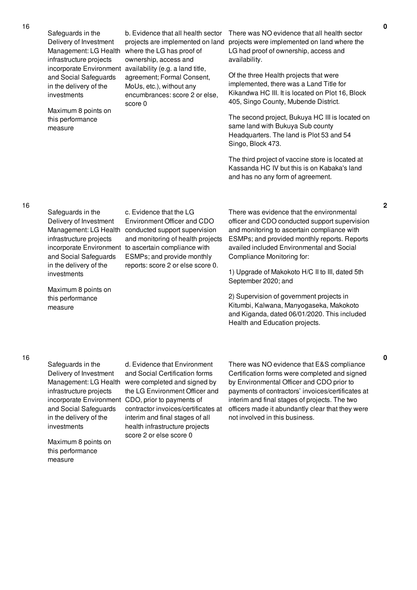Safeguards in the Delivery of Investment infrastructure projects and Social Safeguards in the delivery of the investments

Maximum 8 points on this performance measure

Management: LG Health where the LG has proof of incorporate Environment availability (e.g. a land title, b. Evidence that all health sector projects are implemented on land ownership, access and agreement; Formal Consent, MoUs, etc.), without any encumbrances: score 2 or else, score 0

There was NO evidence that all health sector projects were implemented on land where the LG had proof of ownership, access and availability.

Of the three Health projects that were implemented, there was a Land Title for Kikandwa HC III. It is located on Plot 16, Block 405, Singo County, Mubende District.

The second project, Bukuya HC III is located on same land with Bukuya Sub county Headquarters. The land is Plot 53 and 54 Singo, Block 473.

The third project of vaccine store is located at Kassanda HC IV but this is on Kabaka's land and has no any form of agreement.

### 16

Safeguards in the Delivery of Investment infrastructure projects and Social Safeguards in the delivery of the investments

Maximum 8 points on this performance measure

Management: LG Health conducted support supervision incorporate Environment to ascertain compliance with c. Evidence that the LG Environment Officer and CDO and monitoring of health projects ESMPs; and provide monthly reports: score 2 or else score 0.

There was evidence that the environmental officer and CDO conducted support supervision and monitoring to ascertain compliance with ESMPs; and provided monthly reports. Reports availed included Environmental and Social Compliance Monitoring for:

1) Upgrade of Makokoto H/C II to III, dated 5th September 2020; and

2) Supervision of government projects in Kitumbi, Kalwana, Manyogaseka, Makokoto and Kiganda, dated 06/01/2020. This included Health and Education projects.

# 16

Safeguards in the Delivery of Investment infrastructure projects and Social Safeguards in the delivery of the investments

Maximum 8 points on this performance measure

Management: LG Health were completed and signed by incorporate Environment CDO, prior to payments of d. Evidence that Environment and Social Certification forms the LG Environment Officer and contractor invoices/certificates at interim and final stages of all health infrastructure projects score 2 or else score 0

There was NO evidence that E&S compliance Certification forms were completed and signed by Environmental Officer and CDO prior to payments of contractors' invoices/certificates at interim and final stages of projects. The two officers made it abundantly clear that they were not involved in this business.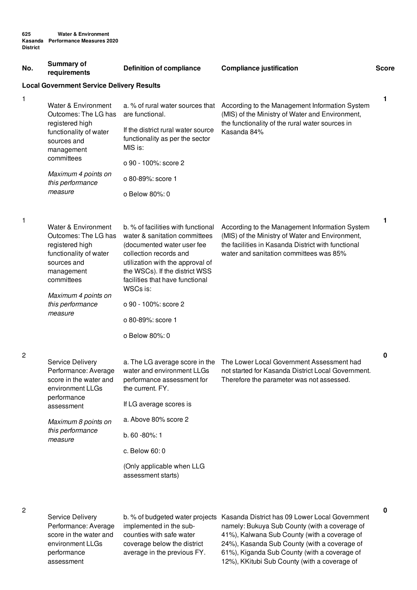| No.            | <b>Summary of</b><br>requirements                                                                                     | <b>Compliance justification</b><br><b>Definition of compliance</b>                                                                          |                                                                                                                                                                     | <b>Score</b> |  |  |
|----------------|-----------------------------------------------------------------------------------------------------------------------|---------------------------------------------------------------------------------------------------------------------------------------------|---------------------------------------------------------------------------------------------------------------------------------------------------------------------|--------------|--|--|
|                | <b>Local Government Service Delivery Results</b>                                                                      |                                                                                                                                             |                                                                                                                                                                     |              |  |  |
| 1              | Water & Environment<br>Outcomes: The LG has<br>registered high<br>functionality of water<br>sources and<br>management | a. % of rural water sources that<br>are functional.<br>If the district rural water source                                                   | According to the Management Information System<br>(MIS) of the Ministry of Water and Environment,<br>the functionality of the rural water sources in<br>Kasanda 84% | 1            |  |  |
|                |                                                                                                                       | functionality as per the sector<br>MIS is:                                                                                                  |                                                                                                                                                                     |              |  |  |
|                | committees                                                                                                            | o 90 - 100%: score 2                                                                                                                        |                                                                                                                                                                     |              |  |  |
|                | Maximum 4 points on<br>this performance<br>measure                                                                    | o 80-89%: score 1                                                                                                                           |                                                                                                                                                                     |              |  |  |
|                |                                                                                                                       | o Below 80%: 0                                                                                                                              |                                                                                                                                                                     |              |  |  |
| 1              | Water & Environment<br>Outcomes: The LG has<br>registered high                                                        | b. % of facilities with functional<br>water & sanitation committees<br>(documented water user fee                                           | According to the Management Information System<br>(MIS) of the Ministry of Water and Environment,<br>the facilities in Kasanda District with functional             | 1            |  |  |
|                | functionality of water<br>sources and<br>management<br>committees                                                     | collection records and<br>utilization with the approval of<br>the WSCs). If the district WSS<br>facilities that have functional<br>WSCs is: | water and sanitation committees was 85%                                                                                                                             |              |  |  |
|                | Maximum 4 points on<br>this performance                                                                               | o 90 - 100%: score 2                                                                                                                        |                                                                                                                                                                     |              |  |  |
|                | measure                                                                                                               | o 80-89%: score 1                                                                                                                           |                                                                                                                                                                     |              |  |  |
|                |                                                                                                                       |                                                                                                                                             |                                                                                                                                                                     |              |  |  |
|                |                                                                                                                       | o Below 80%: 0                                                                                                                              |                                                                                                                                                                     |              |  |  |
| $\overline{c}$ | Service Delivery<br>Performance: Average<br>score in the water and<br>environment LLGs                                | a. The LG average score in the<br>water and environment LLGs<br>performance assessment for<br>the current. FY.                              | The Lower Local Government Assessment had<br>not started for Kasanda District Local Government.<br>Therefore the parameter was not assessed.                        | 0            |  |  |
|                | performance<br>assessment                                                                                             | If LG average scores is                                                                                                                     |                                                                                                                                                                     |              |  |  |
|                | Maximum 8 points on                                                                                                   | a. Above 80% score 2                                                                                                                        |                                                                                                                                                                     |              |  |  |
|                | this performance<br>measure                                                                                           | $b.60 - 80\%:1$                                                                                                                             |                                                                                                                                                                     |              |  |  |
|                |                                                                                                                       | c. Below 60:0                                                                                                                               |                                                                                                                                                                     |              |  |  |
|                |                                                                                                                       | (Only applicable when LLG<br>assessment starts)                                                                                             |                                                                                                                                                                     |              |  |  |
|                |                                                                                                                       |                                                                                                                                             |                                                                                                                                                                     |              |  |  |
| 2              | Service Delivery<br>Performance: Average                                                                              | implemented in the sub-                                                                                                                     | b. % of budgeted water projects Kasanda District has 09 Lower Local Government<br>namely: Bukuya Sub County (with a coverage of                                     | 0            |  |  |

score in the water and environment LLGs performance assessment

counties with safe water coverage below the district average in the previous FY.

41%), Kalwana Sub County (with a coverage of 24%), Kasanda Sub County (with a coverage of 61%), Kiganda Sub County (with a coverage of 12%), KKitubi Sub County (with a coverage of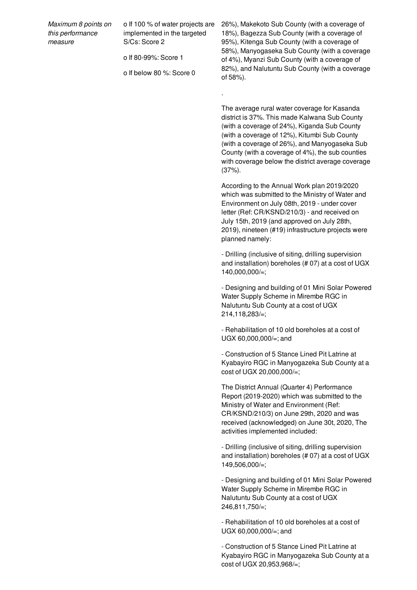| Maximum 8 points on |
|---------------------|
| this performance    |
| measure             |

o If 100 % of water projects are implemented in the targeted S/Cs: Score 2

o If 80-99%: Score 1

o If below 80 %: Score 0

.

26%), Makekoto Sub County (with a coverage of 18%), Bagezza Sub County (with a coverage of 95%), Kitenga Sub County (with a coverage of 58%), Manyogaseka Sub County (with a coverage of 4%), Myanzi Sub County (with a coverage of 82%), and Nalutuntu Sub County (with a coverage of 58%).

The average rural water coverage for Kasanda district is 37%. This made Kalwana Sub County (with a coverage of 24%), Kiganda Sub County (with a coverage of 12%), Kitumbi Sub County (with a coverage of 26%), and Manyogaseka Sub County (with a coverage of 4%), the sub counties with coverage below the district average coverage (37%).

According to the Annual Work plan 2019/2020 which was submitted to the Ministry of Water and Environment on July 08th, 2019 - under cover letter (Ref: CR/KSND/210/3) - and received on July 15th, 2019 (and approved on July 28th, 2019), nineteen (#19) infrastructure projects were planned namely:

- Drilling (inclusive of siting, drilling supervision and installation) boreholes (# 07) at a cost of UGX 140,000,000/=;

- Designing and building of 01 Mini Solar Powered Water Supply Scheme in Mirembe RGC in Nalutuntu Sub County at a cost of UGX 214,118,283/=;

- Rehabilitation of 10 old boreholes at a cost of UGX 60,000,000/=; and

- Construction of 5 Stance Lined Pit Latrine at Kyabayiro RGC in Manyogazeka Sub County at a cost of UGX 20,000,000/=;

The District Annual (Quarter 4) Performance Report (2019-2020) which was submitted to the Ministry of Water and Environment (Ref: CR/KSND/210/3) on June 29th, 2020 and was received (acknowledged) on June 30t, 2020, The activities implemented included:

- Drilling (inclusive of siting, drilling supervision and installation) boreholes (# 07) at a cost of UGX  $149.506.000 =$ :

- Designing and building of 01 Mini Solar Powered Water Supply Scheme in Mirembe RGC in Nalutuntu Sub County at a cost of UGX 246,811,750/=;

- Rehabilitation of 10 old boreholes at a cost of UGX 60,000,000/=; and

- Construction of 5 Stance Lined Pit Latrine at Kyabayiro RGC in Manyogazeka Sub County at a cost of UGX 20,953,968/=;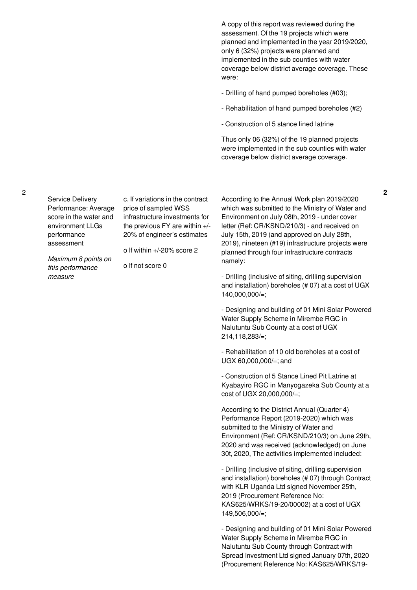A copy of this report was reviewed during the assessment. Of the 19 projects which were planned and implemented in the year 2019/2020, only 6 (32%) projects were planned and implemented in the sub counties with water coverage below district average coverage. These were:

- Drilling of hand pumped boreholes (#03);
- Rehabilitation of hand pumped boreholes (#2)
- Construction of 5 stance lined latrine

Thus only 06 (32%) of the 19 planned projects were implemented in the sub counties with water coverage below district average coverage.

Service Delivery Performance: Average score in the water and environment LLGs performance assessment

c. If variations in the contract price of sampled WSS infrastructure investments for the previous FY are within +/- 20% of engineer's estimates

o If within +/-20% score 2

*Maximum 8 points on this performance measure*

o If not score 0

According to the Annual Work plan 2019/2020 which was submitted to the Ministry of Water and Environment on July 08th, 2019 - under cover letter (Ref: CR/KSND/210/3) - and received on July 15th, 2019 (and approved on July 28th, 2019), nineteen (#19) infrastructure projects were planned through four infrastructure contracts namely:

- Drilling (inclusive of siting, drilling supervision and installation) boreholes (# 07) at a cost of UGX 140,000,000/=;

- Designing and building of 01 Mini Solar Powered Water Supply Scheme in Mirembe RGC in Nalutuntu Sub County at a cost of UGX 214,118,283/=;

- Rehabilitation of 10 old boreholes at a cost of UGX 60,000,000/=; and

- Construction of 5 Stance Lined Pit Latrine at Kyabayiro RGC in Manyogazeka Sub County at a cost of UGX 20,000,000/=;

According to the District Annual (Quarter 4) Performance Report (2019-2020) which was submitted to the Ministry of Water and Environment (Ref: CR/KSND/210/3) on June 29th, 2020 and was received (acknowledged) on June 30t, 2020, The activities implemented included:

- Drilling (inclusive of siting, drilling supervision and installation) boreholes (# 07) through Contract with KLR Uganda Ltd signed November 25th, 2019 (Procurement Reference No: KAS625/WRKS/19-20/00002) at a cost of UGX 149,506,000/=;

- Designing and building of 01 Mini Solar Powered Water Supply Scheme in Mirembe RGC in Nalutuntu Sub County through Contract with Spread Investment Ltd signed January 07th, 2020 (Procurement Reference No: KAS625/WRKS/19-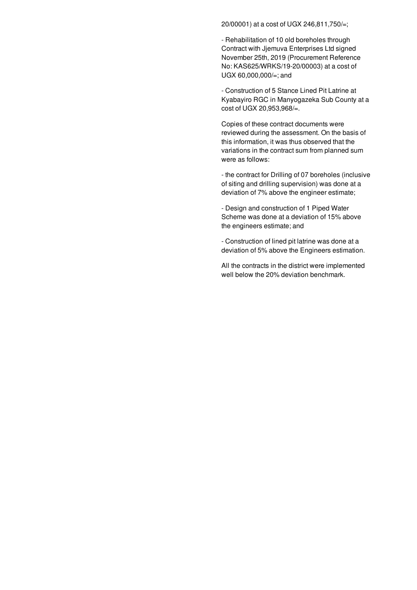20/00001) at a cost of UGX 246,811,750/=;

- Rehabilitation of 10 old boreholes through Contract with Jjemuva Enterprises Ltd signed November 25th, 2019 (Procurement Reference No: KAS625/WRKS/19-20/00003) at a cost of UGX 60,000,000/=; and

- Construction of 5 Stance Lined Pit Latrine at Kyabayiro RGC in Manyogazeka Sub County at a cost of UGX 20,953,968/=.

Copies of these contract documents were reviewed during the assessment. On the basis of this information, it was thus observed that the variations in the contract sum from planned sum were as follows:

- the contract for Drilling of 07 boreholes (inclusive of siting and drilling supervision) was done at a deviation of 7% above the engineer estimate;

- Design and construction of 1 Piped Water Scheme was done at a deviation of 15% above the engineers estimate; and

- Construction of lined pit latrine was done at a deviation of 5% above the Engineers estimation.

All the contracts in the district were implemented well below the 20% deviation benchmark.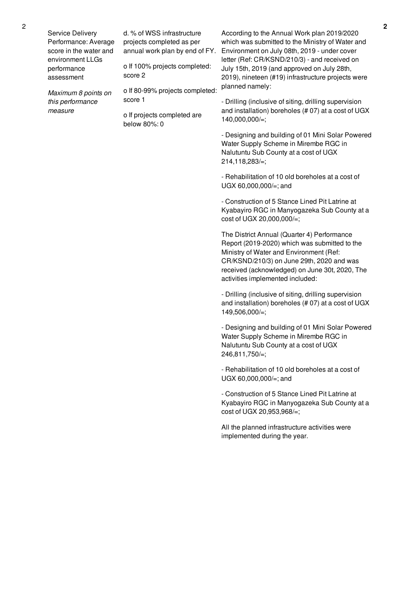| Service Delivery<br>Performance: Average<br>score in the water and<br>environment LLGs<br>performance<br>assessment | d. % of WSS infrastructure<br>projects completed as per<br>annual work plan by end of FY.<br>o If 100% projects completed:<br>score 2 | According to the Annual Work plan 2019/2020<br>which was submitted to the Ministry of Water and<br>Environment on July 08th, 2019 - under cover<br>letter (Ref: CR/KSND/210/3) - and received on<br>July 15th, 2019 (and approved on July 28th,<br>2019), nineteen (#19) infrastructure projects were |  |
|---------------------------------------------------------------------------------------------------------------------|---------------------------------------------------------------------------------------------------------------------------------------|-------------------------------------------------------------------------------------------------------------------------------------------------------------------------------------------------------------------------------------------------------------------------------------------------------|--|
| Maximum 8 points on<br>this performance<br>measure                                                                  | o If 80-99% projects completed:<br>score 1<br>o If projects completed are<br>below 80%: 0                                             | planned namely:<br>- Drilling (inclusive of siting, drilling supervision<br>and installation) boreholes (#07) at a cost of UGX<br>140,000,000/=;                                                                                                                                                      |  |
|                                                                                                                     |                                                                                                                                       | - Designing and building of 01 Mini Solar Powered<br>Water Supply Scheme in Mirembe RGC in<br>Nalutuntu Sub County at a cost of UGX<br>$214,118,283/=:$                                                                                                                                               |  |
|                                                                                                                     |                                                                                                                                       | - Rehabilitation of 10 old boreholes at a cost of<br>UGX 60,000,000/=; and                                                                                                                                                                                                                            |  |
|                                                                                                                     |                                                                                                                                       | - Construction of 5 Stance Lined Pit Latrine at<br>Kyabayiro RGC in Manyogazeka Sub County at a<br>cost of UGX 20,000,000/=;                                                                                                                                                                          |  |
|                                                                                                                     |                                                                                                                                       | The District Annual (Quarter 4) Performance<br>Report (2019-2020) which was submitted to the<br>Ministry of Water and Environment (Ref:<br>CR/KSND/210/3) on June 29th, 2020 and was<br>received (acknowledged) on June 30t, 2020, The<br>activities implemented included:                            |  |
|                                                                                                                     |                                                                                                                                       | - Drilling (inclusive of siting, drilling supervision<br>and installation) boreholes (#07) at a cost of UGX<br>149,506,000/=;                                                                                                                                                                         |  |
|                                                                                                                     |                                                                                                                                       | - Designing and building of 01 Mini Solar Powered<br>Water Supply Scheme in Mirembe RGC in<br>Nalutuntu Sub County at a cost of UGX<br>246,811,750/=;                                                                                                                                                 |  |
|                                                                                                                     |                                                                                                                                       | - Rehabilitation of 10 old boreholes at a cost of<br>UGX 60,000,000/=; and                                                                                                                                                                                                                            |  |
|                                                                                                                     |                                                                                                                                       | - Construction of 5 Stance Lined Pit Latrine at<br>Kyabayiro RGC in Manyogazeka Sub County at a<br>cost of UGX 20,953,968/=;                                                                                                                                                                          |  |
|                                                                                                                     |                                                                                                                                       | All the planned infrastructure activities were<br>implemented during the year.                                                                                                                                                                                                                        |  |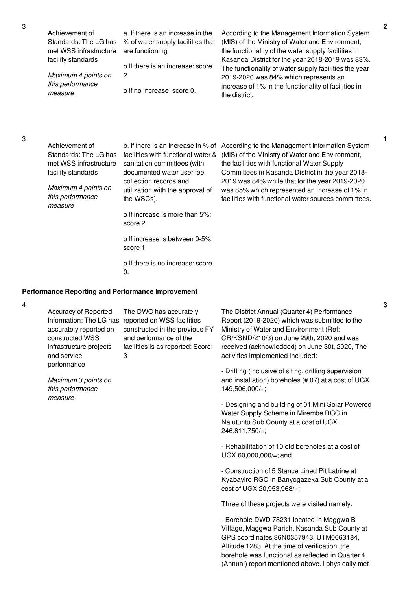| Achievement of              | a. If there is an increase in the | According to the Management Information System        |
|-----------------------------|-----------------------------------|-------------------------------------------------------|
| Standards: The LG has       | % of water supply facilities that | (MIS) of the Ministry of Water and Environment,       |
| met WSS infrastructure      | are functioning                   | the functionality of the water supply facilities in   |
| facility standards          |                                   | Kasanda District for the year 2018-2019 was 83%.      |
|                             | o If there is an increase: score  | The functionality of water supply facilities the year |
| Maximum 4 points on         | 2                                 | 2019-2020 was 84% which represents an                 |
| this performance<br>measure | o If no increase: score 0.        | increase of 1% in the functionality of facilities in  |
|                             |                                   | the district.                                         |

Achievement of Standards: The LG has met WSS infrastructure facility standards

*Maximum 4 points on this performance measure*

b. If there is an Increase in % of According to the Management Information System facilities with functional water & sanitation committees (with documented water user fee collection records and utilization with the approval of the WSCs).

o If increase is more than 5%: score 2

o If increase is between 0-5%: score 1

o If there is no increase: score  $\mathbf{0}$ .

#### **Performance Reporting and Performance Improvement**

4

Accuracy of Reported Information: The LG has reported on WSS facilities accurately reported on constructed WSS infrastructure projects and service performance The DWO has accurately constructed in the previous FY and performance of the facilities is as reported: Score: 3

*Maximum 3 points on this performance measure*

The District Annual (Quarter 4) Performance Report (2019-2020) which was submitted to the Ministry of Water and Environment (Ref: CR/KSND/210/3) on June 29th, 2020 and was received (acknowledged) on June 30t, 2020, The activities implemented included:

(MIS) of the Ministry of Water and Environment, the facilities with functional Water Supply

Committees in Kasanda District in the year 2018- 2019 was 84% while that for the year 2019-2020 was 85% which represented an increase of 1% in facilities with functional water sources committees.

- Drilling (inclusive of siting, drilling supervision and installation) boreholes (# 07) at a cost of UGX 149,506,000/=;

- Designing and building of 01 Mini Solar Powered Water Supply Scheme in Mirembe RGC in Nalutuntu Sub County at a cost of UGX 246,811,750/=;

- Rehabilitation of 10 old boreholes at a cost of UGX 60,000,000/=; and

- Construction of 5 Stance Lined Pit Latrine at Kyabayiro RGC in Banyogazeka Sub County at a cost of UGX 20,953,968/=;

Three of these projects were visited namely:

- Borehole DWD 78231 located in Maggwa B Village, Maggwa Parish, Kasanda Sub County at GPS coordinates 36N0357943, UTM0063184, Altitude 1283. At the time of verification, the borehole was functional as reflected in Quarter 4 (Annual) report mentioned above. I physically met **2**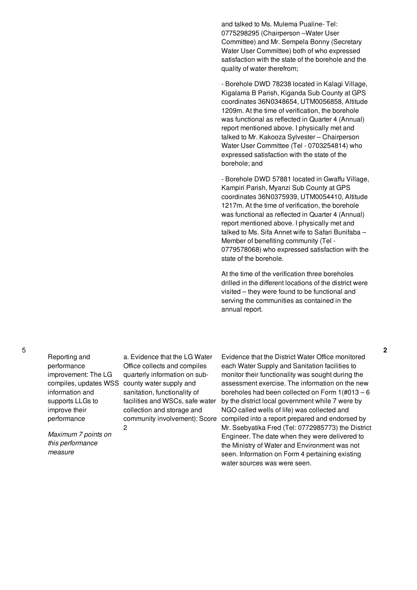and talked to Ms. Mulema Pualine- Tel: 0775298295 (Chairperson –Water User Committee) and Mr. Sempela Bonny (Secretary Water User Committee) both of who expressed satisfaction with the state of the borehole and the quality of water therefrom;

- Borehole DWD 78238 located in Kalagi Village, Kigalama B Parish, Kiganda Sub County at GPS coordinates 36N0348654, UTM0056858, Altitude 1209m. At the time of verification, the borehole was functional as reflected in Quarter 4 (Annual) report mentioned above. I physically met and talked to Mr. Kakooza Sylvester – Chairperson Water User Committee (Tel - 0703254814) who expressed satisfaction with the state of the borehole; and

- Borehole DWD 57881 located in Gwaffu Village, Kampiri Parish, Myanzi Sub County at GPS coordinates 36N0375939, UTM0054410, Altitude 1217m. At the time of verification, the borehole was functional as reflected in Quarter 4 (Annual) report mentioned above. I physically met and talked to Ms. Sifa Annet wife to Safari Bunifaba – Member of benefiting community (Tel - 0779578068) who expressed satisfaction with the state of the borehole.

At the time of the verification three boreholes drilled in the different locations of the district were visited – they were found to be functional and serving the communities as contained in the annual report.

Reporting and performance improvement: The LG information and supports LLGs to improve their performance

*Maximum 7 points on this performance measure*

compiles, updates WSS county water supply and a. Evidence that the LG Water Office collects and compiles quarterly information on subsanitation, functionality of facilities and WSCs, safe water collection and storage and community involvement): Score 2

Evidence that the District Water Office monitored each Water Supply and Sanitation facilities to monitor their functionality was sought during the assessment exercise. The information on the new boreholes had been collected on Form 1(#013 – 6 by the district local government while 7 were by NGO called wells of life) was collected and compiled into a report prepared and endorsed by Mr. Ssebyatika Fred (Tel: 0772985773) the District Engineer. The date when they were delivered to the Ministry of Water and Environment was not seen. Information on Form 4 pertaining existing water sources was were seen.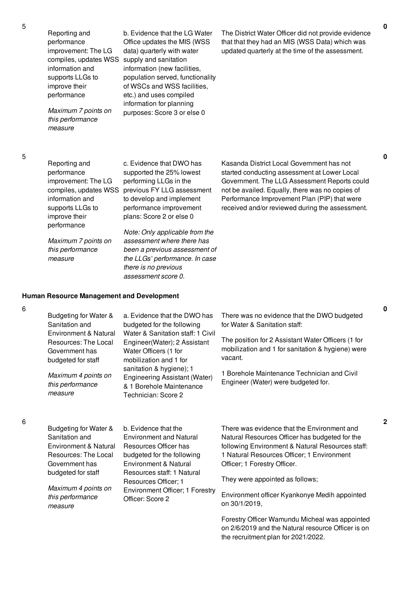5

| 5 | Reporting and<br>performance<br>improvement: The LG<br>compiles, updates WSS<br>information and<br>supports LLGs to<br>improve their<br>performance<br>Maximum 7 points on<br>this performance<br>measure                                  | b. Evidence that the LG Water<br>Office updates the MIS (WSS<br>data) quarterly with water<br>supply and sanitation<br>information (new facilities,<br>population served, functionality<br>of WSCs and WSS facilities,<br>etc.) and uses compiled<br>information for planning<br>purposes: Score 3 or else 0                                                                      | The District Water Officer did not provide evidence<br>that that they had an MIS (WSS Data) which was<br>updated quarterly at the time of the assessment.                                                                                                                                       | $\mathbf 0$ |
|---|--------------------------------------------------------------------------------------------------------------------------------------------------------------------------------------------------------------------------------------------|-----------------------------------------------------------------------------------------------------------------------------------------------------------------------------------------------------------------------------------------------------------------------------------------------------------------------------------------------------------------------------------|-------------------------------------------------------------------------------------------------------------------------------------------------------------------------------------------------------------------------------------------------------------------------------------------------|-------------|
| 5 | Reporting and<br>performance<br>improvement: The LG<br>compiles, updates WSS<br>information and<br>supports LLGs to<br>improve their<br>performance<br>Maximum 7 points on<br>this performance<br>measure                                  | c. Evidence that DWO has<br>supported the 25% lowest<br>performing LLGs in the<br>previous FY LLG assessment<br>to develop and implement<br>performance improvement<br>plans: Score 2 or else 0<br>Note: Only applicable from the<br>assessment where there has<br>been a previous assessment of<br>the LLGs' performance. In case<br>there is no previous<br>assessment score 0. | Kasanda District Local Government has not<br>started conducting assessment at Lower Local<br>Government. The LLG Assessment Reports could<br>not be availed. Equally, there was no copies of<br>Performance Improvement Plan (PIP) that were<br>received and/or reviewed during the assessment. | 0           |
| 6 | <b>Human Resource Management and Development</b><br>Budgeting for Water &<br>Sanitation and<br>Environment & Natural<br>Resources: The Local<br>Government has<br>budgeted for staff<br>Maximum 4 points on<br>this performance<br>measure | a. Evidence that the DWO has<br>budgeted for the following<br>Water & Sanitation staff: 1 Civil<br>Engineer(Water); 2 Assistant<br>Water Officers (1 for<br>mobilization and 1 for<br>sanitation & hygiene); 1<br>Engineering Assistant (Water)<br>& 1 Borehole Maintenance<br>Technician: Score 2                                                                                | There was no evidence that the DWO budgeted<br>for Water & Sanitation staff:<br>The position for 2 Assistant Water Officers (1 for<br>mobilization and 1 for sanitation & hygiene) were<br>vacant.<br>1 Borehole Maintenance Technician and Civil<br>Engineer (Water) were budgeted for.        | 0           |
| 6 | Budgeting for Water &<br>Sanitation and<br>Environment & Natural                                                                                                                                                                           | b. Evidence that the<br><b>Environment and Natural</b><br>Resources Officer has                                                                                                                                                                                                                                                                                                   | There was evidence that the Environment and<br>Natural Resources Officer has budgeted for the<br>following Environment & Natural Resources staff:                                                                                                                                               | 2           |

6

6

Resources: The Local Government has budgeted for staff *Maximum 4 points on this performance measure* budgeted for the following Environment & Natural Resources staff: 1 Natural Resources Officer; 1 Environment Officer; 1 Forestry Officer: Score 2 1 Natural Resources Officer; 1 Environment Officer; 1 Forestry Officer. They were appointed as follows; Environment officer Kyankonye Medih appointed on 30/1/2019,

Forestry Officer Wamundu Micheal was appointed on 2/6/2019 and the Natural resource Officer is on the recruitment plan for 2021/2022.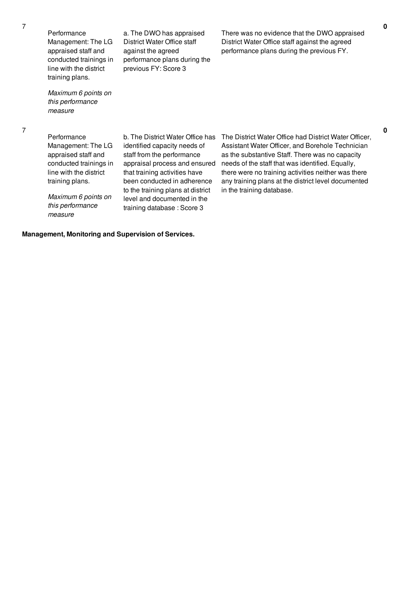7

Performance Management: The LG appraised staff and conducted trainings in line with the district training plans.

*Maximum 6 points on this performance measure*

7

Performance

Management: The LG appraised staff and conducted trainings in line with the district training plans.

*Maximum 6 points on this performance measure*

identified capacity needs of staff from the performance appraisal process and ensured that training activities have been conducted in adherence to the training plans at district level and documented in the training database : Score 3

a. The DWO has appraised District Water Office staff against the agreed

performance plans during the

previous FY: Score 3

b. The District Water Office has The District Water Office had District Water Officer, Assistant Water Officer, and Borehole Technician as the substantive Staff. There was no capacity needs of the staff that was identified. Equally, there were no training activities neither was there any training plans at the district level documented in the training database.

There was no evidence that the DWO appraised District Water Office staff against the agreed performance plans during the previous FY.

**Management, Monitoring and Supervision of Services.**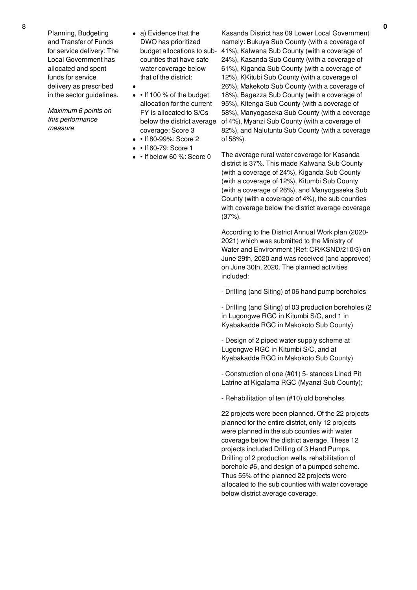Planning, Budgeting and Transfer of Funds for service delivery: The Local Government has allocated and spent funds for service delivery as prescribed in the sector guidelines.

*Maximum 6 points on this performance measure*

- a) Evidence that the DWO has prioritized budget allocations to subcounties that have safe water coverage below that of the district:
- $\cdot$  If 100 % of the budget allocation for the current FY is allocated to S/Cs coverage: Score 3
- If 80-99%: Score 2
- $\bullet$   $\bullet$  If 60-79: Score 1
- • If below 60 %: Score 0

below the district average of 4%), Myanzi Sub County (with a coverage of Kasanda District has 09 Lower Local Government namely: Bukuya Sub County (with a coverage of 41%), Kalwana Sub County (with a coverage of 24%), Kasanda Sub County (with a coverage of 61%), Kiganda Sub County (with a coverage of 12%), KKitubi Sub County (with a coverage of 26%), Makekoto Sub County (with a coverage of 18%), Bagezza Sub County (with a coverage of 95%), Kitenga Sub County (with a coverage of 58%), Manyogaseka Sub County (with a coverage 82%), and Nalutuntu Sub County (with a coverage of 58%).

> The average rural water coverage for Kasanda district is 37%. This made Kalwana Sub County (with a coverage of 24%), Kiganda Sub County (with a coverage of 12%), Kitumbi Sub County (with a coverage of 26%), and Manyogaseka Sub County (with a coverage of 4%), the sub counties with coverage below the district average coverage (37%).

> According to the District Annual Work plan (2020- 2021) which was submitted to the Ministry of Water and Environment (Ref: CR/KSND/210/3) on June 29th, 2020 and was received (and approved) on June 30th, 2020. The planned activities included:

- Drilling (and Siting) of 06 hand pump boreholes

- Drilling (and Siting) of 03 production boreholes (2 in Lugongwe RGC in Kitumbi S/C, and 1 in Kyabakadde RGC in Makokoto Sub County)

- Design of 2 piped water supply scheme at Lugongwe RGC in Kitumbi S/C, and at Kyabakadde RGC in Makokoto Sub County)

- Construction of one (#01) 5- stances Lined Pit Latrine at Kigalama RGC (Myanzi Sub County);

- Rehabilitation of ten (#10) old boreholes

22 projects were been planned. Of the 22 projects planned for the entire district, only 12 projects were planned in the sub counties with water coverage below the district average. These 12 projects included Drilling of 3 Hand Pumps, Drilling of 2 production wells, rehabilitation of borehole #6, and design of a pumped scheme. Thus 55% of the planned 22 projects were allocated to the sub counties with water coverage below district average coverage.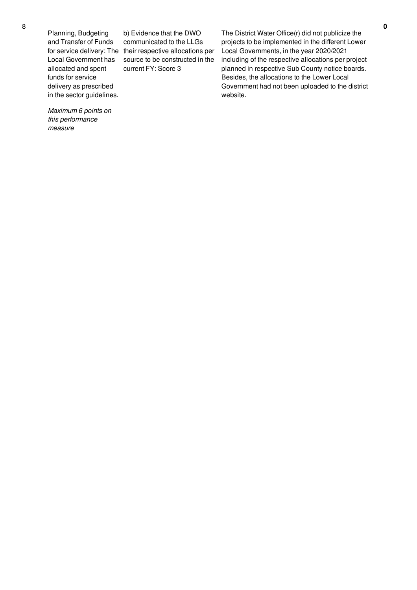Planning, Budgeting and Transfer of Funds Local Government has allocated and spent funds for service delivery as prescribed in the sector guidelines.

*Maximum 6 points on this performance*

*measure*

for service delivery: The their respective allocations per b) Evidence that the DWO communicated to the LLGs source to be constructed in the current FY: Score 3

The District Water Office(r) did not publicize the projects to be implemented in the different Lower Local Governments, in the year 2020/2021 including of the respective allocations per project planned in respective Sub County notice boards. Besides, the allocations to the Lower Local Government had not been uploaded to the district website.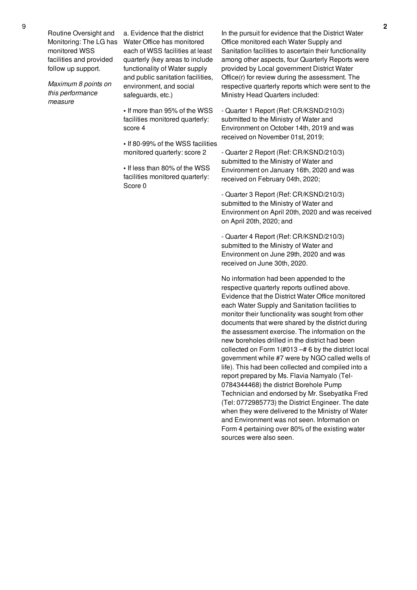Routine Oversight and Monitoring: The LG has monitored WSS facilities and provided follow up support.

*Maximum 8 points on this performance measure*

a. Evidence that the district Water Office has monitored each of WSS facilities at least quarterly (key areas to include functionality of Water supply and public sanitation facilities, environment, and social safeguards, etc.)

- **•** If more than 95% of the WSS facilities monitored quarterly: score 4
- **•** If 80-99% of the WSS facilities monitored quarterly: score 2

**•** If less than 80% of the WSS facilities monitored quarterly: Score 0

In the pursuit for evidence that the District Water Office monitored each Water Supply and Sanitation facilities to ascertain their functionality among other aspects, four Quarterly Reports were provided by Local government District Water Office(r) for review during the assessment. The respective quarterly reports which were sent to the Ministry Head Quarters included:

- Quarter 1 Report (Ref: CR/KSND/210/3) submitted to the Ministry of Water and Environment on October 14th, 2019 and was received on November 01st, 2019;

- Quarter 2 Report (Ref: CR/KSND/210/3) submitted to the Ministry of Water and Environment on January 16th, 2020 and was received on February 04th, 2020;

- Quarter 3 Report (Ref: CR/KSND/210/3) submitted to the Ministry of Water and Environment on April 20th, 2020 and was received on April 20th, 2020; and

- Quarter 4 Report (Ref: CR/KSND/210/3) submitted to the Ministry of Water and Environment on June 29th, 2020 and was received on June 30th, 2020.

No information had been appended to the respective quarterly reports outlined above. Evidence that the District Water Office monitored each Water Supply and Sanitation facilities to monitor their functionality was sought from other documents that were shared by the district during the assessment exercise. The information on the new boreholes drilled in the district had been collected on Form 1(#013 –# 6 by the district local government while #7 were by NGO called wells of life). This had been collected and compiled into a report prepared by Ms. Flavia Namyalo (Tel-0784344468) the district Borehole Pump Technician and endorsed by Mr. Ssebyatika Fred (Tel: 0772985773) the District Engineer. The date when they were delivered to the Ministry of Water and Environment was not seen. Information on Form 4 pertaining over 80% of the existing water sources were also seen.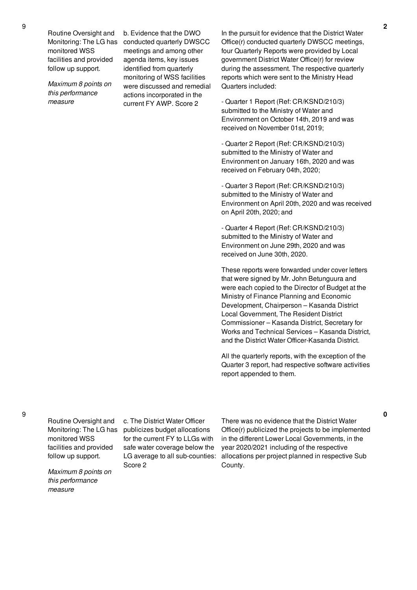Routine Oversight and Monitoring: The LG has monitored WSS facilities and provided follow up support.

*Maximum 8 points on this performance measure*

b. Evidence that the DWO conducted quarterly DWSCC meetings and among other agenda items, key issues identified from quarterly monitoring of WSS facilities were discussed and remedial actions incorporated in the current FY AWP. Score 2

In the pursuit for evidence that the District Water Office(r) conducted quarterly DWSCC meetings, four Quarterly Reports were provided by Local government District Water Office(r) for review during the assessment. The respective quarterly reports which were sent to the Ministry Head Quarters included:

- Quarter 1 Report (Ref: CR/KSND/210/3) submitted to the Ministry of Water and Environment on October 14th, 2019 and was received on November 01st, 2019;

- Quarter 2 Report (Ref: CR/KSND/210/3) submitted to the Ministry of Water and Environment on January 16th, 2020 and was received on February 04th, 2020;

- Quarter 3 Report (Ref: CR/KSND/210/3) submitted to the Ministry of Water and Environment on April 20th, 2020 and was received on April 20th, 2020; and

- Quarter 4 Report (Ref: CR/KSND/210/3) submitted to the Ministry of Water and Environment on June 29th, 2020 and was received on June 30th, 2020.

These reports were forwarded under cover letters that were signed by Mr. John Betunguura and were each copied to the Director of Budget at the Ministry of Finance Planning and Economic Development, Chairperson – Kasanda District Local Government, The Resident District Commissioner – Kasanda District, Secretary for Works and Technical Services – Kasanda District, and the District Water Officer-Kasanda District.

All the quarterly reports, with the exception of the Quarter 3 report, had respective software activities report appended to them.

9

Routine Oversight and Monitoring: The LG has monitored WSS facilities and provided follow up support.

*Maximum 8 points on this performance measure*

c. The District Water Officer publicizes budget allocations for the current FY to LLGs with safe water coverage below the LG average to all sub-counties: Score 2

There was no evidence that the District Water Office(r) publicized the projects to be implemented in the different Lower Local Governments, in the year 2020/2021 including of the respective allocations per project planned in respective Sub County.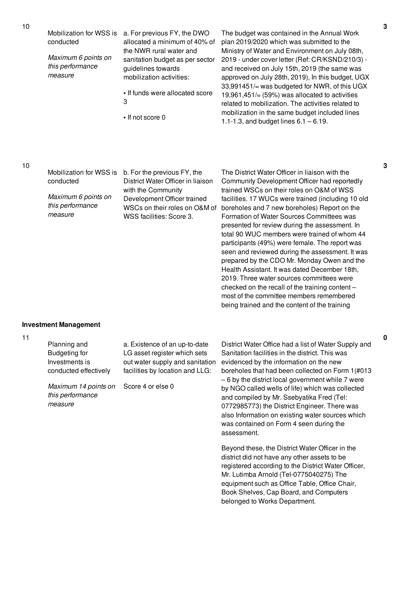conducted

*Maximum 6 points on this performance measure*

- Mobilization for WSS is a. For previous FY, the DWO allocated a minimum of 40% of the NWR rural water and sanitation budget as per sector guidelines towards mobilization activities:
	- **•** If funds were allocated score 3
	- **•** If not score 0

The budget was contained in the Annual Work plan 2019/2020 which was submitted to the Ministry of Water and Environment on July 08th, 2019 - under cover letter (Ref: CR/KSND/210/3) and received on July 15th, 2019 (the same was approved on July 28th, 2019), In this budget, UGX 33,991451/= was budgeted for NWR, of this UGX 19,961,451/ $=$  (59%) was allocated to activities related to mobilization. The activities related to mobilization in the same budget included lines 1.1-1.3, and budget lines 6.1 – 6.19.

11

Mobilization for WSS is b. For the previous FY, the conducted *Maximum 6 points on this performance measure* District Water Officer in liaison with the Community Development Officer trained WSCs on their roles on O&M of WSS facilities: Score 3. The District Water Officer in liaison with the Community Development Officer had reportedly trained WSCs on their roles on O&M of WSS facilities. 17 WUCs were trained (including 10 old boreholes and 7 new boreholes) Report on the Formation of Water Sources Committees was presented for review during the assessment. In total 90 WUC members were trained of whom 44 participants (49%) were female. The report was seen and reviewed during the assessment. It was prepared by the CDO Mr. Monday Owen and the Health Assistant. It was dated December 18th, 2019. Three water sources committees were checked on the recall of the training content – most of the committee members remembered being trained and the content of the training **Investment Management** Planning and Budgeting for Investments is conducted effectively *Maximum 14 points on this performance measure* a. Existence of an up-to-date LG asset register which sets out water supply and sanitation facilities by location and LLG: Score 4 or else 0 District Water Office had a list of Water Supply and

Sanitation facilities in the district. This was evidenced by the information on the new boreholes that had been collected on Form 1(#013 – 6 by the district local government while 7 were by NGO called wells of life) which was collected and compiled by Mr. Ssebyatika Fred (Tel: 0772985773) the District Engineer. There was also Information on existing water sources which was contained on Form 4 seen during the assessment.

Beyond these, the District Water Officer in the district did not have any other assets to be registered according to the District Water Officer, Mr. Lutimba Arnold (Tel-0775040275) The equipment such as Office Table, Office Chair, Book Shelves, Cap Board, and Computers belonged to Works Department.

**3**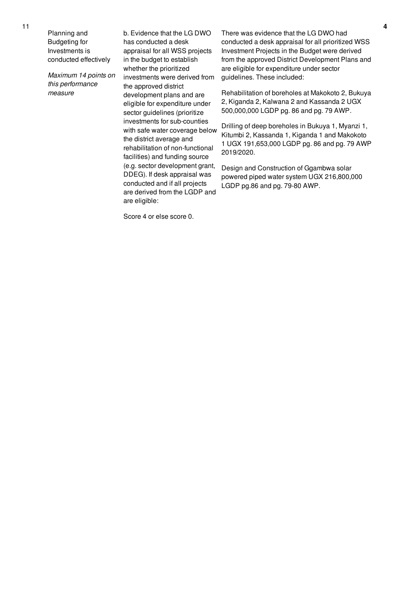Planning and Budgeting for Investments is conducted effectively

*Maximum 14 points on this performance measure*

b. Evidence that the LG DWO has conducted a desk appraisal for all WSS projects in the budget to establish whether the prioritized investments were derived from the approved district development plans and are eligible for expenditure under sector guidelines (prioritize investments for sub-counties with safe water coverage below the district average and rehabilitation of non-functional facilities) and funding source (e.g. sector development grant, DDEG). If desk appraisal was conducted and if all projects are derived from the LGDP and are eligible:

Score 4 or else score 0.

There was evidence that the LG DWO had conducted a desk appraisal for all prioritized WSS Investment Projects in the Budget were derived from the approved District Development Plans and are eligible for expenditure under sector guidelines. These included:

Rehabilitation of boreholes at Makokoto 2, Bukuya 2, Kiganda 2, Kalwana 2 and Kassanda 2 UGX 500,000,000 LGDP pg. 86 and pg. 79 AWP.

Drilling of deep boreholes in Bukuya 1, Myanzi 1, Kitumbi 2, Kassanda 1, Kiganda 1 and Makokoto 1 UGX 191,653,000 LGDP pg. 86 and pg. 79 AWP 2019/2020.

Design and Construction of Ggambwa solar powered piped water system UGX 216,800,000 LGDP pg.86 and pg. 79-80 AWP.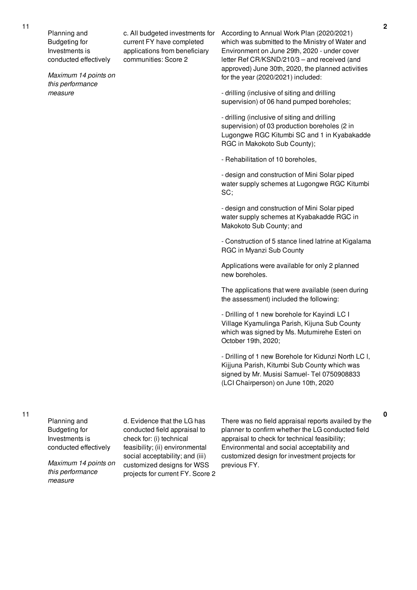Planning and Budgeting for Investments is conducted effectively

*Maximum 14 points on this performance measure*

c. All budgeted investments for current FY have completed applications from beneficiary communities: Score 2

According to Annual Work Plan (2020/2021) which was submitted to the Ministry of Water and Environment on June 29th, 2020 - under cover letter Ref CR/KSND/210/3 – and received (and approved) June 30th, 2020, the planned activities for the year (2020/2021) included:

- drilling (inclusive of siting and drilling supervision) of 06 hand pumped boreholes;

- drilling (inclusive of siting and drilling supervision) of 03 production boreholes (2 in Lugongwe RGC Kitumbi SC and 1 in Kyabakadde RGC in Makokoto Sub County);

- Rehabilitation of 10 boreholes,

- design and construction of Mini Solar piped water supply schemes at Lugongwe RGC Kitumbi SC;

- design and construction of Mini Solar piped water supply schemes at Kyabakadde RGC in Makokoto Sub County; and

- Construction of 5 stance lined latrine at Kigalama RGC in Myanzi Sub County

Applications were available for only 2 planned new boreholes.

The applications that were available (seen during the assessment) included the following:

- Drilling of 1 new borehole for Kayindi LC I Village Kyamulinga Parish, Kijuna Sub County which was signed by Ms. Mutumirehe Esteri on October 19th, 2020;

- Drilling of 1 new Borehole for Kidunzi North LC l, Kijjuna Parish, Kitumbi Sub County which was signed by Mr. Musisi Samuel- Tel 0750908833 (LCI Chairperson) on June 10th, 2020

Planning and Budgeting for Investments is conducted effectively

*Maximum 14 points on this performance measure*

d. Evidence that the LG has conducted field appraisal to check for: (i) technical feasibility; (ii) environmental social acceptability; and (iii) customized designs for WSS projects for current FY. Score 2 There was no field appraisal reports availed by the planner to confirm whether the LG conducted field appraisal to check for technical feasibility; Environmental and social acceptability and customized design for investment projects for previous FY.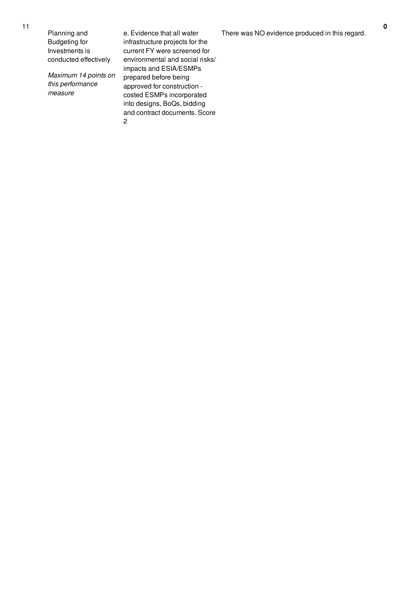Planning and Budgeting for Investments is conducted effectively

*Maximum 14 points on this* performance *measure* 

e. Evidence that all water infrastructure projects for t h e current FY were screened for environmental and social risks/ impacts and ESIA/ESMPs prepared before being approved for construction costed ESMPs incorporated into designs, BoQs, bidding and contract documents. Score 2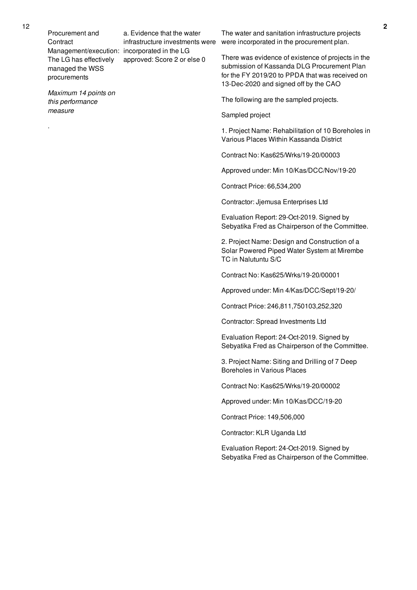Management/execution: incorporated in the LG approved: Score 2 or else 0

a. Evidence that the water

*Maximum 14 points on this performance measure*

.

infrastructure investments were were incorporated in the procurement plan. The water and sanitation infrastructure projects

> There was evidence of existence of projects in the submission of Kassanda DLG Procurement Plan for the FY 2019/20 to PPDA that was received on 13-Dec-2020 and signed off by the CAO

The following are the sampled projects.

Sampled project

1. Project Name: Rehabilitation of 10 Boreholes in Various Places Within Kassanda District

Contract No: Kas625/Wrks/19-20/00003

Approved under: Min 10/Kas/DCC/Nov/19-20

Contract Price: 66,534,200

Contractor: Jjemusa Enterprises Ltd

Evaluation Report: 29-Oct-2019. Signed by Sebyatika Fred as Chairperson of the Committee.

2. Project Name: Design and Construction of a Solar Powered Piped Water System at Mirembe TC in Nalutuntu S/C

Contract No: Kas625/Wrks/19-20/00001

Approved under: Min 4/Kas/DCC/Sept/19-20/

Contract Price: 246,811,750103,252,320

Contractor: Spread Investments Ltd

Evaluation Report: 24-Oct-2019. Signed by Sebyatika Fred as Chairperson of the Committee.

3. Project Name: Siting and Drilling of 7 Deep Boreholes in Various Places

Contract No: Kas625/Wrks/19-20/00002

Approved under: Min 10/Kas/DCC/19-20

Contract Price: 149,506,000

Contractor: KLR Uganda Ltd

Evaluation Report: 24-Oct-2019. Signed by Sebyatika Fred as Chairperson of the Committee.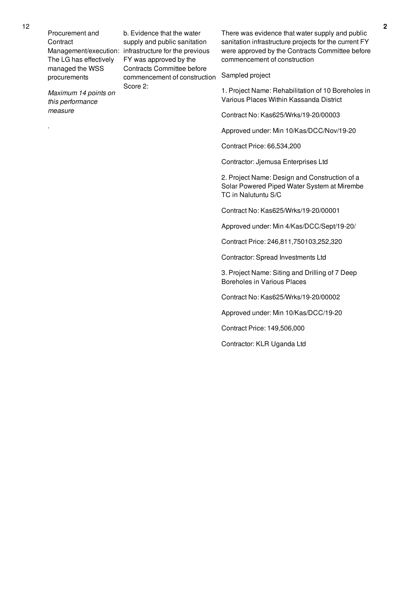*Maximum 14 points on this performance measure*

.

Management/execution: infrastructure for the previous b. Evidence that the water supply and public sanitation FY was approved by the Contracts Committee before commencement of construction Score 2:

There was evidence that water supply and public sanitation infrastructure projects for the current FY were approved by the Contracts Committee before commencement of construction

## Sampled project

1. Project Name: Rehabilitation of 10 Boreholes in Various Places Within Kassanda District

Contract No: Kas625/Wrks/19-20/00003

Approved under: Min 10/Kas/DCC/Nov/19-20

Contract Price: 66,534,200

Contractor: Jjemusa Enterprises Ltd

2. Project Name: Design and Construction of a Solar Powered Piped Water System at Mirembe TC in Nalutuntu S/C

Contract No: Kas625/Wrks/19-20/00001

Approved under: Min 4/Kas/DCC/Sept/19-20/

Contract Price: 246,811,750103,252,320

Contractor: Spread Investments Ltd

3. Project Name: Siting and Drilling of 7 Deep Boreholes in Various Places

Contract No: Kas625/Wrks/19-20/00002

Approved under: Min 10/Kas/DCC/19-20

Contract Price: 149,506,000

Contractor: KLR Uganda Ltd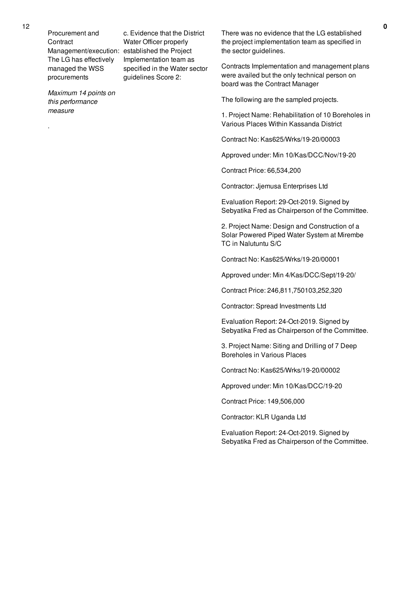12

Procurement and **Contract** Management/execution: established the Project The LG has effectively managed the WSS procurements

*Maximum 14 points on* specified in the Water sector guidelines Score 2:

c. Evidence that the District Water Officer properly

Implementation team as

*this performance measure*

.

There was no evidence that the LG established the project implementation team as specified in the sector guidelines.

Contracts Implementation and management plans were availed but the only technical person on board was the Contract Manager

The following are the sampled projects.

1. Project Name: Rehabilitation of 10 Boreholes in Various Places Within Kassanda District

Contract No: Kas625/Wrks/19-20/00003

Approved under: Min 10/Kas/DCC/Nov/19-20

Contract Price: 66,534,200

Contractor: Jjemusa Enterprises Ltd

Evaluation Report: 29-Oct-2019. Signed by Sebyatika Fred as Chairperson of the Committee.

2. Project Name: Design and Construction of a Solar Powered Piped Water System at Mirembe TC in Nalutuntu S/C

Contract No: Kas625/Wrks/19-20/00001

Approved under: Min 4/Kas/DCC/Sept/19-20/

Contract Price: 246,811,750103,252,320

Contractor: Spread Investments Ltd

Evaluation Report: 24-Oct-2019. Signed by Sebyatika Fred as Chairperson of the Committee.

3. Project Name: Siting and Drilling of 7 Deep Boreholes in Various Places

Contract No: Kas625/Wrks/19-20/00002

Approved under: Min 10/Kas/DCC/19-20

Contract Price: 149,506,000

Contractor: KLR Uganda Ltd

Evaluation Report: 24-Oct-2019. Signed by Sebyatika Fred as Chairperson of the Committee.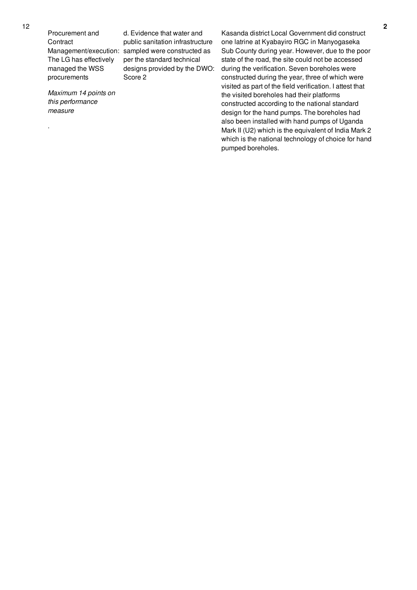*Maximum 14 points on this performance measure*

.

Management/execution: sampled were constructed as d. Evidence that water and public sanitation infrastructure per the standard technical designs provided by the DWO: Score 2

Kasanda district Local Government did construct one latrine at Kyabayiro RGC in Manyogaseka Sub County during year. However, due to the poor state of the road, the site could not be accessed during the verification. Seven boreholes were constructed during the year, three of which were visited as part of the field verification. I attest that the visited boreholes had their platforms constructed according to the national standard design for the hand pumps. The boreholes had also been installed with hand pumps of Uganda Mark II (U2) which is the equivalent of India Mark 2 which is the national technology of choice for hand pumped boreholes.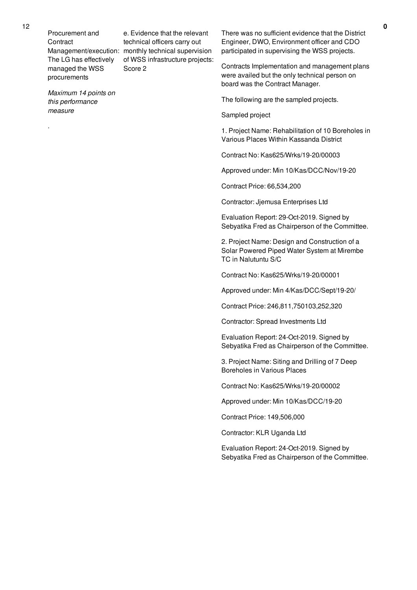Management/execution: monthly technical supervision e. Evidence that the relevant technical officers carry out of WSS infrastructure projects: Score 2

*Maximum 14 points on this performance measure*

.

There was no sufficient evidence that the District Engineer, DWO, Environment officer and CDO participated in supervising the WSS projects.

Contracts Implementation and management plans were availed but the only technical person on board was the Contract Manager.

The following are the sampled projects.

Sampled project

1. Project Name: Rehabilitation of 10 Boreholes in Various Places Within Kassanda District

Contract No: Kas625/Wrks/19-20/00003

Approved under: Min 10/Kas/DCC/Nov/19-20

Contract Price: 66,534,200

Contractor: Jjemusa Enterprises Ltd

Evaluation Report: 29-Oct-2019. Signed by Sebyatika Fred as Chairperson of the Committee.

2. Project Name: Design and Construction of a Solar Powered Piped Water System at Mirembe TC in Nalutuntu S/C

Contract No: Kas625/Wrks/19-20/00001

Approved under: Min 4/Kas/DCC/Sept/19-20/

Contract Price: 246,811,750103,252,320

Contractor: Spread Investments Ltd

Evaluation Report: 24-Oct-2019. Signed by Sebyatika Fred as Chairperson of the Committee.

3. Project Name: Siting and Drilling of 7 Deep Boreholes in Various Places

Contract No: Kas625/Wrks/19-20/00002

Approved under: Min 10/Kas/DCC/19-20

Contract Price: 149,506,000

Contractor: KLR Uganda Ltd

Evaluation Report: 24-Oct-2019. Signed by Sebyatika Fred as Chairperson of the Committee.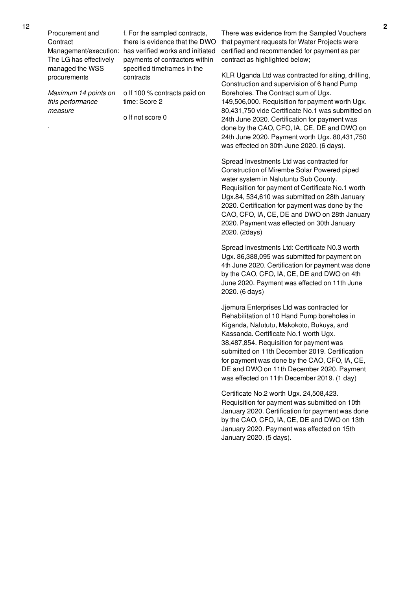*Maximum 14 points on this performance measure*

.

Management/execution: has verified works and initiated f. For the sampled contracts, there is evidence that the DWO payments of contractors within specified timeframes in the contracts

> o If 100 % contracts paid on time: Score 2

o If not score 0

There was evidence from the Sampled Vouchers that payment requests for Water Projects were certified and recommended for payment as per contract as highlighted below;

KLR Uganda Ltd was contracted for siting, drilling, Construction and supervision of 6 hand Pump Boreholes. The Contract sum of Ugx. 149,506,000. Requisition for payment worth Ugx. 80,431,750 vide Certificate No.1 was submitted on 24th June 2020. Certification for payment was done by the CAO, CFO, IA, CE, DE and DWO on 24th June 2020. Payment worth Ugx. 80,431,750 was effected on 30th June 2020. (6 days).

Spread Investments Ltd was contracted for Construction of Mirembe Solar Powered piped water system in Nalutuntu Sub County. Requisition for payment of Certificate No.1 worth Ugx.84, 534,610 was submitted on 28th January 2020. Certification for payment was done by the CAO, CFO, IA, CE, DE and DWO on 28th January 2020. Payment was effected on 30th January 2020. (2days)

Spread Investments Ltd: Certificate N0.3 worth Ugx. 86,388,095 was submitted for payment on 4th June 2020. Certification for payment was done by the CAO, CFO, IA, CE, DE and DWO on 4th June 2020. Payment was effected on 11th June 2020. (6 days)

Jjemura Enterprises Ltd was contracted for Rehabilitation of 10 Hand Pump boreholes in Kiganda, Nalututu, Makokoto, Bukuya, and Kassanda. Certificate No.1 worth Ugx. 38,487,854. Requisition for payment was submitted on 11th December 2019. Certification for payment was done by the CAO, CFO, IA, CE, DE and DWO on 11th December 2020. Payment was effected on 11th December 2019. (1 day)

Certificate No.2 worth Ugx. 24,508,423. Requisition for payment was submitted on 10th January 2020. Certification for payment was done by the CAO, CFO, IA, CE, DE and DWO on 13th January 2020. Payment was effected on 15th January 2020. (5 days).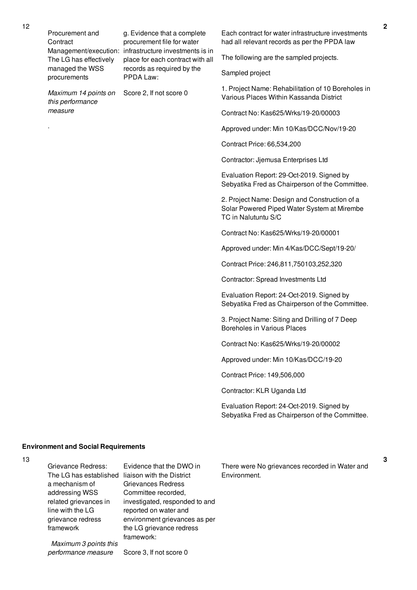Management/execution: infrastructure investments is in g. Evidence that a complete procurement file for water place for each contract with all records as required by the PPDA Law:

Score 2, If not score 0

*Maximum 14 points on this performance measure*

.

Each contract for water infrastructure investments had all relevant records as per the PPDA law

The following are the sampled projects.

Sampled project

1. Project Name: Rehabilitation of 10 Boreholes in Various Places Within Kassanda District

Contract No: Kas625/Wrks/19-20/00003

Approved under: Min 10/Kas/DCC/Nov/19-20

Contract Price: 66,534,200

Contractor: Jjemusa Enterprises Ltd

Evaluation Report: 29-Oct-2019. Signed by Sebyatika Fred as Chairperson of the Committee.

2. Project Name: Design and Construction of a Solar Powered Piped Water System at Mirembe TC in Nalutuntu S/C

Contract No: Kas625/Wrks/19-20/00001

Approved under: Min 4/Kas/DCC/Sept/19-20/

Contract Price: 246,811,750103,252,320

Contractor: Spread Investments Ltd

Evaluation Report: 24-Oct-2019. Signed by Sebyatika Fred as Chairperson of the Committee.

3. Project Name: Siting and Drilling of 7 Deep Boreholes in Various Places

Contract No: Kas625/Wrks/19-20/00002

Approved under: Min 10/Kas/DCC/19-20

Contract Price: 149,506,000

Contractor: KLR Uganda Ltd

Evaluation Report: 24-Oct-2019. Signed by Sebyatika Fred as Chairperson of the Committee.

#### **Environment and Social Requirements**

*Maximum 3 points this performance measure*

13

Grievance Redress: The LG has established liaison with the District a mechanism of addressing WSS related grievances in line with the LG grievance redress framework Evidence that the DWO in Grievances Redress Committee recorded, investigated, responded to and reported on water and environment grievances as per the LG grievance redress framework:

Score 3, If not score 0

There were No grievances recorded in Water and Environment.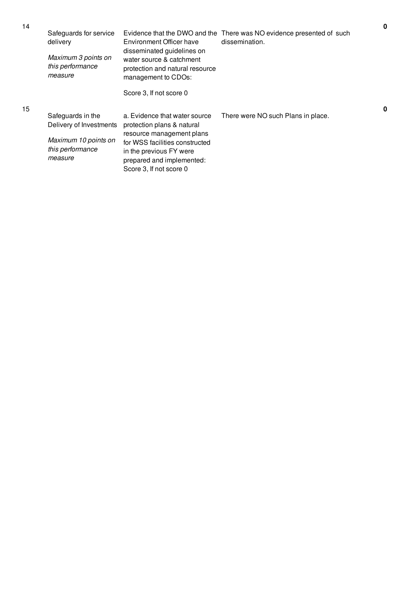| 14 | Safeguards for service<br>delivery                  | Environment Officer have                                                                                                                       | Evidence that the DWO and the There was NO evidence presented of such<br>dissemination. | $\mathbf 0$ |
|----|-----------------------------------------------------|------------------------------------------------------------------------------------------------------------------------------------------------|-----------------------------------------------------------------------------------------|-------------|
|    | Maximum 3 points on<br>this performance<br>measure  | disseminated guidelines on<br>water source & catchment<br>protection and natural resource<br>management to CDOs:                               |                                                                                         |             |
|    |                                                     | Score 3, If not score 0                                                                                                                        |                                                                                         |             |
| 15 | Safeguards in the                                   | a. Evidence that water source                                                                                                                  | There were NO such Plans in place.                                                      | 0           |
|    | Delivery of Investments                             | protection plans & natural                                                                                                                     |                                                                                         |             |
|    | Maximum 10 points on<br>this performance<br>measure | resource management plans<br>for WSS facilities constructed<br>in the previous FY were<br>prepared and implemented:<br>Score 3, If not score 0 |                                                                                         |             |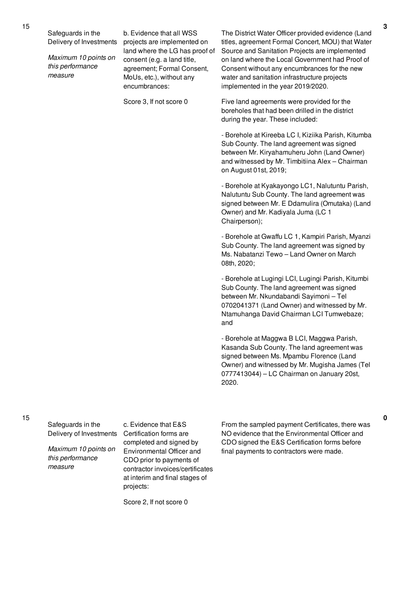Safeguards in the Delivery of Investments

*Maximum 10 points on this performance measure*

b. Evidence that all WSS projects are implemented on land where the LG has proof of consent (e.g. a land title, agreement; Formal Consent, MoUs, etc.), without any encumbrances:

Score 3, If not score 0

The District Water Officer provided evidence (Land titles, agreement Formal Concert, MOU) that Water Source and Sanitation Projects are implemented on land where the Local Government had Proof of Consent without any encumbrances for the new water and sanitation infrastructure projects implemented in the year 2019/2020.

Five land agreements were provided for the boreholes that had been drilled in the district during the year. These included:

- Borehole at Kireeba LC I, Kiziika Parish, Kitumba Sub County. The land agreement was signed between Mr. Kiryahamuheru John (Land Owner) and witnessed by Mr. Timbitiina Alex – Chairman on August 01st, 2019;

- Borehole at Kyakayongo LC1, Nalutuntu Parish, Nalutuntu Sub County. The land agreement was signed between Mr. E Ddamulira (Omutaka) (Land Owner) and Mr. Kadiyala Juma (LC 1 Chairperson);

- Borehole at Gwaffu LC 1, Kampiri Parish, Myanzi Sub County. The land agreement was signed by Ms. Nabatanzi Tewo – Land Owner on March 08th, 2020;

- Borehole at Lugingi LCI, Lugingi Parish, Kitumbi Sub County. The land agreement was signed between Mr. Nkundabandi Sayimoni – Tel 0702041371 (Land Owner) and witnessed by Mr. Ntamuhanga David Chairman LCI Tumwebaze; and

- Borehole at Maggwa B LCI, Maggwa Parish, Kasanda Sub County. The land agreement was signed between Ms. Mpambu Florence (Land Owner) and witnessed by Mr. Mugisha James (Tel 0777413044) – LC Chairman on January 20st, 2020.

15

Safeguards in the Delivery of Investments

*Maximum 10 points on this performance measure*

c. Evidence that E&S Certification forms are completed and signed by Environmental Officer and CDO prior to payments of contractor invoices/certificates at interim and final stages of projects:

Score 2, If not score 0

From the sampled payment Certificates, there was NO evidence that the Environmental Officer and CDO signed the E&S Certification forms before final payments to contractors were made.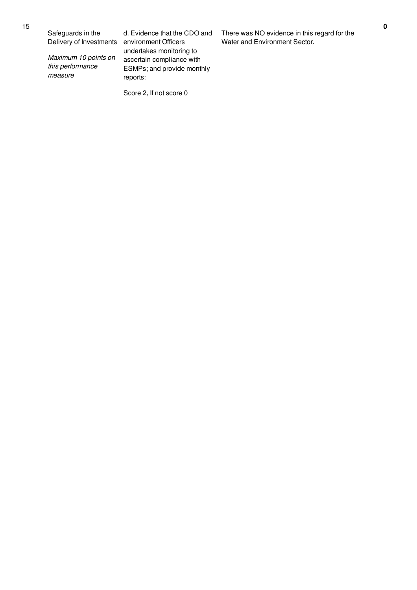Safeguards in the Delivery of Investments

*Maximum 10 points on this performance measure*

d. Evidence that the CDO and environment Officers undertakes monitoring to ascertain compliance with ESMPs; and provide monthly reports:

Score 2, If not score 0

There was NO evidence in this regard for the Water and Environment Sector.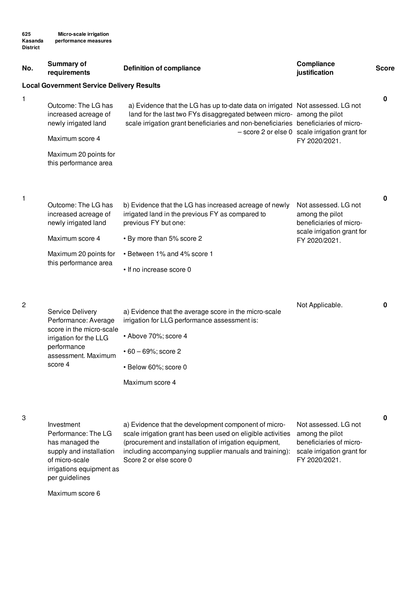| No. | Summary of<br>requirements                                          | <b>Definition of compliance</b>                                                                                                                                                                                                               | <b>Compliance</b><br>justification                                 | <b>Score</b> |
|-----|---------------------------------------------------------------------|-----------------------------------------------------------------------------------------------------------------------------------------------------------------------------------------------------------------------------------------------|--------------------------------------------------------------------|--------------|
|     | <b>Local Government Service Delivery Results</b>                    |                                                                                                                                                                                                                                               |                                                                    |              |
| 1   | Outcome: The LG has<br>increased acreage of<br>newly irrigated land | a) Evidence that the LG has up to-date data on irrigated Not assessed. LG not<br>land for the last two FYs disaggregated between micro- among the pilot<br>scale irrigation grant beneficiaries and non-beneficiaries beneficiaries of micro- |                                                                    | 0            |
|     | Maximum score 4                                                     |                                                                                                                                                                                                                                               | - score 2 or else 0 scale irrigation grant for<br>FY 2020/2021.    |              |
|     | Maximum 20 points for<br>this performance area                      |                                                                                                                                                                                                                                               |                                                                    |              |
| 1   |                                                                     |                                                                                                                                                                                                                                               |                                                                    | 0            |
|     | Outcome: The LG has<br>increased acreage of<br>newly irrigated land | b) Evidence that the LG has increased acreage of newly<br>irrigated land in the previous FY as compared to<br>previous FY but one:                                                                                                            | Not assessed. LG not<br>among the pilot<br>beneficiaries of micro- |              |
|     | Maximum score 4                                                     | • By more than 5% score 2                                                                                                                                                                                                                     | scale irrigation grant for<br>FY 2020/2021.                        |              |
|     | Maximum 20 points for                                               | • Between 1% and 4% score 1                                                                                                                                                                                                                   |                                                                    |              |
|     | this performance area                                               | • If no increase score 0                                                                                                                                                                                                                      |                                                                    |              |
| 2   | Service Delivery<br>Performance: Average                            | a) Evidence that the average score in the micro-scale<br>irrigation for LLG performance assessment is:                                                                                                                                        | Not Applicable.                                                    | 0            |
|     | score in the micro-scale<br>irrigation for the LLG                  | • Above 70%; score 4                                                                                                                                                                                                                          |                                                                    |              |
|     | performance<br>assessment. Maximum                                  | $\cdot$ 60 - 69%; score 2                                                                                                                                                                                                                     |                                                                    |              |
|     | score 4                                                             | · Below 60%; score 0                                                                                                                                                                                                                          |                                                                    |              |
|     |                                                                     | Maximum score 4                                                                                                                                                                                                                               |                                                                    |              |
| 3   | Investment<br>Performance: The LG                                   | a) Evidence that the development component of micro-<br>scale irrigation grant has been used on eligible activities                                                                                                                           | Not assessed. LG not<br>among the pilot                            | 0            |

has managed the supply and installation of micro-scale irrigations equipment as per guidelines

scale irrigation grant has been used on eligible activities among the pilot (procurement and installation of irrigation equipment, including accompanying supplier manuals and training): scale irrigation grant for Score 2 or else score 0

beneficiaries of micro-FY 2020/2021.

Maximum score 6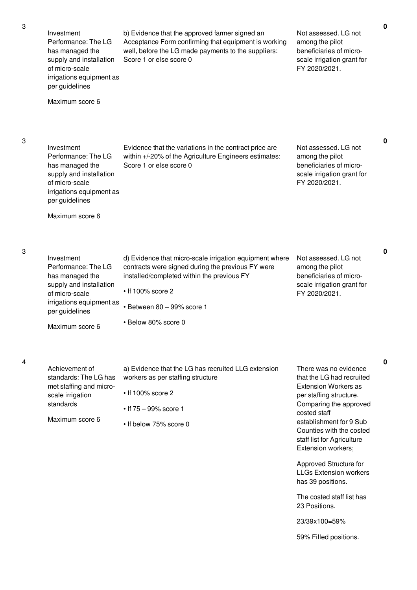3

3

4

| Investment<br>Performance: The LG<br>has managed the<br>supply and installation<br>of micro-scale<br>irrigations equipment as<br>per guidelines<br>Maximum score 6 | b) Evidence that the approved farmer signed an<br>Acceptance Form confirming that equipment is working<br>well, before the LG made payments to the suppliers:<br>Score 1 or else score 0                                                         | Not assessed. LG not<br>among the pilot<br>beneficiaries of micro-<br>scale irrigation grant for<br>FY 2020/2021.                                                                                                                                                                                                                                                                                                |
|--------------------------------------------------------------------------------------------------------------------------------------------------------------------|--------------------------------------------------------------------------------------------------------------------------------------------------------------------------------------------------------------------------------------------------|------------------------------------------------------------------------------------------------------------------------------------------------------------------------------------------------------------------------------------------------------------------------------------------------------------------------------------------------------------------------------------------------------------------|
| Investment<br>Performance: The LG<br>has managed the<br>supply and installation<br>of micro-scale<br>irrigations equipment as<br>per guidelines<br>Maximum score 6 | Evidence that the variations in the contract price are<br>within +/-20% of the Agriculture Engineers estimates:<br>Score 1 or else score 0                                                                                                       | Not assessed. LG not<br>among the pilot<br>beneficiaries of micro-<br>scale irrigation grant for<br>FY 2020/2021.                                                                                                                                                                                                                                                                                                |
| Investment<br>Performance: The LG<br>has managed the<br>supply and installation<br>of micro-scale<br>irrigations equipment as<br>per guidelines<br>Maximum score 6 | d) Evidence that micro-scale irrigation equipment where<br>contracts were signed during the previous FY were<br>installed/completed within the previous FY<br>$\cdot$ If 100% score 2<br>$\cdot$ Between 80 - 99% score 1<br>• Below 80% score 0 | Not assessed. LG not<br>among the pilot<br>beneficiaries of micro-<br>scale irrigation grant for<br>FY 2020/2021.                                                                                                                                                                                                                                                                                                |
| Achievement of<br>standards: The LG has<br>met staffing and micro-<br>scale irrigation<br>standards<br>Maximum score 6                                             | a) Evidence that the LG has recruited LLG extension<br>workers as per staffing structure<br>$\cdot$ If 100% score 2<br>$\cdot$ If 75 - 99% score 1<br>• If below 75% score 0                                                                     | There was no evidence<br>that the LG had recruited<br><b>Extension Workers as</b><br>per staffing structure.<br>Comparing the approved<br>costed staff<br>establishment for 9 Sub<br>Counties with the costed<br>staff list for Agriculture<br>Extension workers;<br>Approved Structure for<br><b>LLGs Extension workers</b><br>has 39 positions.<br>The costed staff list has<br>23 Positions.<br>23/39x100=59% |

**0**

**0**

**0**

59% Filled positions.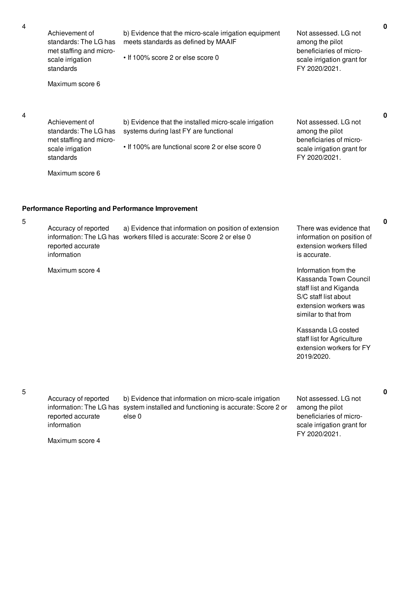| 4 | Achievement of<br>standards: The LG has<br>met staffing and micro-<br>scale irrigation<br>standards<br>Maximum score 6 | b) Evidence that the micro-scale irrigation equipment<br>meets standards as defined by MAAIF<br>• If 100% score 2 or else score 0                  | Not assessed. LG not<br>among the pilot<br>beneficiaries of micro-<br>scale irrigation grant for<br>FY 2020/2021. |
|---|------------------------------------------------------------------------------------------------------------------------|----------------------------------------------------------------------------------------------------------------------------------------------------|-------------------------------------------------------------------------------------------------------------------|
| 4 | Achievement of<br>standards: The LG has<br>met staffing and micro-<br>scale irrigation<br>standards<br>Maximum score 6 | b) Evidence that the installed micro-scale irrigation<br>systems during last FY are functional<br>. If 100% are functional score 2 or else score 0 | Not assessed. LG not<br>among the pilot<br>beneficiaries of micro-<br>scale irrigation grant for<br>FY 2020/2021. |
|   |                                                                                                                        | <b>Performance Reporting and Performance Improvement</b>                                                                                           |                                                                                                                   |
| 5 | Accuracy of reported                                                                                                   | a) Evidence that information on position of extension                                                                                              | There was evidence that                                                                                           |

Accuracy of reported information: The LG has workers filled is accurate: Score 2 or else 0 reported accurate information a) Evidence that information on position of extension information on position of extension workers filled is accurate.

Maximum score 4

Information from the Kassanda Town Council staff list and Kiganda S/C staff list about extension workers was similar to that from

Kassanda LG costed staff list for Agriculture extension workers for FY 2019/2020.

5

Accuracy of reported reported accurate information

information: The LG has system installed and functioning is accurate: Score 2 or b) Evidence that information on micro-scale irrigation else 0

Not assessed. LG not among the pilot beneficiaries of microscale irrigation grant for FY 2020/2021.

Maximum score 4

**0**

**0**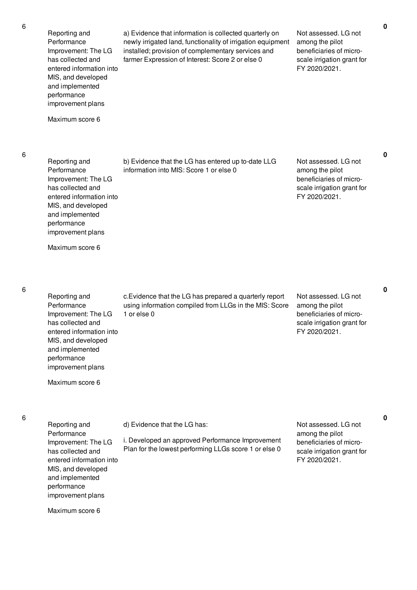6

6

6

| Reporting and<br>Performance<br>Improvement: The LG<br>has collected and<br>entered information into<br>MIS, and developed<br>and implemented<br>performance<br>improvement plans<br>Maximum score 6 | a) Evidence that information is collected quarterly on<br>newly irrigated land, functionality of irrigation equipment<br>installed; provision of complementary services and<br>farmer Expression of Interest: Score 2 or else 0 | Not assessed. LG not<br>among the pilot<br>beneficiaries of micro-<br>scale irrigation grant for<br>FY 2020/2021. |
|------------------------------------------------------------------------------------------------------------------------------------------------------------------------------------------------------|---------------------------------------------------------------------------------------------------------------------------------------------------------------------------------------------------------------------------------|-------------------------------------------------------------------------------------------------------------------|
| Reporting and<br>Performance<br>Improvement: The LG<br>has collected and<br>entered information into<br>MIS, and developed<br>and implemented<br>performance<br>improvement plans                    | b) Evidence that the LG has entered up to-date LLG<br>information into MIS: Score 1 or else 0                                                                                                                                   | Not assessed. LG not<br>among the pilot<br>beneficiaries of micro-<br>scale irrigation grant for<br>FY 2020/2021. |
| Maximum score 6                                                                                                                                                                                      |                                                                                                                                                                                                                                 |                                                                                                                   |
| Reporting and<br>Performance<br>Improvement: The LG<br>has collected and<br>entered information into<br>MIS, and developed<br>and implemented<br>performance<br>improvement plans<br>Maximum score 6 | c. Evidence that the LG has prepared a quarterly report<br>using information compiled from LLGs in the MIS: Score<br>1 or else 0                                                                                                | Not assessed. LG not<br>among the pilot<br>beneficiaries of micro-<br>scale irrigation grant for<br>FY 2020/2021. |
| Reporting and<br>Performance<br>Improvement: The LG<br>has collected and<br>entered information into<br>MIS, and developed<br>and implemented<br>performance<br>improvement plans<br>Maximum score 6 | d) Evidence that the LG has:<br>i. Developed an approved Performance Improvement<br>Plan for the lowest performing LLGs score 1 or else 0                                                                                       | Not assessed. LG not<br>among the pilot<br>beneficiaries of micro-<br>scale irrigation grant for<br>FY 2020/2021. |

**0**

**0**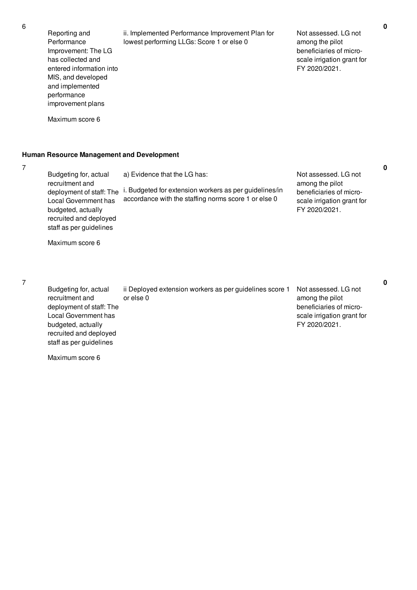Reporting and Performance Improvement: The LG has collected and entered information into MIS, and developed and implemented performance improvement plans Maximum score 6 ii. Implemented Performance Improvement Plan for lowest performing LLGs: Score 1 or else 0 Not assessed. LG not among the pilot beneficiaries of microscale irrigation grant for FY 2020/2021.

#### **Human Resource Management and Development**

7

Budgeting for, actual recruitment and deployment of staff: The  $\,$  i. Budgeted for extension workers as per guidelines/in Local Government has budgeted, actually recruited and deployed staff as per guidelines Maximum score 6 a) Evidence that the LG has: accordance with the staffing norms score 1 or else 0 Not assessed. LG not among the pilot beneficiaries of microscale irrigation grant for FY 2020/2021.

**0**

**0**

### 7

Budgeting for, actual recruitment and deployment of staff: The Local Government has budgeted, actually recruited and deployed staff as per guidelines ii Deployed extension workers as per guidelines score 1 or else 0 Not assessed. LG not among the pilot beneficiaries of microscale irrigation grant for FY 2020/2021.

Maximum score 6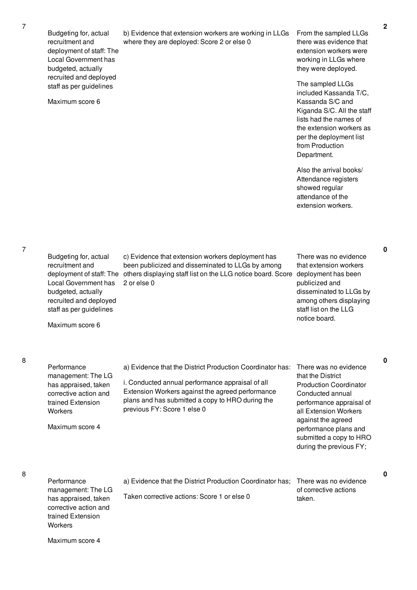8

8

Budgeting for, actual recruitment and

| deployment of staff: The<br>Local Government has<br>budgeted, actually<br>recruited and deployed                                                                                           |                                                                                                                                                                                                                                                      | extension workers were<br>working in LLGs where<br>they were deployed.                                                                                                                                                                                    |
|--------------------------------------------------------------------------------------------------------------------------------------------------------------------------------------------|------------------------------------------------------------------------------------------------------------------------------------------------------------------------------------------------------------------------------------------------------|-----------------------------------------------------------------------------------------------------------------------------------------------------------------------------------------------------------------------------------------------------------|
| staff as per guidelines<br>Maximum score 6                                                                                                                                                 |                                                                                                                                                                                                                                                      | The sampled LLGs<br>included Kassanda T/C,<br>Kassanda S/C and<br>Kiganda S/C. All the staff<br>lists had the names of<br>the extension workers as<br>per the deployment list<br>from Production<br>Department.                                           |
|                                                                                                                                                                                            |                                                                                                                                                                                                                                                      | Also the arrival books/<br>Attendance registers<br>showed regular<br>attendance of the<br>extension workers.                                                                                                                                              |
| Budgeting for, actual<br>recruitment and<br>deployment of staff: The<br>Local Government has<br>budgeted, actually<br>recruited and deployed<br>staff as per guidelines<br>Maximum score 6 | c) Evidence that extension workers deployment has<br>been publicized and disseminated to LLGs by among<br>others displaying staff list on the LLG notice board. Score<br>2 or else 0                                                                 | There was no evidence<br>that extension workers<br>deployment has been<br>publicized and<br>disseminated to LLGs by<br>among others displaying<br>staff list on the LLG<br>notice board.                                                                  |
| Performance<br>management: The LG<br>has appraised, taken<br>corrective action and<br>trained Extension<br>Workers<br>Maximum score 4                                                      | a) Evidence that the District Production Coordinator has:<br>i. Conducted annual performance appraisal of all<br>Extension Workers against the agreed performance<br>plans and has submitted a copy to HRO during the<br>previous FY: Score 1 else 0 | There was no evidence<br>that the District<br><b>Production Coordinator</b><br>Conducted annual<br>performance appraisal of<br>all Extension Workers<br>against the agreed<br>performance plans and<br>submitted a copy to HRO<br>during the previous FY; |
| Performance<br>management: The LG<br>has appraised, taken<br>corrective action and<br>trained Extension<br>Workers                                                                         | a) Evidence that the District Production Coordinator has;<br>Taken corrective actions: Score 1 or else 0                                                                                                                                             | There was no evidence<br>of corrective actions<br>taken.                                                                                                                                                                                                  |

b) Evidence that extension workers are working in LLGs From the sampled LLGs

where they are deployed: Score 2 or else 0

**2**

**0**

**0**

**0**

there was evidence that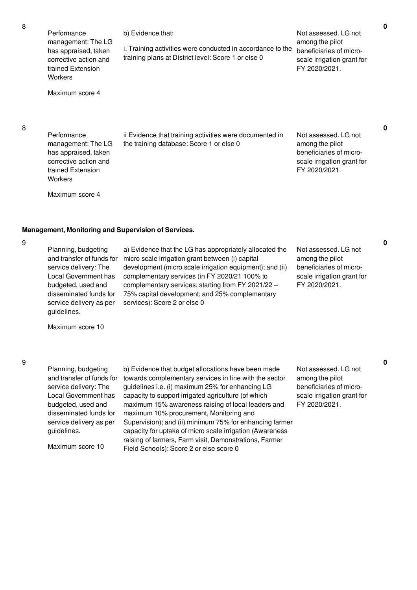| 8 | Performance<br>management: The LG<br>has appraised, taken<br>corrective action and<br>trained Extension<br>Workers<br>Maximum score 4                                                                                                                                  | b) Evidence that:<br>i. Training activities were conducted in accordance to the<br>training plans at District level: Score 1 or else 0                                                                                                                                                                                                                           | Not assessed. LG not<br>among the pilot<br>beneficiaries of micro-<br>scale irrigation grant for<br>FY 2020/2021. | 0 |
|---|------------------------------------------------------------------------------------------------------------------------------------------------------------------------------------------------------------------------------------------------------------------------|------------------------------------------------------------------------------------------------------------------------------------------------------------------------------------------------------------------------------------------------------------------------------------------------------------------------------------------------------------------|-------------------------------------------------------------------------------------------------------------------|---|
| 8 | Performance<br>management: The LG<br>has appraised, taken<br>corrective action and<br>trained Extension<br>Workers<br>Maximum score 4                                                                                                                                  | ii Evidence that training activities were documented in<br>the training database: Score 1 or else 0                                                                                                                                                                                                                                                              | Not assessed. LG not<br>among the pilot<br>beneficiaries of micro-<br>scale irrigation grant for<br>FY 2020/2021. | 0 |
| 9 | Management, Monitoring and Supervision of Services.<br>Planning, budgeting<br>and transfer of funds for<br>service delivery: The<br>Local Government has<br>budgeted, used and<br>disseminated funds for<br>service delivery as per<br>guidelines.<br>Maximum score 10 | a) Evidence that the LG has appropriately allocated the<br>micro scale irrigation grant between (i) capital<br>development (micro scale irrigation equipment); and (ii)<br>complementary services (in FY 2020/21 100% to<br>complementary services; starting from FY 2021/22 -<br>75% capital development; and 25% complementary<br>services): Score 2 or else 0 | Not assessed. LG not<br>among the pilot<br>beneficiaries of micro-<br>scale irrigation grant for<br>FY 2020/2021. | 0 |
| 9 |                                                                                                                                                                                                                                                                        |                                                                                                                                                                                                                                                                                                                                                                  |                                                                                                                   | 0 |

Planning, budgeting and transfer of funds for service delivery: The Local Government has budgeted, used and disseminated funds for service delivery as per guidelines.

Maximum score 10

b) Evidence that budget allocations have been made towards complementary services in line with the sector guidelines i.e. (i) maximum 25% for enhancing LG capacity to support irrigated agriculture (of which maximum 15% awareness raising of local leaders and maximum 10% procurement, Monitoring and Supervision); and (ii) minimum 75% for enhancing farmer capacity for uptake of micro scale irrigation (Awareness raising of farmers, Farm visit, Demonstrations, Farmer Field Schools): Score 2 or else score 0

Not assessed. LG not among the pilot beneficiaries of microscale irrigation grant for FY 2020/2021.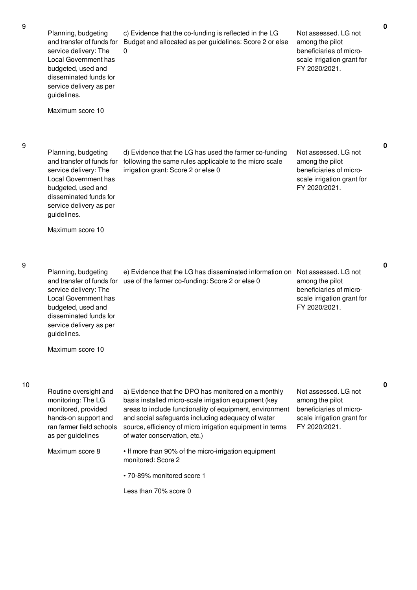9

| Planning, budgeting<br>and transfer of funds for<br>service delivery: The<br>Local Government has<br>budgeted, used and<br>disseminated funds for<br>service delivery as per<br>guidelines. | c) Evidence that the co-funding is reflected in the LG<br>Budget and allocated as per guidelines: Score 2 or else<br>0                                                                                                                                                                                                     | Not assessed. LG not<br>among the pilot<br>beneficiaries of micro-<br>scale irrigation grant for<br>FY 2020/2021. |             |
|---------------------------------------------------------------------------------------------------------------------------------------------------------------------------------------------|----------------------------------------------------------------------------------------------------------------------------------------------------------------------------------------------------------------------------------------------------------------------------------------------------------------------------|-------------------------------------------------------------------------------------------------------------------|-------------|
| Maximum score 10                                                                                                                                                                            |                                                                                                                                                                                                                                                                                                                            |                                                                                                                   |             |
| Planning, budgeting<br>and transfer of funds for<br>service delivery: The<br>Local Government has<br>budgeted, used and<br>disseminated funds for<br>service delivery as per<br>guidelines. | d) Evidence that the LG has used the farmer co-funding<br>following the same rules applicable to the micro scale<br>irrigation grant: Score 2 or else 0                                                                                                                                                                    | Not assessed. LG not<br>among the pilot<br>beneficiaries of micro-<br>scale irrigation grant for<br>FY 2020/2021. | $\mathbf 0$ |
| Maximum score 10                                                                                                                                                                            |                                                                                                                                                                                                                                                                                                                            |                                                                                                                   |             |
| Planning, budgeting<br>and transfer of funds for<br>service delivery: The<br>Local Government has<br>budgeted, used and<br>disseminated funds for<br>service delivery as per<br>guidelines. | e) Evidence that the LG has disseminated information on Not assessed. LG not<br>use of the farmer co-funding: Score 2 or else 0                                                                                                                                                                                            | among the pilot<br>beneficiaries of micro-<br>scale irrigation grant for<br>FY 2020/2021.                         | $\mathbf 0$ |
| Maximum score 10                                                                                                                                                                            |                                                                                                                                                                                                                                                                                                                            |                                                                                                                   |             |
| Routine oversight and<br>monitoring: The LG<br>monitored, provided<br>hands-on support and<br>ran farmer field schools<br>as per guidelines                                                 | a) Evidence that the DPO has monitored on a monthly<br>basis installed micro-scale irrigation equipment (key<br>areas to include functionality of equipment, environment<br>and social safeguards including adequacy of water<br>source, efficiency of micro irrigation equipment in terms<br>of water conservation, etc.) | Not assessed. LG not<br>among the pilot<br>beneficiaries of micro-<br>scale irrigation grant for<br>FY 2020/2021. | 0           |
| Maximum score 8                                                                                                                                                                             | • If more than 90% of the micro-irrigation equipment<br>monitored: Score 2                                                                                                                                                                                                                                                 |                                                                                                                   |             |
|                                                                                                                                                                                             | • 70-89% monitored score 1<br>Less than 70% score 0                                                                                                                                                                                                                                                                        |                                                                                                                   |             |
|                                                                                                                                                                                             |                                                                                                                                                                                                                                                                                                                            |                                                                                                                   |             |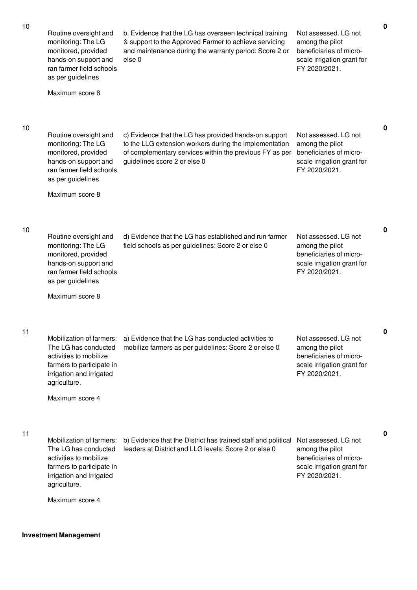| 10 | Routine oversight and<br>monitoring: The LG<br>monitored, provided<br>hands-on support and<br>ran farmer field schools<br>as per guidelines<br>Maximum score 8         | b. Evidence that the LG has overseen technical training<br>& support to the Approved Farmer to achieve servicing<br>and maintenance during the warranty period: Score 2 or<br>else <sub>0</sub>            | Not assessed. LG not<br>among the pilot<br>beneficiaries of micro-<br>scale irrigation grant for<br>FY 2020/2021. | $\pmb{0}$ |
|----|------------------------------------------------------------------------------------------------------------------------------------------------------------------------|------------------------------------------------------------------------------------------------------------------------------------------------------------------------------------------------------------|-------------------------------------------------------------------------------------------------------------------|-----------|
| 10 | Routine oversight and<br>monitoring: The LG<br>monitored, provided<br>hands-on support and<br>ran farmer field schools<br>as per guidelines<br>Maximum score 8         | c) Evidence that the LG has provided hands-on support<br>to the LLG extension workers during the implementation<br>of complementary services within the previous FY as per<br>guidelines score 2 or else 0 | Not assessed. LG not<br>among the pilot<br>beneficiaries of micro-<br>scale irrigation grant for<br>FY 2020/2021. | 0         |
| 10 | Routine oversight and<br>monitoring: The LG<br>monitored, provided<br>hands-on support and<br>ran farmer field schools<br>as per guidelines<br>Maximum score 8         | d) Evidence that the LG has established and run farmer<br>field schools as per guidelines: Score 2 or else 0                                                                                               | Not assessed. LG not<br>among the pilot<br>beneficiaries of micro-<br>scale irrigation grant for<br>FY 2020/2021. | 0         |
| 11 | Mobilization of farmers:<br>The LG has conducted<br>activities to mobilize<br>farmers to participate in<br>irrigation and irrigated<br>agriculture.<br>Maximum score 4 | a) Evidence that the LG has conducted activities to<br>mobilize farmers as per guidelines: Score 2 or else 0                                                                                               | Not assessed. LG not<br>among the pilot<br>beneficiaries of micro-<br>scale irrigation grant for<br>FY 2020/2021. | 0         |
| 11 | Mobilization of farmers:<br>The LG has conducted<br>activities to mobilize<br>farmers to participate in<br>irrigation and irrigated<br>agriculture.<br>Maximum score 4 | b) Evidence that the District has trained staff and political<br>leaders at District and LLG levels: Score 2 or else 0                                                                                     | Not assessed. LG not<br>among the pilot<br>beneficiaries of micro-<br>scale irrigation grant for<br>FY 2020/2021. | 0         |

# **Investment Management**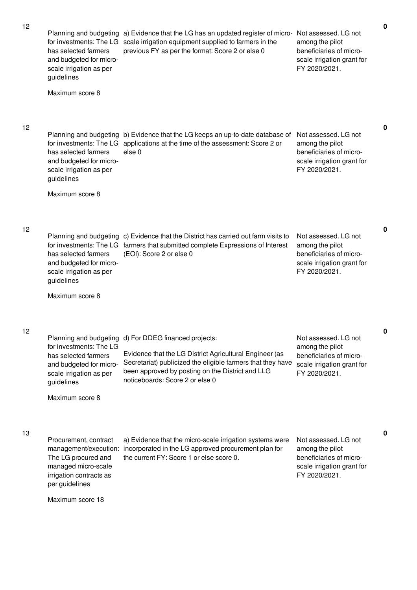| 12 | Planning and budgeting<br>for investments: The LG<br>has selected farmers<br>and budgeted for micro-<br>scale irrigation as per<br>guidelines                    | a) Evidence that the LG has an updated register of micro-<br>scale irrigation equipment supplied to farmers in the<br>previous FY as per the format: Score 2 or else 0                                                                          | Not assessed. LG not<br>among the pilot<br>beneficiaries of micro-<br>scale irrigation grant for<br>FY 2020/2021. |
|----|------------------------------------------------------------------------------------------------------------------------------------------------------------------|-------------------------------------------------------------------------------------------------------------------------------------------------------------------------------------------------------------------------------------------------|-------------------------------------------------------------------------------------------------------------------|
|    | Maximum score 8                                                                                                                                                  |                                                                                                                                                                                                                                                 |                                                                                                                   |
| 12 | Planning and budgeting<br>for investments: The LG<br>has selected farmers<br>and budgeted for micro-<br>scale irrigation as per<br>guidelines                    | b) Evidence that the LG keeps an up-to-date database of<br>applications at the time of the assessment: Score 2 or<br>else 0                                                                                                                     | Not assessed. LG not<br>among the pilot<br>beneficiaries of micro-<br>scale irrigation grant for<br>FY 2020/2021. |
|    | Maximum score 8                                                                                                                                                  |                                                                                                                                                                                                                                                 |                                                                                                                   |
| 12 | Planning and budgeting<br>for investments: The LG<br>has selected farmers<br>and budgeted for micro-<br>scale irrigation as per<br>guidelines<br>Maximum score 8 | c) Evidence that the District has carried out farm visits to<br>farmers that submitted complete Expressions of Interest<br>(EOI): Score 2 or else 0                                                                                             | Not assessed. LG not<br>among the pilot<br>beneficiaries of micro-<br>scale irrigation grant for<br>FY 2020/2021. |
| 12 | Planning and budgeting<br>for investments: The LG<br>has selected farmers<br>and budgeted for micro-<br>scale irrigation as per<br>guidelines<br>Maximum score 8 | d) For DDEG financed projects:<br>Evidence that the LG District Agricultural Engineer (as<br>Secretariat) publicized the eligible farmers that they have<br>been approved by posting on the District and LLG<br>noticeboards: Score 2 or else 0 | Not assessed. LG not<br>among the pilot<br>beneficiaries of micro-<br>scale irrigation grant for<br>FY 2020/2021. |
| 13 | Procurement, contract<br>management/execution:<br>The LG procured and<br>managed micro-scale<br>irrigation contracts as<br>per guidelines<br>Maximum score 18    | a) Evidence that the micro-scale irrigation systems were<br>incorporated in the LG approved procurement plan for<br>the current FY: Score 1 or else score 0.                                                                                    | Not assessed. LG not<br>among the pilot<br>beneficiaries of micro-<br>scale irrigation grant for<br>FY 2020/2021. |

**0**

**0**

**0**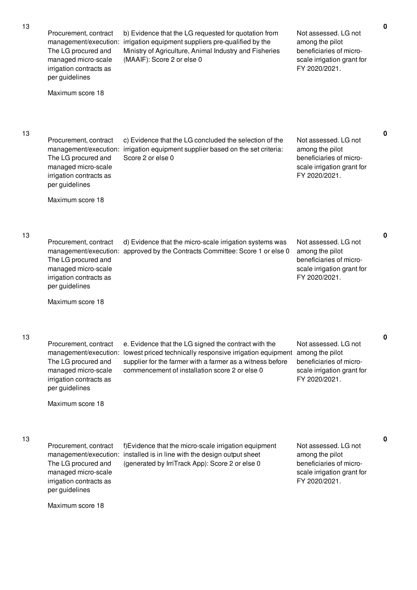13

13

13

Procurement, contract management/execution: irrigation equipment suppliers pre-qualified by the The LG procured and managed micro-scale irrigation contracts as per guidelines Maximum score 18 b) Evidence that the LG requested for quotation from Ministry of Agriculture, Animal Industry and Fisheries (MAAIF): Score 2 or else 0 Not assessed. LG not among the pilot beneficiaries of microscale irrigation grant for FY 2020/2021. Procurement, contract management/execution: irrigation equipment supplier based on the set criteria: The LG procured and managed micro-scale irrigation contracts as per guidelines Maximum score 18 c) Evidence that the LG concluded the selection of the Score 2 or else 0 Not assessed. LG not among the pilot beneficiaries of microscale irrigation grant for FY 2020/2021. **0** Procurement, contract management/execution: approved by the Contracts Committee: Score 1 or else 0 The LG procured and managed micro-scale irrigation contracts as per guidelines Maximum score 18 d) Evidence that the micro-scale irrigation systems was Not assessed. LG not among the pilot beneficiaries of microscale irrigation grant for FY 2020/2021. **0** Procurement, contract management/execution: lowest priced technically responsive irrigation equipment among the pilot The LG procured and managed micro-scale irrigation contracts as per guidelines Maximum score 18 e. Evidence that the LG signed the contract with the supplier for the farmer with a farmer as a witness before commencement of installation score 2 or else 0 Not assessed. LG not beneficiaries of microscale irrigation grant for FY 2020/2021. **0** Procurement, contract management/execution: installed is in line with the design output sheet The LG procured and managed micro-scale irrigation contracts as per guidelines Maximum score 18 f)Evidence that the micro-scale irrigation equipment (generated by IrriTrack App): Score 2 or else 0 Not assessed. LG not among the pilot beneficiaries of microscale irrigation grant for FY 2020/2021. **0**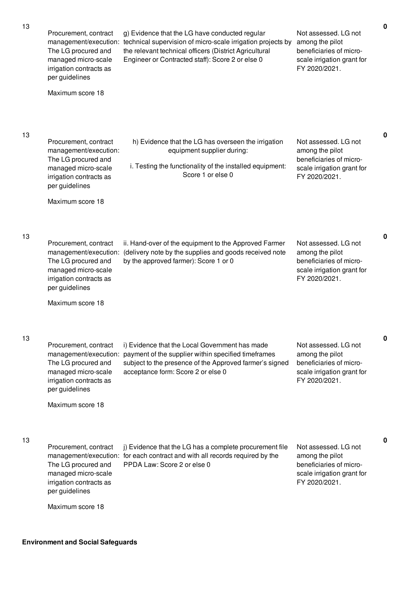| 13 | Procurement, contract<br>management/execution:<br>The LG procured and<br>managed micro-scale<br>irrigation contracts as<br>per guidelines<br>Maximum score 18 | g) Evidence that the LG have conducted regular<br>technical supervision of micro-scale irrigation projects by<br>the relevant technical officers (District Agricultural<br>Engineer or Contracted staff): Score 2 or else 0 | Not assessed. LG not<br>among the pilot<br>beneficiaries of micro-<br>scale irrigation grant for<br>FY 2020/2021. | 0           |
|----|---------------------------------------------------------------------------------------------------------------------------------------------------------------|-----------------------------------------------------------------------------------------------------------------------------------------------------------------------------------------------------------------------------|-------------------------------------------------------------------------------------------------------------------|-------------|
| 13 | Procurement, contract<br>management/execution:<br>The LG procured and<br>managed micro-scale<br>irrigation contracts as<br>per guidelines<br>Maximum score 18 | h) Evidence that the LG has overseen the irrigation<br>equipment supplier during:<br>i. Testing the functionality of the installed equipment:<br>Score 1 or else 0                                                          | Not assessed. LG not<br>among the pilot<br>beneficiaries of micro-<br>scale irrigation grant for<br>FY 2020/2021. | $\pmb{0}$   |
| 13 | Procurement, contract<br>management/execution:<br>The LG procured and<br>managed micro-scale<br>irrigation contracts as<br>per guidelines<br>Maximum score 18 | ii. Hand-over of the equipment to the Approved Farmer<br>(delivery note by the supplies and goods received note<br>by the approved farmer): Score 1 or 0                                                                    | Not assessed. LG not<br>among the pilot<br>beneficiaries of micro-<br>scale irrigation grant for<br>FY 2020/2021. | $\mathbf 0$ |
| 13 | Procurement, contract<br>management/execution:<br>The LG procured and<br>managed micro-scale<br>irrigation contracts as<br>per guidelines<br>Maximum score 18 | i) Evidence that the Local Government has made<br>payment of the supplier within specified timeframes<br>subject to the presence of the Approved farmer's signed<br>acceptance form: Score 2 or else 0                      | Not assessed. LG not<br>among the pilot<br>beneficiaries of micro-<br>scale irrigation grant for<br>FY 2020/2021. | 0           |
| 13 | Procurement, contract<br>management/execution:<br>The LG procured and<br>managed micro-scale<br>irrigation contracts as<br>per guidelines<br>Maximum score 18 | j) Evidence that the LG has a complete procurement file<br>for each contract and with all records required by the<br>PPDA Law: Score 2 or else 0                                                                            | Not assessed. LG not<br>among the pilot<br>beneficiaries of micro-<br>scale irrigation grant for<br>FY 2020/2021. | 0           |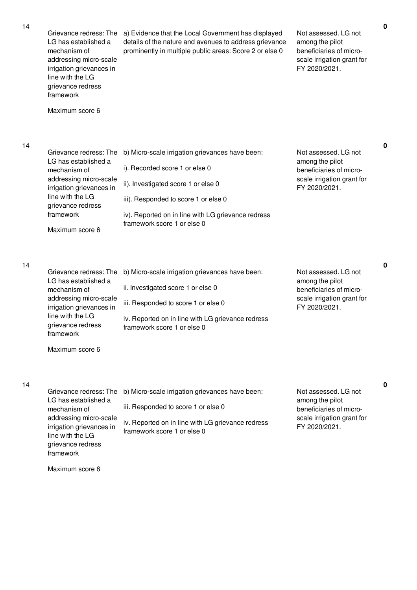14

| Grievance redress: The<br>LG has established a<br>mechanism of<br>addressing micro-scale<br>irrigation grievances in<br>line with the LG<br>grievance redress<br>framework<br>Maximum score 6 | a) Evidence that the Local Government has displayed<br>details of the nature and avenues to address grievance<br>prominently in multiple public areas: Score 2 or else 0                                                                              | Not assessed. LG not<br>among the pilot<br>beneficiaries of micro-<br>scale irrigation grant for<br>FY 2020/2021. | 0 |
|-----------------------------------------------------------------------------------------------------------------------------------------------------------------------------------------------|-------------------------------------------------------------------------------------------------------------------------------------------------------------------------------------------------------------------------------------------------------|-------------------------------------------------------------------------------------------------------------------|---|
| Grievance redress: The<br>LG has established a<br>mechanism of<br>addressing micro-scale<br>irrigation grievances in<br>line with the LG<br>grievance redress<br>framework<br>Maximum score 6 | b) Micro-scale irrigation grievances have been:<br>i). Recorded score 1 or else 0<br>ii). Investigated score 1 or else 0<br>iii). Responded to score 1 or else 0<br>iv). Reported on in line with LG grievance redress<br>framework score 1 or else 0 | Not assessed. LG not<br>among the pilot<br>beneficiaries of micro-<br>scale irrigation grant for<br>FY 2020/2021. | 0 |
| Grievance redress: The<br>LG has established a<br>mechanism of<br>addressing micro-scale<br>irrigation grievances in<br>line with the LG<br>grievance redress<br>framework<br>Maximum score 6 | b) Micro-scale irrigation grievances have been:<br>ii. Investigated score 1 or else 0<br>iii. Responded to score 1 or else 0<br>iv. Reported on in line with LG grievance redress<br>framework score 1 or else 0                                      | Not assessed. LG not<br>among the pilot<br>beneficiaries of micro-<br>scale irrigation grant for<br>FY 2020/2021. | 0 |
| Grievance redress: The<br>LG has established a<br>mechanism of<br>addressing micro-scale<br>irrigation grievances in<br>line with the LG<br>grievance redress<br>framework<br>Maximum score 6 | b) Micro-scale irrigation grievances have been:<br>iii. Responded to score 1 or else 0<br>iv. Reported on in line with LG grievance redress<br>framework score 1 or else 0                                                                            | Not assessed. LG not<br>among the pilot<br>beneficiaries of micro-<br>scale irrigation grant for<br>FY 2020/2021. | 0 |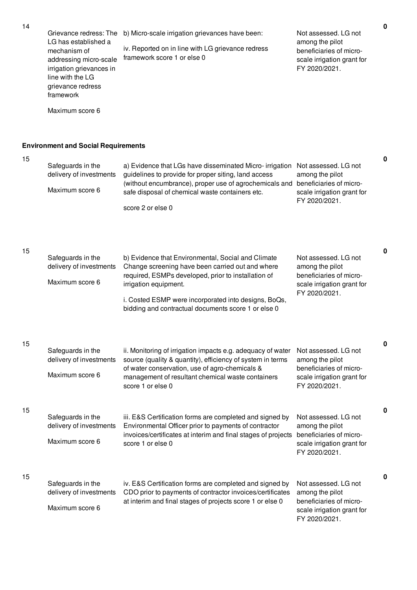Grievance redress: The b) Micro-scale irrigation grievances have been: LG has established a mechanism of addressing micro-scale irrigation grievances in line with the LG grievance redress framework Maximum score 6 iv. Reported on in line with LG grievance redress framework score 1 or else 0 Not assessed. LG not among the pilot beneficiaries of microscale irrigation grant for FY 2020/2021.

a) Evidence that LGs have disseminated Micro- irrigation Not assessed. LG not

**Environment and Social Requirements**

Safeguards in the

|    | delivery of investments<br>Maximum score 6                      | guidelines to provide for proper siting, land access<br>(without encumbrance), proper use of agrochemicals and<br>safe disposal of chemical waste containers etc.<br>score 2 or else 0                                                                                                                | among the pilot<br>beneficiaries of micro-<br>scale irrigation grant for<br>FY 2020/2021.                         |
|----|-----------------------------------------------------------------|-------------------------------------------------------------------------------------------------------------------------------------------------------------------------------------------------------------------------------------------------------------------------------------------------------|-------------------------------------------------------------------------------------------------------------------|
| 15 | Safeguards in the<br>delivery of investments<br>Maximum score 6 | b) Evidence that Environmental, Social and Climate<br>Change screening have been carried out and where<br>required, ESMPs developed, prior to installation of<br>irrigation equipment.<br>i. Costed ESMP were incorporated into designs, BoQs,<br>bidding and contractual documents score 1 or else 0 | Not assessed. LG not<br>among the pilot<br>beneficiaries of micro-<br>scale irrigation grant for<br>FY 2020/2021. |
| 15 | Safeguards in the<br>delivery of investments<br>Maximum score 6 | ii. Monitoring of irrigation impacts e.g. adequacy of water<br>source (quality & quantity), efficiency of system in terms<br>of water conservation, use of agro-chemicals &<br>management of resultant chemical waste containers<br>score 1 or else 0                                                 | Not assessed. LG not<br>among the pilot<br>beneficiaries of micro-<br>scale irrigation grant for<br>FY 2020/2021. |
| 15 | Safeguards in the<br>delivery of investments<br>Maximum score 6 | iii. E&S Certification forms are completed and signed by<br>Environmental Officer prior to payments of contractor<br>invoices/certificates at interim and final stages of projects<br>score 1 or else 0                                                                                               | Not assessed. LG not<br>among the pilot<br>beneficiaries of micro-<br>scale irrigation grant for<br>FY 2020/2021. |
| 15 | Safeguards in the<br>delivery of investments<br>Maximum score 6 | iv. E&S Certification forms are completed and signed by<br>CDO prior to payments of contractor invoices/certificates<br>at interim and final stages of projects score 1 or else 0                                                                                                                     | Not assessed. LG not<br>among the pilot<br>beneficiaries of micro-<br>scale irrigation grant for<br>FY 2020/2021. |

**0**

**0**

**0**

**0**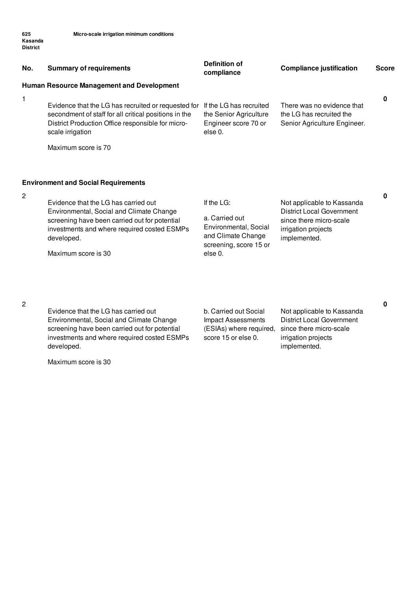| No. | <b>Summary of requirements</b>                                                                                                                                                                                        | <b>Definition of</b><br>compliance                                                                               | <b>Compliance justification</b>                                                                                                  | <b>Score</b> |
|-----|-----------------------------------------------------------------------------------------------------------------------------------------------------------------------------------------------------------------------|------------------------------------------------------------------------------------------------------------------|----------------------------------------------------------------------------------------------------------------------------------|--------------|
|     | Human Resource Management and Development                                                                                                                                                                             |                                                                                                                  |                                                                                                                                  |              |
| 1   | Evidence that the LG has recruited or requested for<br>secondment of staff for all critical positions in the<br>District Production Office responsible for micro-<br>scale irrigation<br>Maximum score is 70          | If the LG has recruited<br>the Senior Agriculture<br>Engineer score 70 or<br>else 0.                             | There was no evidence that<br>the LG has recruited the<br>Senior Agriculture Engineer.                                           | 0            |
|     | <b>Environment and Social Requirements</b>                                                                                                                                                                            |                                                                                                                  |                                                                                                                                  |              |
| 2   | Evidence that the LG has carried out<br>Environmental, Social and Climate Change<br>screening have been carried out for potential<br>investments and where required costed ESMPs<br>developed.<br>Maximum score is 30 | If the LG:<br>a. Carried out<br>Environmental, Social<br>and Climate Change<br>screening, score 15 or<br>else 0. | Not applicable to Kassanda<br><b>District Local Government</b><br>since there micro-scale<br>irrigation projects<br>implemented. | 0            |
| 2   |                                                                                                                                                                                                                       |                                                                                                                  |                                                                                                                                  | 0            |

Evidence that the LG has carried out Environmental, Social and Climate Change screening have been carried out for potential investments and where required costed ESMPs developed.

Maximum score is 30

b. Carried out Social Impact Assessments (ESIAs) where required, score 15 or else 0.

Not applicable to Kassanda District Local Government since there micro-scale irrigation projects implemented.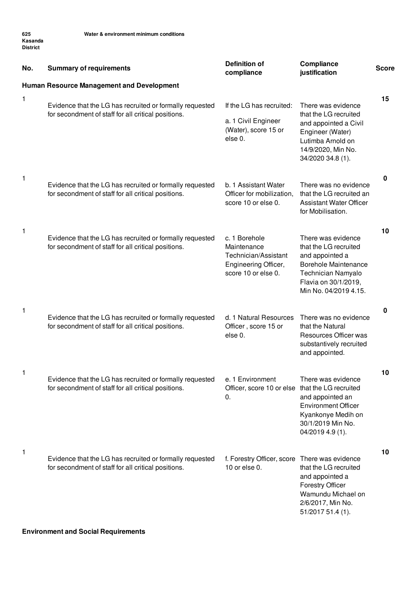| No.          | <b>Summary of requirements</b>                                                                                  | <b>Definition of</b><br>compliance                                                                  | Compliance<br>justification                                                                                                                                          | <b>Score</b> |
|--------------|-----------------------------------------------------------------------------------------------------------------|-----------------------------------------------------------------------------------------------------|----------------------------------------------------------------------------------------------------------------------------------------------------------------------|--------------|
|              | <b>Human Resource Management and Development</b>                                                                |                                                                                                     |                                                                                                                                                                      |              |
| 1            | Evidence that the LG has recruited or formally requested<br>for secondment of staff for all critical positions. | If the LG has recruited:<br>a. 1 Civil Engineer<br>(Water), score 15 or<br>else 0.                  | There was evidence<br>that the LG recruited<br>and appointed a Civil<br>Engineer (Water)<br>Lutimba Arnold on<br>14/9/2020, Min No.<br>34/2020 34.8 (1).             | 15           |
| 1            | Evidence that the LG has recruited or formally requested<br>for secondment of staff for all critical positions. | b. 1 Assistant Water<br>Officer for mobilization,<br>score 10 or else 0.                            | There was no evidence<br>that the LG recruited an<br><b>Assistant Water Officer</b><br>for Mobilisation.                                                             | 0            |
| $\mathbf{1}$ | Evidence that the LG has recruited or formally requested<br>for secondment of staff for all critical positions. | c. 1 Borehole<br>Maintenance<br>Technician/Assistant<br>Engineering Officer,<br>score 10 or else 0. | There was evidence<br>that the LG recruited<br>and appointed a<br><b>Borehole Maintenance</b><br>Technician Namyalo<br>Flavia on 30/1/2019,<br>Min No. 04/2019 4.15. | 10           |
| 1            | Evidence that the LG has recruited or formally requested<br>for secondment of staff for all critical positions. | d. 1 Natural Resources<br>Officer, score 15 or<br>else 0.                                           | There was no evidence<br>that the Natural<br>Resources Officer was<br>substantively recruited<br>and appointed.                                                      | 0            |
| 1            | Evidence that the LG has recruited or formally requested<br>for secondment of staff for all critical positions. | e. 1 Environment<br>Officer, score 10 or else<br>0.                                                 | There was evidence<br>that the LG recruited<br>and appointed an<br><b>Environment Officer</b><br>Kyankonye Medih on<br>30/1/2019 Min No.<br>04/2019 4.9 (1).         | 10           |
| 1            | Evidence that the LG has recruited or formally requested<br>for secondment of staff for all critical positions. | f. Forestry Officer, score There was evidence<br>10 or else 0.                                      | that the LG recruited<br>and appointed a<br><b>Forestry Officer</b><br>Wamundu Michael on<br>2/6/2017, Min No.<br>51/2017 51.4 (1).                                  | 10           |

### **Environment and Social Requirements**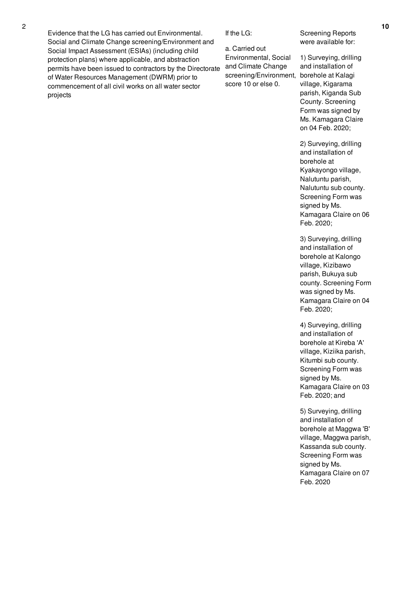Evidence that the LG has carried out Environmental. Social and Climate Change screening/Environment and Social Impact Assessment (ESIAs) (including child protection plans) where applicable, and abstraction permits have been issued to contractors by the Directorate of Water Resources Management (DWRM) prior to commencement of all civil works on all water sector projects

If the LG:

a. Carried out Environmental, Social and Climate Change screening/Environment, score 10 or else 0.

Screening Reports were available for:

1) Surveying, drilling and installation of borehole at Kalagi village, Kigarama parish, Kiganda Sub County. Screening Form was signed by Ms. Kamagara Claire on 04 Feb. 2020;

2) Surveying, drilling and installation of borehole at Kyakayongo village, Nalutuntu parish, Nalutuntu sub county. Screening Form was signed by Ms. Kamagara Claire on 06 Feb. 2020;

3) Surveying, drilling and installation of borehole at Kalongo village, Kizibawo parish, Bukuya sub county. Screening Form was signed by Ms. Kamagara Claire on 04 Feb. 2020;

4) Surveying, drilling and installation of borehole at Kireba 'A' village, Kiziika parish, Kitumbi sub county. Screening Form was signed by Ms. Kamagara Claire on 03 Feb. 2020; and

5) Surveying, drilling and installation of borehole at Maggwa 'B' village, Maggwa parish, Kassanda sub county. Screening Form was signed by Ms. Kamagara Claire on 07 Feb. 2020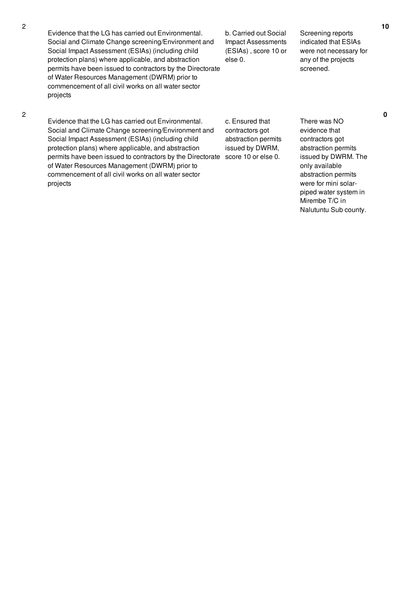Evidence that the LG has carried out Environmental. Social and Climate Change screening/Environment and Social Impact Assessment (ESIAs) (including child protection plans) where applicable, and abstraction permits have been issued to contractors by the Directorate of Water Resources Management (DWRM) prior to commencement of all civil works on all water sector projects

b. Carried out Social Impact Assessments (ESIAs) , score 10 or else 0.

Screening reports indicated that ESIAs were not necessary for any of the projects screened.

**0**

Evidence that the LG has carried out Environmental. Social and Climate Change screening/Environment and Social Impact Assessment (ESIAs) (including child protection plans) where applicable, and abstraction permits have been issued to contractors by the Directorate score 10 or else 0. of Water Resources Management (DWRM) prior to commencement of all civil works on all water sector projects

c. Ensured that contractors got abstraction permits issued by DWRM,

There was NO evidence that contractors got abstraction permits issued by DWRM. The only available abstraction permits were for mini solarpiped water system in Mirembe T/C in Nalutuntu Sub county.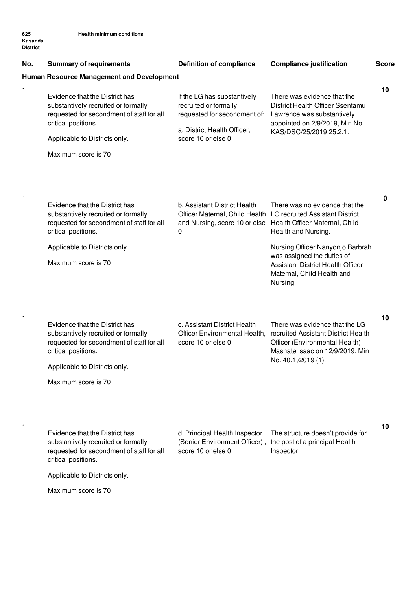**625 Kasanda**

| <b>District</b> |                                                                                                                                           |                                                                                                                     |                                                                                                                                                                                         |              |
|-----------------|-------------------------------------------------------------------------------------------------------------------------------------------|---------------------------------------------------------------------------------------------------------------------|-----------------------------------------------------------------------------------------------------------------------------------------------------------------------------------------|--------------|
| No.             | <b>Summary of requirements</b>                                                                                                            | <b>Definition of compliance</b>                                                                                     | <b>Compliance justification</b>                                                                                                                                                         | <b>Score</b> |
|                 | <b>Human Resource Management and Development</b>                                                                                          |                                                                                                                     |                                                                                                                                                                                         |              |
| 1               | Evidence that the District has<br>substantively recruited or formally<br>requested for secondment of staff for all<br>critical positions. | If the LG has substantively<br>recruited or formally<br>requested for secondment of:<br>a. District Health Officer, | There was evidence that the<br>District Health Officer Ssentamu<br>Lawrence was substantively<br>appointed on 2/9/2019, Min No.                                                         | 10           |
|                 | Applicable to Districts only.                                                                                                             | score 10 or else 0.                                                                                                 | KAS/DSC/25/2019 25.2.1.                                                                                                                                                                 |              |
|                 | Maximum score is 70                                                                                                                       |                                                                                                                     |                                                                                                                                                                                         |              |
| 1               |                                                                                                                                           |                                                                                                                     |                                                                                                                                                                                         | 0            |
|                 | Evidence that the District has<br>substantively recruited or formally<br>requested for secondment of staff for all<br>critical positions. | b. Assistant District Health<br>0                                                                                   | There was no evidence that the<br>Officer Maternal, Child Health LG recruited Assistant District<br>and Nursing, score 10 or else Health Officer Maternal, Child<br>Health and Nursing. |              |
|                 | Applicable to Districts only.                                                                                                             |                                                                                                                     | Nursing Officer Nanyonjo Barbrah                                                                                                                                                        |              |
|                 | Maximum score is 70                                                                                                                       |                                                                                                                     | was assigned the duties of<br><b>Assistant District Health Officer</b><br>Maternal, Child Health and<br>Nursing.                                                                        |              |
| 1               | Evidence that the District has<br>substantively recruited or formally<br>requested for secondment of staff for all<br>critical positions. | c. Assistant District Health<br>Officer Environmental Health,<br>score 10 or else 0.                                | There was evidence that the LG<br>recruited Assistant District Health<br>Officer (Environmental Health)<br>Mashate Isaac on 12/9/2019, Min<br>No. 40.1 /2019 (1).                       | 10           |
|                 | Applicable to Districts only.                                                                                                             |                                                                                                                     |                                                                                                                                                                                         |              |
|                 | Maximum score is 70                                                                                                                       |                                                                                                                     |                                                                                                                                                                                         |              |
| 1               | Evidence that the District has<br>substantively recruited or formally<br>requested for secondment of staff for all<br>critical positions. | d. Principal Health Inspector<br>(Senior Environment Officer),<br>score 10 or else 0.                               | The structure doesn't provide for<br>the post of a principal Health<br>Inspector.                                                                                                       | 10           |
|                 | Applicable to Districts only.                                                                                                             |                                                                                                                     |                                                                                                                                                                                         |              |
|                 | Maximum score is 70                                                                                                                       |                                                                                                                     |                                                                                                                                                                                         |              |
|                 |                                                                                                                                           |                                                                                                                     |                                                                                                                                                                                         |              |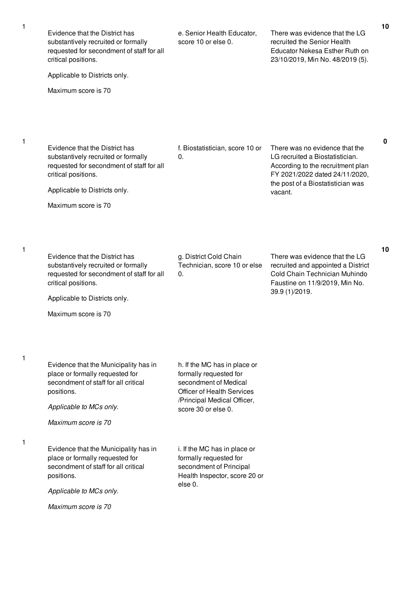| Evidence that the District has<br>substantively recruited or formally<br>requested for secondment of staff for all<br>critical positions.                                        | e. Senior Health Educator,<br>score 10 or else 0.                                                                                                                          | There was evidence that the LG<br>recruited the Senior Health<br>Educator Nekesa Esther Ruth on<br>23/10/2019, Min No. 48/2019 (5).      | 10 |
|----------------------------------------------------------------------------------------------------------------------------------------------------------------------------------|----------------------------------------------------------------------------------------------------------------------------------------------------------------------------|------------------------------------------------------------------------------------------------------------------------------------------|----|
| Applicable to Districts only.                                                                                                                                                    |                                                                                                                                                                            |                                                                                                                                          |    |
| Maximum score is 70                                                                                                                                                              |                                                                                                                                                                            |                                                                                                                                          |    |
| Evidence that the District has<br>substantively recruited or formally<br>requested for secondment of staff for all<br>critical positions.                                        | f. Biostatistician, score 10 or<br>0.                                                                                                                                      | There was no evidence that the<br>LG recruited a Biostatistician.<br>According to the recruitment plan<br>FY 2021/2022 dated 24/11/2020, | 0  |
| Applicable to Districts only.                                                                                                                                                    |                                                                                                                                                                            | the post of a Biostatistician was                                                                                                        |    |
| Maximum score is 70                                                                                                                                                              |                                                                                                                                                                            | vacant.                                                                                                                                  |    |
|                                                                                                                                                                                  |                                                                                                                                                                            |                                                                                                                                          | 10 |
| Evidence that the District has<br>substantively recruited or formally<br>requested for secondment of staff for all<br>critical positions.                                        | g. District Cold Chain<br>Technician, score 10 or else<br>0.                                                                                                               | There was evidence that the LG<br>recruited and appointed a District<br>Cold Chain Technician Muhindo<br>Faustine on 11/9/2019, Min No.  |    |
| Applicable to Districts only.                                                                                                                                                    |                                                                                                                                                                            | 39.9 (1)/2019.                                                                                                                           |    |
| Maximum score is 70                                                                                                                                                              |                                                                                                                                                                            |                                                                                                                                          |    |
| Evidence that the Municipality has in<br>place or formally requested for<br>secondment of staff for all critical<br>positions.<br>Applicable to MCs only.                        | h. If the MC has in place or<br>formally requested for<br>secondment of Medical<br><b>Officer of Health Services</b><br>/Principal Medical Officer,<br>score 30 or else 0. |                                                                                                                                          |    |
| Maximum score is 70                                                                                                                                                              |                                                                                                                                                                            |                                                                                                                                          |    |
| Evidence that the Municipality has in<br>place or formally requested for<br>secondment of staff for all critical<br>positions.<br>Applicable to MCs only.<br>Maximum score is 70 | i. If the MC has in place or<br>formally requested for<br>secondment of Principal<br>Health Inspector, score 20 or<br>else 0.                                              |                                                                                                                                          |    |
|                                                                                                                                                                                  |                                                                                                                                                                            |                                                                                                                                          |    |

1

1

1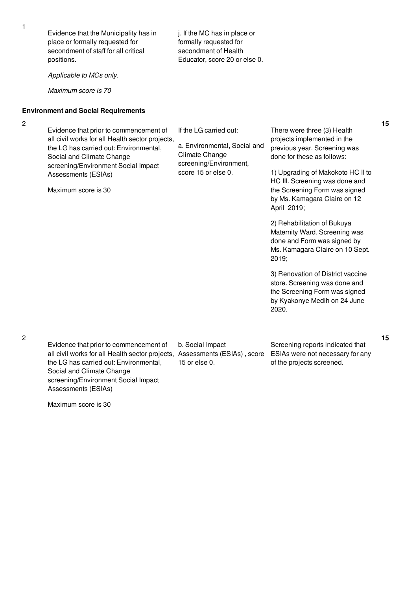Evidence that the Municipality has in place or formally requested for secondment of staff for all critical positions.

*Applicable to MCs only.*

*Maximum score is 70*

#### **Environment and Social Requirements**

2

Evidence that prior to commencement of all civil works for all Health sector projects, the LG has carried out: Environmental, Social and Climate Change screening/Environment Social Impact Assessments (ESIAs)

Maximum score is 30

If the LG carried out:

j. If the MC has in place or formally requested for secondment of Health Educator, score 20 or else 0.

a. Environmental, Social and Climate Change screening/Environment, score 15 or else 0.

There were three (3) Health projects implemented in the previous year. Screening was done for these as follows:

1) Upgrading of Makokoto HC II to HC III. Screening was done and the Screening Form was signed by Ms. Kamagara Claire on 12 April 2019;

2) Rehabilitation of Bukuya Maternity Ward. Screening was done and Form was signed by Ms. Kamagara Claire on 10 Sept. 2019;

3) Renovation of District vaccine store. Screening was done and the Screening Form was signed by Kyakonye Medih on 24 June 2020.

Evidence that prior to commencement of all civil works for all Health sector projects, Assessments (ESIAs) , score the LG has carried out: Environmental, Social and Climate Change screening/Environment Social Impact Assessments (ESIAs)

Maximum score is 30

b. Social Impact 15 or else 0.

Screening reports indicated that ESIAs were not necessary for any of the projects screened.

**15**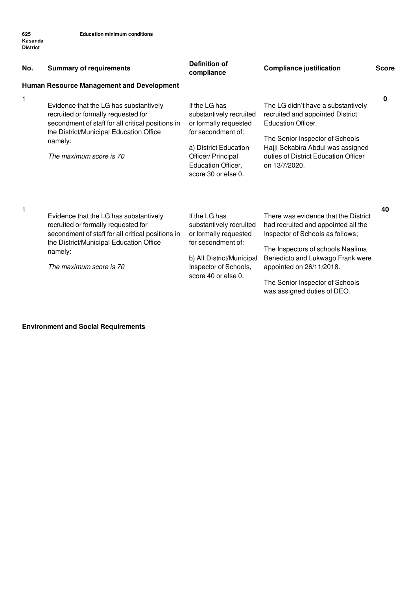| No. | <b>Summary of requirements</b><br><b>Human Resource Management and Development</b>                                                                                                                                  | <b>Definition of</b><br>compliance                                                                                                                                                  | <b>Compliance justification</b>                                                                                                                                                                                                                                                        | <b>Score</b> |
|-----|---------------------------------------------------------------------------------------------------------------------------------------------------------------------------------------------------------------------|-------------------------------------------------------------------------------------------------------------------------------------------------------------------------------------|----------------------------------------------------------------------------------------------------------------------------------------------------------------------------------------------------------------------------------------------------------------------------------------|--------------|
| 1   | Evidence that the LG has substantively<br>recruited or formally requested for<br>secondment of staff for all critical positions in<br>the District/Municipal Education Office<br>namely:<br>The maximum score is 70 | If the LG has<br>substantively recruited<br>or formally requested<br>for secondment of:<br>a) District Education<br>Officer/ Principal<br>Education Officer,<br>score 30 or else 0. | The LG didn't have a substantively<br>recruited and appointed District<br><b>Education Officer.</b><br>The Senior Inspector of Schools<br>Hajji Sekabira Abdul was assigned<br>duties of District Education Officer<br>on 13/7/2020.                                                   | 0            |
| 1   | Evidence that the LG has substantively<br>recruited or formally requested for<br>secondment of staff for all critical positions in<br>the District/Municipal Education Office<br>namely:<br>The maximum score is 70 | If the LG has<br>substantively recruited<br>or formally requested<br>for secondment of:<br>b) All District/Municipal<br>Inspector of Schools,<br>score 40 or else 0.                | There was evidence that the District<br>had recruited and appointed all the<br>Inspector of Schools as follows;<br>The Inspectors of schools Naalima<br>Benedicto and Lukwago Frank were<br>appointed on 26/11/2018.<br>The Senior Inspector of Schools<br>was assigned duties of DEO. | 40           |

### **Environment and Social Requirements**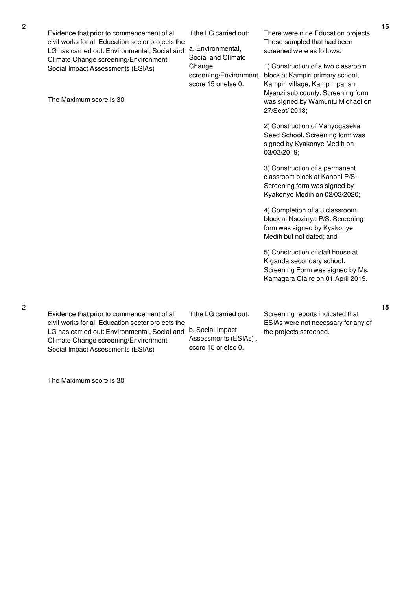Evidence that prior to commencement of all civil works for all Education sector projects the LG has carried out: Environmental, Social and Climate Change screening/Environment Social Impact Assessments (ESIAs)

The Maximum score is 30

If the LG carried out:

a. Environmental, Social and Climate Change screening/Environment, score 15 or else 0.

There were nine Education projects. Those sampled that had been screened were as follows:

1) Construction of a two classroom block at Kampiri primary school, Kampiri village, Kampiri parish, Myanzi sub county. Screening form was signed by Wamuntu Michael on 27/Sept/ 2018;

2) Construction of Manyogaseka Seed School. Screening form was signed by Kyakonye Medih on 03/03/2019;

3) Construction of a permanent classroom block at Kanoni P/S. Screening form was signed by Kyakonye Medih on 02/03/2020;

4) Completion of a 3 classroom block at Nsozinya P/S. Screening form was signed by Kyakonye Medih but not dated; and

5) Construction of staff house at Kiganda secondary school. Screening Form was signed by Ms. Kamagara Claire on 01 April 2019.

**15**

Evidence that prior to commencement of all civil works for all Education sector projects the LG has carried out: Environmental, Social and Climate Change screening/Environment Social Impact Assessments (ESIAs)

If the LG carried out:

b. Social Impact Assessments (ESIAs) , score 15 or else 0.

Screening reports indicated that ESIAs were not necessary for any of the projects screened.

2

The Maximum score is 30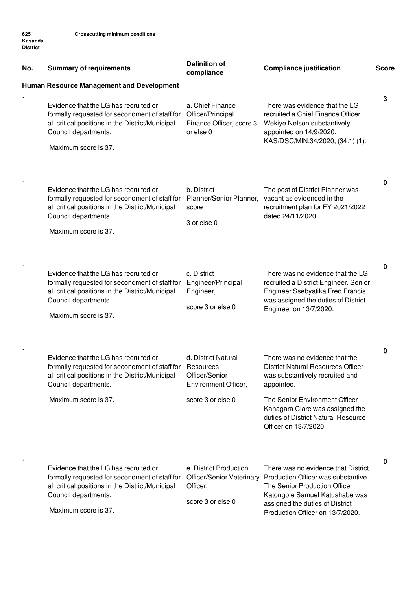**625 Kasanda District**

| No. | <b>Summary of requirements</b>                                                                                                                                                                                                                 | <b>Definition of</b><br>compliance                                                   | <b>Compliance justification</b>                                                                                                                                                                                                                                   | <b>Score</b> |
|-----|------------------------------------------------------------------------------------------------------------------------------------------------------------------------------------------------------------------------------------------------|--------------------------------------------------------------------------------------|-------------------------------------------------------------------------------------------------------------------------------------------------------------------------------------------------------------------------------------------------------------------|--------------|
|     | Human Resource Management and Development                                                                                                                                                                                                      |                                                                                      |                                                                                                                                                                                                                                                                   |              |
| 1   | Evidence that the LG has recruited or<br>formally requested for secondment of staff for<br>all critical positions in the District/Municipal<br>Council departments.<br>Maximum score is 37.                                                    | a. Chief Finance<br>Officer/Principal<br>Finance Officer, score 3<br>or else 0       | There was evidence that the LG<br>recruited a Chief Finance Officer<br>Wekiye Nelson substantively<br>appointed on 14/9/2020,<br>KAS/DSC/MIN.34/2020, (34.1) (1).                                                                                                 | 3            |
| 1   | Evidence that the LG has recruited or<br>formally requested for secondment of staff for Planner/Senior Planner, vacant as evidenced in the<br>all critical positions in the District/Municipal<br>Council departments.<br>Maximum score is 37. | b. District<br>score<br>3 or else 0                                                  | The post of District Planner was<br>recruitment plan for FY 2021/2022<br>dated 24/11/2020.                                                                                                                                                                        | 0            |
| 1   | Evidence that the LG has recruited or<br>formally requested for secondment of staff for<br>all critical positions in the District/Municipal<br>Council departments.<br>Maximum score is 37.                                                    | c. District<br>Engineer/Principal<br>Engineer,<br>score 3 or else 0                  | There was no evidence that the LG<br>recruited a District Engineer. Senior<br>Engineer Ssebyatika Fred Francis<br>was assigned the duties of District<br>Engineer on 13/7/2020.                                                                                   | 0            |
| 1   | Evidence that the LG has recruited or<br>formally requested for secondment of staff for Resources<br>all critical positions in the District/Municipal<br>Council departments.<br>Maximum score is 37.                                          | d. District Natural<br>Officer/Senior<br>Environment Officer,<br>score 3 or else 0   | There was no evidence that the<br><b>District Natural Resources Officer</b><br>was substantively recruited and<br>appointed.<br>The Senior Environment Officer<br>Kanagara Clare was assigned the<br>duties of District Natural Resource<br>Officer on 13/7/2020. | 0            |
| 1   | Evidence that the LG has recruited or<br>formally requested for secondment of staff for<br>all critical positions in the District/Municipal<br>Council departments.<br>Maximum score is 37.                                                    | e. District Production<br>Officer/Senior Veterinary<br>Officer,<br>score 3 or else 0 | There was no evidence that District<br>Production Officer was substantive.<br>The Senior Production Officer<br>Katongole Samuel Katushabe was<br>assigned the duties of District<br>Production Officer on 13/7/2020.                                              | 0            |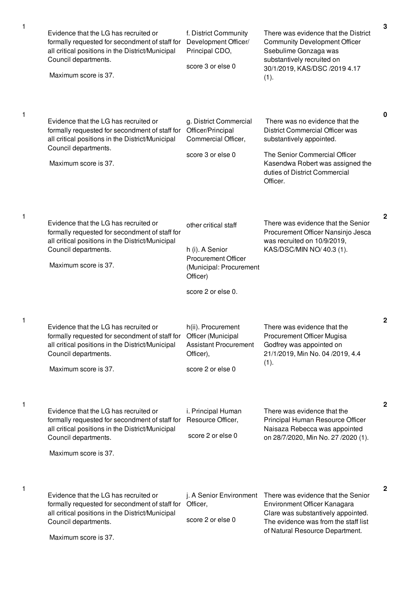| 1 | Evidence that the LG has recruited or<br>formally requested for secondment of staff for<br>all critical positions in the District/Municipal<br>Council departments.<br>Maximum score is 37.                    | f. District Community<br>Development Officer/<br>Principal CDO,<br>score 3 or else 0                                               | There was evidence that the District<br><b>Community Development Officer</b><br>Ssebulime Gonzaga was<br>substantively recruited on<br>30/1/2019, KAS/DSC /2019 4.17<br>(1).                                           | 3            |
|---|----------------------------------------------------------------------------------------------------------------------------------------------------------------------------------------------------------------|------------------------------------------------------------------------------------------------------------------------------------|------------------------------------------------------------------------------------------------------------------------------------------------------------------------------------------------------------------------|--------------|
| 1 | Evidence that the LG has recruited or<br>formally requested for secondment of staff for<br>all critical positions in the District/Municipal<br>Council departments.<br>Maximum score is 37.                    | g. District Commercial<br>Officer/Principal<br>Commercial Officer,<br>score 3 or else 0                                            | There was no evidence that the<br><b>District Commercial Officer was</b><br>substantively appointed.<br>The Senior Commercial Officer<br>Kasendwa Robert was assigned the<br>duties of District Commercial<br>Officer. | 0            |
| 1 | Evidence that the LG has recruited or<br>formally requested for secondment of staff for<br>all critical positions in the District/Municipal<br>Council departments.<br>Maximum score is 37.                    | other critical staff<br>h (i). A Senior<br><b>Procurement Officer</b><br>(Municipal: Procurement<br>Officer)<br>score 2 or else 0. | There was evidence that the Senior<br>Procurement Officer Nansinjo Jesca<br>was recruited on 10/9/2019,<br>KAS/DSC/MIN NO/ 40.3 (1).                                                                                   | $\mathbf{2}$ |
| 1 | Evidence that the LG has recruited or<br>formally requested for secondment of staff for Officer (Municipal<br>all critical positions in the District/Municipal<br>Council departments.<br>Maximum score is 37. | h(ii). Procurement<br><b>Assistant Procurement</b><br>Officer),<br>score 2 or else 0                                               | There was evidence that the<br>Procurement Officer Mugisa<br>Godfrey was appointed on<br>21/1/2019, Min No. 04 /2019, 4.4<br>(1).                                                                                      | $\mathbf{2}$ |
| 1 | Evidence that the LG has recruited or<br>formally requested for secondment of staff for<br>all critical positions in the District/Municipal<br>Council departments.<br>Maximum score is 37.                    | i. Principal Human<br>Resource Officer,<br>score 2 or else 0                                                                       | There was evidence that the<br>Principal Human Resource Officer<br>Naisaza Rebecca was appointed<br>on 28/7/2020, Min No. 27 /2020 (1).                                                                                | 2            |
| 1 | Evidence that the LG has recruited or<br>formally requested for secondment of staff for<br>all critical positions in the District/Municipal<br>Council departments.<br>Maximum score is 37.                    | j. A Senior Environment<br>Officer,<br>score 2 or else 0                                                                           | There was evidence that the Senior<br>Environment Officer Kanagara<br>Clare was substantively appointed.<br>The evidence was from the staff list<br>of Natural Resource Department.                                    | $\mathbf{2}$ |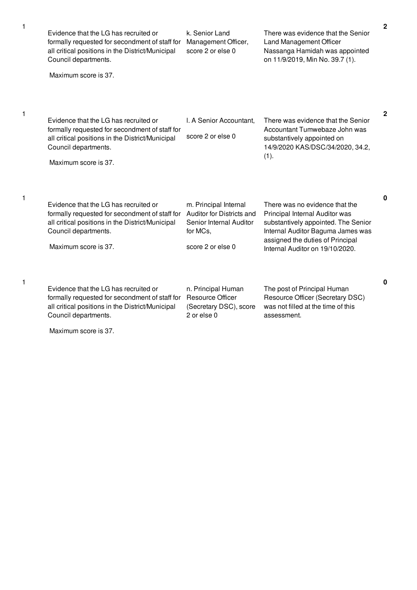| 1 | Evidence that the LG has recruited or<br>formally requested for secondment of staff for<br>all critical positions in the District/Municipal<br>Council departments.                         | k. Senior Land<br>Management Officer,<br>score 2 or else 0                                                     | There was evidence that the Senior<br>Land Management Officer<br>Nassanga Hamidah was appointed<br>on 11/9/2019, Min No. 39.7 (1).                                                                                  | 2 |
|---|---------------------------------------------------------------------------------------------------------------------------------------------------------------------------------------------|----------------------------------------------------------------------------------------------------------------|---------------------------------------------------------------------------------------------------------------------------------------------------------------------------------------------------------------------|---|
|   | Maximum score is 37.                                                                                                                                                                        |                                                                                                                |                                                                                                                                                                                                                     |   |
| 1 | Evidence that the LG has recruited or<br>formally requested for secondment of staff for<br>all critical positions in the District/Municipal<br>Council departments.<br>Maximum score is 37. | I. A Senior Accountant,<br>score 2 or else 0                                                                   | There was evidence that the Senior<br>Accountant Tumwebaze John was<br>substantively appointed on<br>14/9/2020 KAS/DSC/34/2020, 34.2,<br>(1).                                                                       | 2 |
| 1 | Evidence that the LG has recruited or<br>formally requested for secondment of staff for<br>all critical positions in the District/Municipal<br>Council departments.<br>Maximum score is 37. | m. Principal Internal<br>Auditor for Districts and<br>Senior Internal Auditor<br>for MCs,<br>score 2 or else 0 | There was no evidence that the<br>Principal Internal Auditor was<br>substantively appointed. The Senior<br>Internal Auditor Baguma James was<br>assigned the duties of Principal<br>Internal Auditor on 19/10/2020. | 0 |
| 1 | Evidence that the LG has recruited or<br>formally requested for secondment of staff for<br>all critical positions in the District/Municipal<br>Council departments.                         | n. Principal Human<br><b>Resource Officer</b><br>(Secretary DSC), score<br>2 or else 0                         | The post of Principal Human<br>Resource Officer (Secretary DSC)<br>was not filled at the time of this<br>assessment.                                                                                                | 0 |

Maximum score is 37.

1

1

1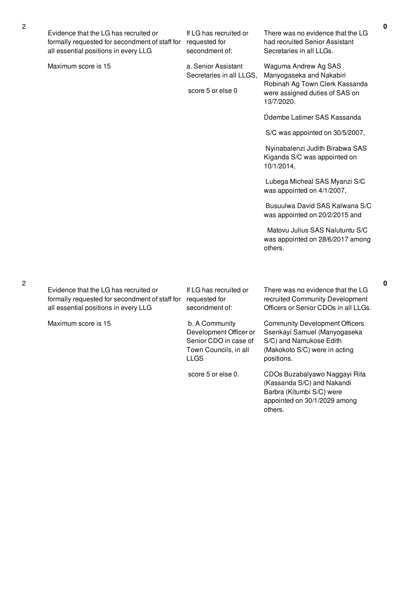| Evidence that the LG has recruited or<br>formally requested for secondment of staff for<br>all essential positions in every LLG | If LG has recruited or<br>requested for<br>secondment of:                                                 | There was no evidence that the LG<br>had recruited Senior Assistant<br>Secretaries in all LLGs.                                                 |
|---------------------------------------------------------------------------------------------------------------------------------|-----------------------------------------------------------------------------------------------------------|-------------------------------------------------------------------------------------------------------------------------------------------------|
| Maximum score is 15                                                                                                             | a. Senior Assistant<br>Secretaries in all LLGS,<br>score 5 or else 0                                      | Waguma Andrew Ag SAS<br>Manyogaseka and Nakabiri<br>Robinah Ag Town Clerk Kassanda<br>were assigned duties of SAS on<br>13/7/2020.              |
|                                                                                                                                 |                                                                                                           | Ddembe Latimer SAS Kassanda                                                                                                                     |
|                                                                                                                                 |                                                                                                           | S/C was appointed on 30/5/2007,                                                                                                                 |
|                                                                                                                                 |                                                                                                           | Nyinabalenzi Judith Birabwa SAS<br>Kiganda S/C was appointed on<br>10/1/2014,                                                                   |
|                                                                                                                                 |                                                                                                           | Lubega Micheal SAS Myanzi S/C<br>was appointed on 4/1/2007,                                                                                     |
|                                                                                                                                 |                                                                                                           | Busuulwa David SAS Kalwana S/C<br>was appointed on 20/2/2015 and                                                                                |
|                                                                                                                                 |                                                                                                           | Matovu Julius SAS Nalutuntu S/C<br>was appointed on 28/6/2017 among<br>others.                                                                  |
|                                                                                                                                 |                                                                                                           |                                                                                                                                                 |
| Evidence that the LG has recruited or<br>formally requested for secondment of staff for<br>all essential positions in every LLG | If LG has recruited or<br>requested for<br>secondment of:                                                 | There was no evidence that the LG<br>recruited Community Development<br>Officers or Senior CDOs in all LLGs.                                    |
| Maximum score is 15                                                                                                             | b. A Community<br>Development Officer or<br>Senior CDO in case of<br>Town Councils, in all<br><b>LLGS</b> | <b>Community Development Officers</b><br>Ssenkayi Samuel (Manyogaseka<br>S/C) and Namukose Edith<br>(Makokoto S/C) were in acting<br>positions. |

score 5 or else 0.

CDOs Buzabalyawo Naggayi Rita (Kassanda S/C) and Nakandi Barbra (Kitumbi S/C) were appointed on 30/1/2029 among others.

2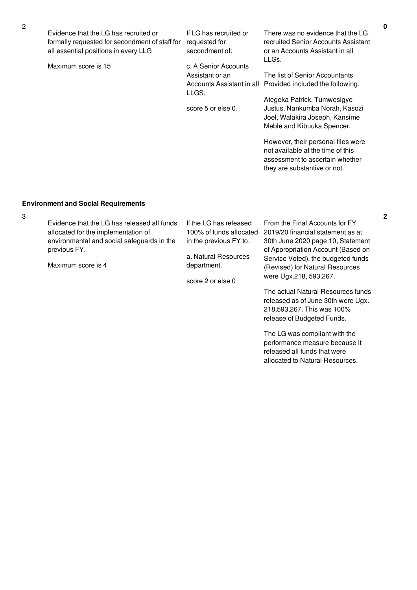| Evidence that the LG has recruited or<br>formally requested for secondment of staff for<br>all essential positions in every LLG | If LG has recruited or<br>requested for<br>secondment of:              | There was no evidence that the LG<br>recruited Senior Accounts Assistant<br>or an Accounts Assistant in all                                                                                                                                                                                                                                          |
|---------------------------------------------------------------------------------------------------------------------------------|------------------------------------------------------------------------|------------------------------------------------------------------------------------------------------------------------------------------------------------------------------------------------------------------------------------------------------------------------------------------------------------------------------------------------------|
| Maximum score is 15                                                                                                             | c. A Senior Accounts<br>Assistant or an<br>LLGS,<br>score 5 or else 0. | LLGs.<br>The list of Senior Accountants<br>Accounts Assistant in all Provided included the following;<br>Ategeka Patrick, Tumwesigye<br>Justus, Nankumba Norah, Kasozi<br>Joel, Walakira Joseph, Kansime<br>Meble and Kibuuka Spencer.<br>However, their personal files were<br>not available at the time of this<br>assessment to ascertain whether |
|                                                                                                                                 |                                                                        | they are substantive or not.                                                                                                                                                                                                                                                                                                                         |

## **Environment and Social Requirements**

| 3 |                                                                                                                                                  |                                                                                                     |                                                                                                                                                |
|---|--------------------------------------------------------------------------------------------------------------------------------------------------|-----------------------------------------------------------------------------------------------------|------------------------------------------------------------------------------------------------------------------------------------------------|
|   | Evidence that the LG has released all funds<br>allocated for the implementation of<br>environmental and social safeguards in the<br>previous FY. | If the LG has released<br>100% of funds allocated<br>in the previous FY to:<br>a. Natural Resources | From the Final Accounts for FY<br>2019/20 financial statement as at<br>30th June 2020 page 10, Statement<br>of Appropriation Account (Based on |
|   | Maximum score is 4                                                                                                                               | department,<br>score 2 or else 0                                                                    | Service Voted), the budgeted funds<br>(Revised) for Natural Resources<br>were Ugx.218, 593,267.                                                |
|   |                                                                                                                                                  |                                                                                                     | The actual Natural Resources funds<br>released as of June 30th were Ugx.<br>218,593,267. This was 100%<br>release of Budgeted Funds.           |

The LG was compliant with the performance measure because it released all funds that were allocated to Natural Resources.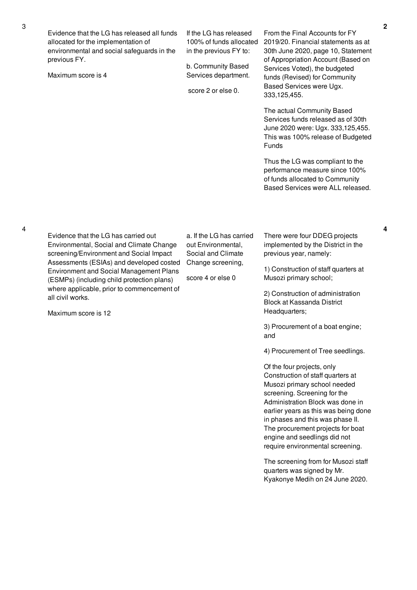| Evidence that the LG has released all funds<br>allocated for the implementation of<br>environmental and social safeguards in the<br>previous FY.<br>Maximum score is 4                                                                                                                                                                    | If the LG has released<br>100% of funds allocated<br>in the previous FY to:<br>b. Community Based<br>Services department.<br>score 2 or else 0. | From the Final Accounts for FY<br>2019/20. Financial statements as at<br>30th June 2020, page 10, Statement<br>of Appropriation Account (Based on<br>Services Voted), the budgeted<br>funds (Revised) for Community<br>Based Services were Ugx.<br>333,125,455.<br>The actual Community Based<br>Services funds released as of 30th<br>June 2020 were: Ugx. 333,125,455.<br>This was 100% release of Budgeted<br>Funds<br>Thus the LG was compliant to the<br>performance measure since 100%<br>of funds allocated to Community<br>Based Services were ALL released. |
|-------------------------------------------------------------------------------------------------------------------------------------------------------------------------------------------------------------------------------------------------------------------------------------------------------------------------------------------|-------------------------------------------------------------------------------------------------------------------------------------------------|----------------------------------------------------------------------------------------------------------------------------------------------------------------------------------------------------------------------------------------------------------------------------------------------------------------------------------------------------------------------------------------------------------------------------------------------------------------------------------------------------------------------------------------------------------------------|
| Evidence that the LG has carried out<br>Environmental, Social and Climate Change<br>screening/Environment and Social Impact<br>Assessments (ESIAs) and developed costed<br><b>Environment and Social Management Plans</b><br>(ESMPs) (including child protection plans)<br>where applicable, prior to commencement of<br>all civil works. | a. If the LG has carried<br>out Environmental,<br>Social and Climate<br>Change screening,<br>score 4 or else 0                                  | There were four DDEG projects<br>implemented by the District in the<br>previous year, namely:<br>1) Construction of staff quarters at<br>Musozi primary school;<br>2) Construction of administration<br><b>Block at Kassanda District</b>                                                                                                                                                                                                                                                                                                                            |

Maximum score is 12

3) Procurement of a boat engine; and

Headquarters;

4) Procurement of Tree seedlings.

Of the four projects, only Construction of staff quarters at Musozi primary school needed screening. Screening for the Administration Block was done in earlier years as this was being done in phases and this was phase II. The procurement projects for boat engine and seedlings did not require environmental screening.

The screening from for Musozi staff quarters was signed by Mr. Kyakonye Medih on 24 June 2020.

4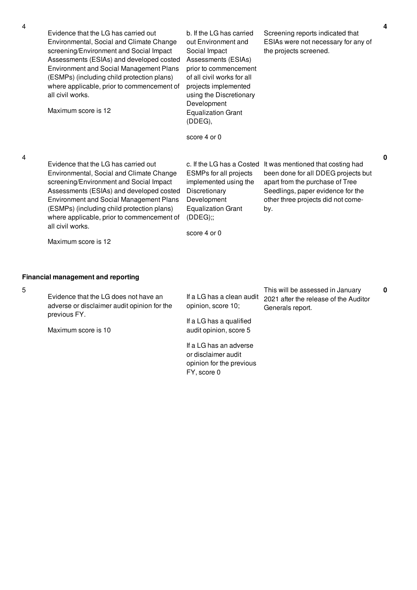|                                                                                                                                                                                                                                                          |                                                                                                                                                                                               | 4                         |
|----------------------------------------------------------------------------------------------------------------------------------------------------------------------------------------------------------------------------------------------------------|-----------------------------------------------------------------------------------------------------------------------------------------------------------------------------------------------|---------------------------|
| b. If the LG has carried<br>out Environment and<br>Social Impact<br>Assessments (ESIAs)<br>prior to commencement<br>of all civil works for all<br>projects implemented<br>using the Discretionary<br>Development<br><b>Equalization Grant</b><br>(DDEG), | Screening reports indicated that<br>ESIAs were not necessary for any of<br>the projects screened.                                                                                             |                           |
| score 4 or 0                                                                                                                                                                                                                                             |                                                                                                                                                                                               |                           |
| <b>ESMPs for all projects</b><br>implemented using the<br>Discretionary<br>Development<br><b>Equalization Grant</b><br>(DDEG);<br>score 4 or 0                                                                                                           | It was mentioned that costing had<br>been done for all DDEG projects but<br>apart from the purchase of Tree<br>Seedlings, paper evidence for the<br>other three projects did not come-<br>by. | $\bf{0}$                  |
|                                                                                                                                                                                                                                                          |                                                                                                                                                                                               | c. If the LG has a Costed |

## **Financial management and reporting**

5

Evidence that the LG does not have an adverse or disclaimer audit opinion for the previous FY.

Maximum score is 10

opinion, score 10;

If a LG has a qualified audit opinion, score 5

If a LG has an adverse or disclaimer audit opinion for the previous FY, score 0

If a LG has a clean audit 2021 after the release of the Auditor This will be assessed in January Generals report.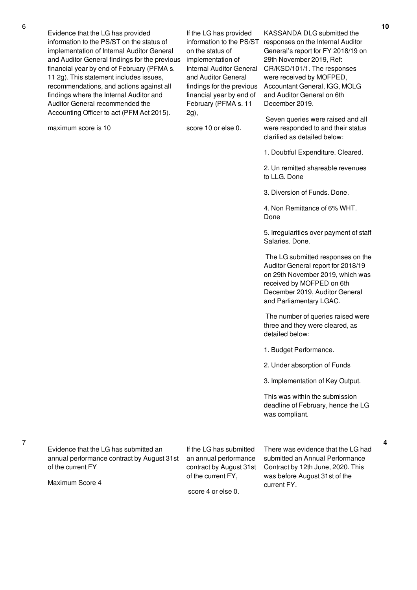Evidence that the LG has provided information to the PS/ST on the status of implementation of Internal Auditor General and Auditor General findings for the previous financial year by end of February (PFMA s. 11 2g). This statement includes issues, recommendations, and actions against all findings where the Internal Auditor and Auditor General recommended the Accounting Officer to act (PFM Act 2015).

maximum score is 10

If the LG has provided on the status of implementation of and Auditor General findings for the previous financial year by end of February (PFMA s. 11 2g),

score 10 or else 0.

information to the PS/ST responses on the Internal Auditor Internal Auditor General CR/KSD/101/1. The responses KASSANDA DLG submitted the General's report for FY 2018/19 on 29th November 2019, Ref: were received by MOFPED, Accountant General, IGG, MOLG and Auditor General on 6th December 2019.

> Seven queries were raised and all were responded to and their status clarified as detailed below:

1. Doubtful Expenditure. Cleared.

2. Un remitted shareable revenues to LLG. Done

3. Diversion of Funds. Done.

4. Non Remittance of 6% WHT. Done

5. Irregularities over payment of staff Salaries. Done.

The LG submitted responses on the Auditor General report for 2018/19 on 29th November 2019, which was received by MOFPED on 6th December 2019, Auditor General and Parliamentary LGAC.

The number of queries raised were three and they were cleared, as detailed below:

1. Budget Performance.

2. Under absorption of Funds

3. Implementation of Key Output.

This was within the submission deadline of February, hence the LG was compliant.

7

Evidence that the LG has submitted an annual performance contract by August 31st of the current FY

Maximum Score 4

If the LG has submitted an annual performance contract by August 31st of the current FY,

score 4 or else 0.

There was evidence that the LG had submitted an Annual Performance Contract by 12th June, 2020. This was before August 31st of the current FY.